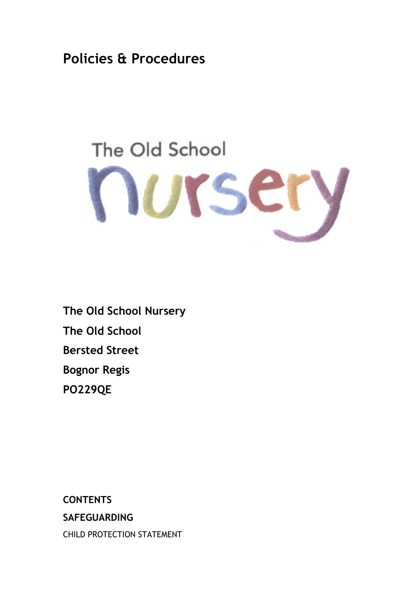# **Policies & Procedures**

# The Old School nurser

**The Old School Nursery The Old School Bersted Street Bognor Regis PO229QE**

**CONTENTS SAFEGUARDING** CHILD PROTECTION STATEMENT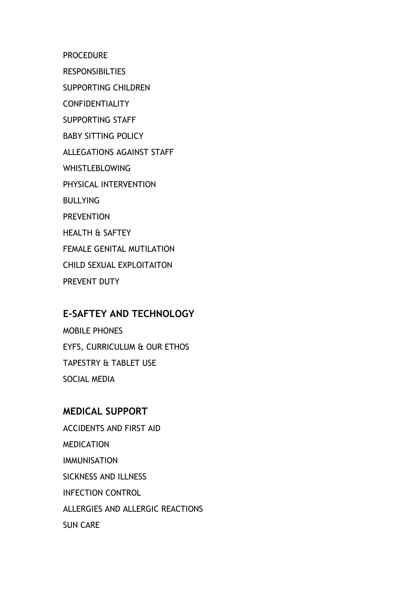PROCEDURE

**RESPONSIBILTIES** 

SUPPORTING CHILDREN

CONFIDENTIALITY

SUPPORTING STAFF

BABY SITTING POLICY

ALLEGATIONS AGAINST STAFF

WHISTLEBLOWING

PHYSICAL INTERVENTION

BULLYING

**PREVENTION** 

HEALTH & SAFTEY

FEMALE GENITAL MUTILATION

CHILD SEXUAL EXPLOITAITON

PREVENT DUTY

# **E-SAFTEY AND TECHNOLOGY**

MOBILE PHONES EYFS, CURRICULUM & OUR ETHOS TAPESTRY & TABLET USE SOCIAL MEDIA

# **MEDICAL SUPPORT**

ACCIDENTS AND FIRST AID MEDICATION IMMUNISATION SICKNESS AND ILLNESS INFECTION CONTROL ALLERGIES AND ALLERGIC REACTIONS SUN CARE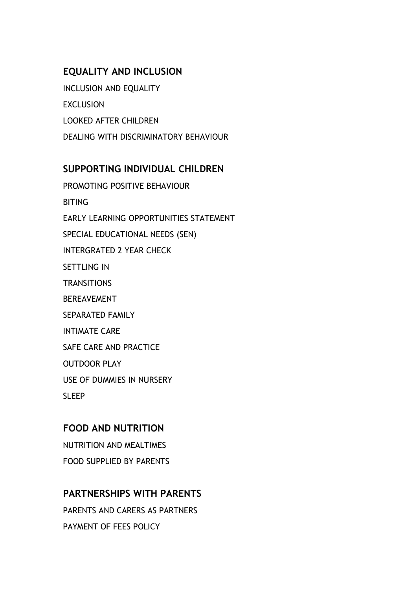# **EQUALITY AND INCLUSION**

INCLUSION AND EQUALITY EXCLUSION LOOKED AFTER CHILDREN DEALING WITH DISCRIMINATORY BEHAVIOUR

# **SUPPORTING INDIVIDUAL CHILDREN**

PROMOTING POSITIVE BEHAVIOUR BITING EARLY LEARNING OPPORTUNITIES STATEMENT SPECIAL EDUCATIONAL NEEDS (SEN) INTERGRATED 2 YEAR CHECK SETTLING IN **TRANSITIONS** BEREAVEMENT SEPARATED FAMILY INTIMATE CARE SAFE CARE AND PRACTICE OUTDOOR PLAY USE OF DUMMIES IN NURSERY SI FFP

# **FOOD AND NUTRITION**

NUTRITION AND MEALTIMES FOOD SUPPLIED BY PARENTS

# **PARTNERSHIPS WITH PARENTS**

PARENTS AND CARERS AS PARTNERS PAYMENT OF FEES POLICY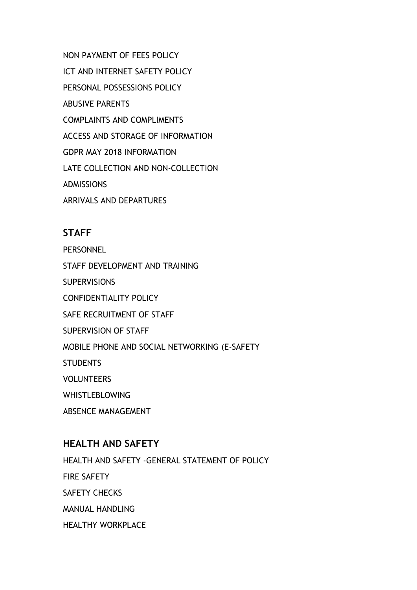NON PAYMENT OF FEES POLICY ICT AND INTERNET SAFETY POLICY PERSONAL POSSESSIONS POLICY ABUSIVE PARENTS COMPLAINTS AND COMPLIMENTS ACCESS AND STORAGE OF INFORMATION GDPR MAY 2018 INFORMATION LATE COLLECTION AND NON-COLLECTION ADMISSIONS ARRIVALS AND DEPARTURES

# **STAFF**

PERSONNEL

STAFF DEVELOPMENT AND TRAINING

SUPERVISIONS

CONFIDENTIALITY POLICY

SAFE RECRUITMENT OF STAFF

SUPERVISION OF STAFF

MOBILE PHONE AND SOCIAL NETWORKING (E-SAFETY

STUDENTS

VOLUNTEERS

WHISTLEBLOWING

ABSENCE MANAGEMENT

# **HEALTH AND SAFETY**

HEALTH AND SAFETY -GENERAL STATEMENT OF POLICY FIRE SAFETY SAFETY CHECKS MANUAL HANDLING HEALTHY WORKPLACE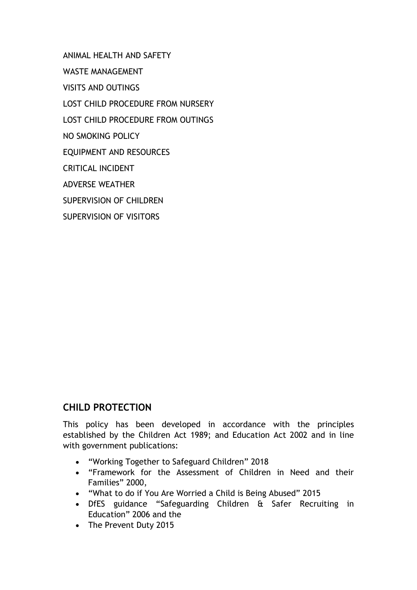ANIMAL HEALTH AND SAFETY WASTE MANAGEMENT VISITS AND OUTINGS LOST CHILD PROCEDURE FROM NURSERY LOST CHILD PROCEDURE FROM OUTINGS NO SMOKING POLICY EQUIPMENT AND RESOURCES CRITICAL INCIDENT ADVERSE WEATHER SUPERVISION OF CHILDREN SUPERVISION OF VISITORS

# **CHILD PROTECTION**

This policy has been developed in accordance with the principles established by the Children Act 1989; and Education Act 2002 and in line with government publications:

- "Working Together to Safeguard Children" 2018
- "Framework for the Assessment of Children in Need and their Families" 2000,
- "What to do if You Are Worried a Child is Being Abused" 2015
- DfES guidance "Safeguarding Children & Safer Recruiting in Education" 2006 and the
- The Prevent Duty 2015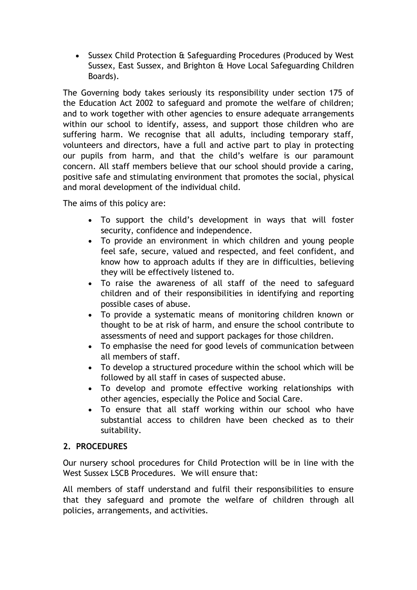• Sussex Child Protection & Safeguarding Procedures (Produced by West Sussex, East Sussex, and Brighton & Hove Local Safeguarding Children Boards).

The Governing body takes seriously its responsibility under section 175 of the Education Act 2002 to safeguard and promote the welfare of children; and to work together with other agencies to ensure adequate arrangements within our school to identify, assess, and support those children who are suffering harm. We recognise that all adults, including temporary staff, volunteers and directors, have a full and active part to play in protecting our pupils from harm, and that the child's welfare is our paramount concern. All staff members believe that our school should provide a caring, positive safe and stimulating environment that promotes the social, physical and moral development of the individual child.

The aims of this policy are:

- To support the child's development in ways that will foster security, confidence and independence.
- To provide an environment in which children and young people feel safe, secure, valued and respected, and feel confident, and know how to approach adults if they are in difficulties, believing they will be effectively listened to.
- To raise the awareness of all staff of the need to safeguard children and of their responsibilities in identifying and reporting possible cases of abuse.
- To provide a systematic means of monitoring children known or thought to be at risk of harm, and ensure the school contribute to assessments of need and support packages for those children.
- To emphasise the need for good levels of communication between all members of staff.
- To develop a structured procedure within the school which will be followed by all staff in cases of suspected abuse.
- To develop and promote effective working relationships with other agencies, especially the Police and Social Care.
- To ensure that all staff working within our school who have substantial access to children have been checked as to their suitability.

# **2. PROCEDURES**

Our nursery school procedures for Child Protection will be in line with the West Sussex LSCB Procedures. We will ensure that:

All members of staff understand and fulfil their responsibilities to ensure that they safeguard and promote the welfare of children through all policies, arrangements, and activities.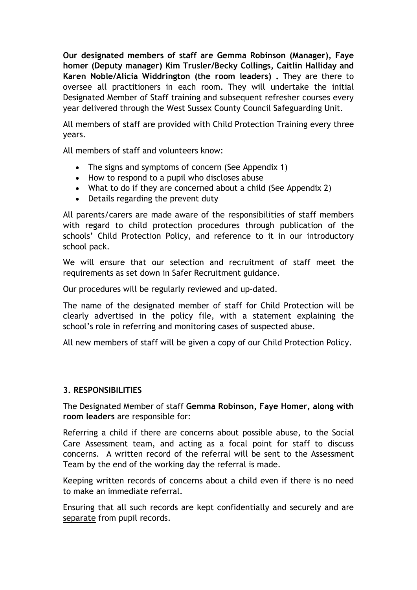**Our designated members of staff are Gemma Robinson (Manager), Faye homer (Deputy manager) Kim Trusler/Becky Collings, Caitlin Halliday and Karen Noble/Alicia Widdrington (the room leaders) .** They are there to oversee all practitioners in each room. They will undertake the initial Designated Member of Staff training and subsequent refresher courses every year delivered through the West Sussex County Council Safeguarding Unit.

All members of staff are provided with Child Protection Training every three years.

All members of staff and volunteers know:

- The signs and symptoms of concern (See Appendix 1)
- How to respond to a pupil who discloses abuse
- What to do if they are concerned about a child (See Appendix 2)
- Details regarding the prevent duty

All parents/carers are made aware of the responsibilities of staff members with regard to child protection procedures through publication of the schools' Child Protection Policy, and reference to it in our introductory school pack.

We will ensure that our selection and recruitment of staff meet the requirements as set down in Safer Recruitment guidance.

Our procedures will be regularly reviewed and up-dated.

The name of the designated member of staff for Child Protection will be clearly advertised in the policy file, with a statement explaining the school's role in referring and monitoring cases of suspected abuse.

All new members of staff will be given a copy of our Child Protection Policy.

# **3. RESPONSIBILITIES**

The Designated Member of staff **Gemma Robinson, Faye Homer, along with room leaders** are responsible for:

Referring a child if there are concerns about possible abuse, to the Social Care Assessment team, and acting as a focal point for staff to discuss concerns. A written record of the referral will be sent to the Assessment Team by the end of the working day the referral is made.

Keeping written records of concerns about a child even if there is no need to make an immediate referral.

Ensuring that all such records are kept confidentially and securely and are separate from pupil records.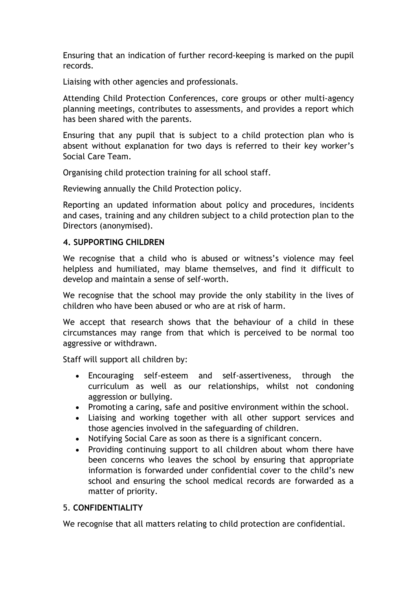Ensuring that an indication of further record-keeping is marked on the pupil records.

Liaising with other agencies and professionals.

Attending Child Protection Conferences, core groups or other multi-agency planning meetings, contributes to assessments, and provides a report which has been shared with the parents.

Ensuring that any pupil that is subject to a child protection plan who is absent without explanation for two days is referred to their key worker's Social Care Team.

Organising child protection training for all school staff.

Reviewing annually the Child Protection policy.

Reporting an updated information about policy and procedures, incidents and cases, training and any children subject to a child protection plan to the Directors (anonymised).

#### **4. SUPPORTING CHILDREN**

We recognise that a child who is abused or witness's violence may feel helpless and humiliated, may blame themselves, and find it difficult to develop and maintain a sense of self-worth.

We recognise that the school may provide the only stability in the lives of children who have been abused or who are at risk of harm.

We accept that research shows that the behaviour of a child in these circumstances may range from that which is perceived to be normal too aggressive or withdrawn.

Staff will support all children by:

- Encouraging self-esteem and self-assertiveness, through the curriculum as well as our relationships, whilst not condoning aggression or bullying.
- Promoting a caring, safe and positive environment within the school.
- Liaising and working together with all other support services and those agencies involved in the safeguarding of children.
- Notifying Social Care as soon as there is a significant concern.
- Providing continuing support to all children about whom there have been concerns who leaves the school by ensuring that appropriate information is forwarded under confidential cover to the child's new school and ensuring the school medical records are forwarded as a matter of priority.

# 5. **CONFIDENTIALITY**

We recognise that all matters relating to child protection are confidential.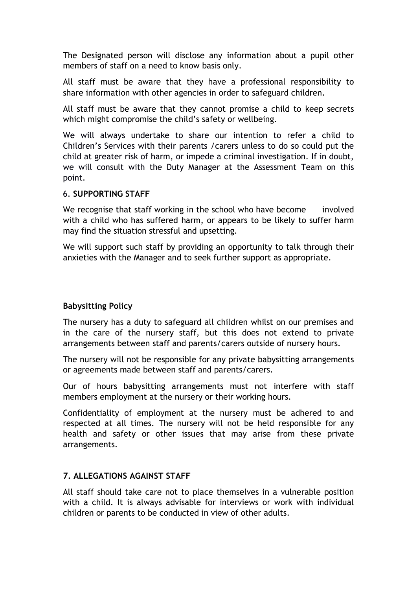The Designated person will disclose any information about a pupil other members of staff on a need to know basis only.

All staff must be aware that they have a professional responsibility to share information with other agencies in order to safeguard children.

All staff must be aware that they cannot promise a child to keep secrets which might compromise the child's safety or wellbeing.

We will always undertake to share our intention to refer a child to Children's Services with their parents /carers unless to do so could put the child at greater risk of harm, or impede a criminal investigation. If in doubt, we will consult with the Duty Manager at the Assessment Team on this point.

#### 6. **SUPPORTING STAFF**

We recognise that staff working in the school who have become involved with a child who has suffered harm, or appears to be likely to suffer harm may find the situation stressful and upsetting.

We will support such staff by providing an opportunity to talk through their anxieties with the Manager and to seek further support as appropriate.

#### **Babysitting Policy**

The nursery has a duty to safeguard all children whilst on our premises and in the care of the nursery staff, but this does not extend to private arrangements between staff and parents/carers outside of nursery hours.

The nursery will not be responsible for any private babysitting arrangements or agreements made between staff and parents/carers.

Our of hours babysitting arrangements must not interfere with staff members employment at the nursery or their working hours.

Confidentiality of employment at the nursery must be adhered to and respected at all times. The nursery will not be held responsible for any health and safety or other issues that may arise from these private arrangements.

#### **7. ALLEGATIONS AGAINST STAFF**

All staff should take care not to place themselves in a vulnerable position with a child. It is always advisable for interviews or work with individual children or parents to be conducted in view of other adults.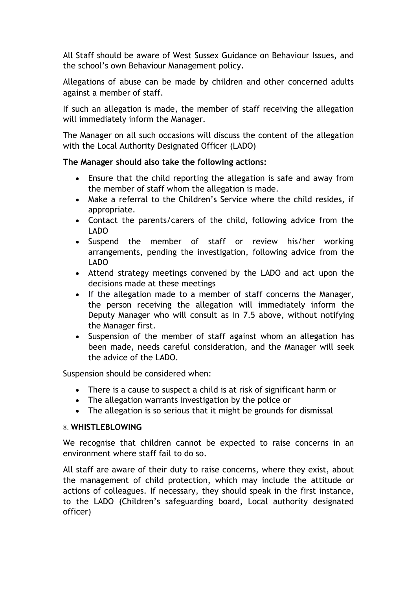All Staff should be aware of West Sussex Guidance on Behaviour Issues, and the school's own Behaviour Management policy.

Allegations of abuse can be made by children and other concerned adults against a member of staff.

If such an allegation is made, the member of staff receiving the allegation will immediately inform the Manager.

The Manager on all such occasions will discuss the content of the allegation with the Local Authority Designated Officer (LADO)

#### **The Manager should also take the following actions:**

- Ensure that the child reporting the allegation is safe and away from the member of staff whom the allegation is made.
- Make a referral to the Children's Service where the child resides, if appropriate.
- Contact the parents/carers of the child, following advice from the LADO
- Suspend the member of staff or review his/her working arrangements, pending the investigation, following advice from the LADO
- Attend strategy meetings convened by the LADO and act upon the decisions made at these meetings
- If the allegation made to a member of staff concerns the Manager, the person receiving the allegation will immediately inform the Deputy Manager who will consult as in 7.5 above, without notifying the Manager first.
- Suspension of the member of staff against whom an allegation has been made, needs careful consideration, and the Manager will seek the advice of the LADO.

Suspension should be considered when:

- There is a cause to suspect a child is at risk of significant harm or
- The allegation warrants investigation by the police or
- The allegation is so serious that it might be grounds for dismissal

#### 8. **WHISTLEBLOWING**

We recognise that children cannot be expected to raise concerns in an environment where staff fail to do so.

All staff are aware of their duty to raise concerns, where they exist, about the management of child protection, which may include the attitude or actions of colleagues. If necessary, they should speak in the first instance, to the LADO (Children's safeguarding board, Local authority designated officer)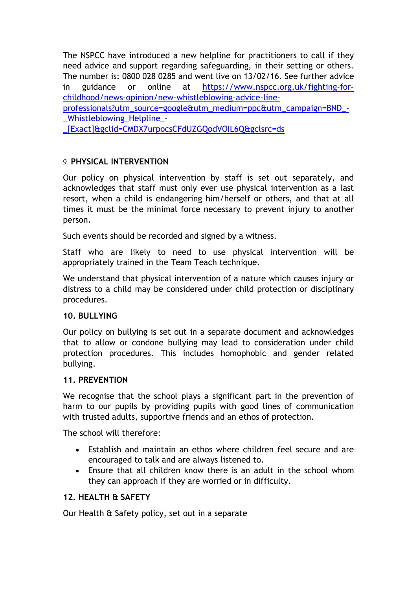The NSPCC have introduced a new helpline for practitioners to call if they need advice and support regarding safeguarding, in their setting or others. The number is: 0800 028 0285 and went live on 13/02/16. See further advice in guidance or online at [https://www.nspcc.org.uk/fighting-for](https://www.nspcc.org.uk/fighting-for-childhood/news-opinion/new-whistleblowing-advice-line-professionals?utm_source=google&utm_medium=ppc&utm_campaign=BND_-_Whistleblowing_Helpline_-_%5bExact%5d&gclid=CMDX7urpocsCFdUZGQodVOIL6Q&gclsrc=ds)[childhood/news-opinion/new-whistleblowing-advice-line](https://www.nspcc.org.uk/fighting-for-childhood/news-opinion/new-whistleblowing-advice-line-professionals?utm_source=google&utm_medium=ppc&utm_campaign=BND_-_Whistleblowing_Helpline_-_%5bExact%5d&gclid=CMDX7urpocsCFdUZGQodVOIL6Q&gclsrc=ds)[professionals?utm\\_source=google&utm\\_medium=ppc&utm\\_campaign=BND\\_-](https://www.nspcc.org.uk/fighting-for-childhood/news-opinion/new-whistleblowing-advice-line-professionals?utm_source=google&utm_medium=ppc&utm_campaign=BND_-_Whistleblowing_Helpline_-_%5bExact%5d&gclid=CMDX7urpocsCFdUZGQodVOIL6Q&gclsrc=ds) [\\_Whistleblowing\\_Helpline\\_-](https://www.nspcc.org.uk/fighting-for-childhood/news-opinion/new-whistleblowing-advice-line-professionals?utm_source=google&utm_medium=ppc&utm_campaign=BND_-_Whistleblowing_Helpline_-_%5bExact%5d&gclid=CMDX7urpocsCFdUZGQodVOIL6Q&gclsrc=ds)

[\\_\[Exact\]&gclid=CMDX7urpocsCFdUZGQodVOIL6Q&gclsrc=ds](https://www.nspcc.org.uk/fighting-for-childhood/news-opinion/new-whistleblowing-advice-line-professionals?utm_source=google&utm_medium=ppc&utm_campaign=BND_-_Whistleblowing_Helpline_-_%5bExact%5d&gclid=CMDX7urpocsCFdUZGQodVOIL6Q&gclsrc=ds)

# 9. **PHYSICAL INTERVENTION**

Our policy on physical intervention by staff is set out separately, and acknowledges that staff must only ever use physical intervention as a last resort, when a child is endangering him/herself or others, and that at all times it must be the minimal force necessary to prevent injury to another person.

Such events should be recorded and signed by a witness.

Staff who are likely to need to use physical intervention will be appropriately trained in the Team Teach technique.

We understand that physical intervention of a nature which causes injury or distress to a child may be considered under child protection or disciplinary procedures.

# **10. BULLYING**

Our policy on bullying is set out in a separate document and acknowledges that to allow or condone bullying may lead to consideration under child protection procedures. This includes homophobic and gender related bullying.

#### **11. PREVENTION**

We recognise that the school plays a significant part in the prevention of harm to our pupils by providing pupils with good lines of communication with trusted adults, supportive friends and an ethos of protection.

The school will therefore:

- Establish and maintain an ethos where children feel secure and are encouraged to talk and are always listened to.
- Ensure that all children know there is an adult in the school whom they can approach if they are worried or in difficulty.

# **12. HEALTH & SAFETY**

Our Health & Safety policy, set out in a separate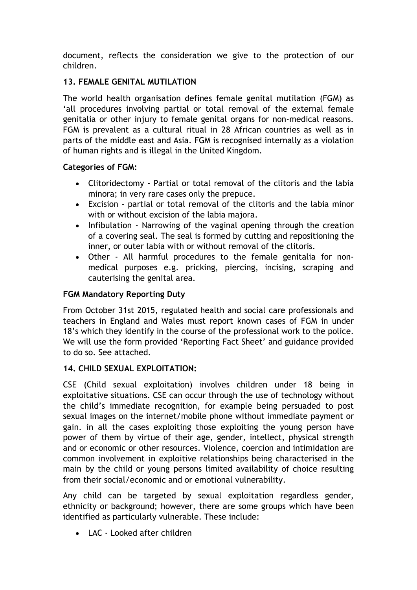document, reflects the consideration we give to the protection of our children.

# **13. FEMALE GENITAL MUTILATION**

The world health organisation defines female genital mutilation (FGM) as 'all procedures involving partial or total removal of the external female genitalia or other injury to female genital organs for non-medical reasons. FGM is prevalent as a cultural ritual in 28 African countries as well as in parts of the middle east and Asia. FGM is recognised internally as a violation of human rights and is illegal in the United Kingdom.

# **Categories of FGM:**

- Clitoridectomy Partial or total removal of the clitoris and the labia minora; in very rare cases only the prepuce.
- Excision partial or total removal of the clitoris and the labia minor with or without excision of the labia majora.
- Infibulation Narrowing of the vaginal opening through the creation of a covering seal. The seal is formed by cutting and repositioning the inner, or outer labia with or without removal of the clitoris.
- Other All harmful procedures to the female genitalia for nonmedical purposes e.g. pricking, piercing, incising, scraping and cauterising the genital area.

# **FGM Mandatory Reporting Duty**

From October 31st 2015, regulated health and social care professionals and teachers in England and Wales must report known cases of FGM in under 18's which they identify in the course of the professional work to the police. We will use the form provided 'Reporting Fact Sheet' and guidance provided to do so. See attached.

# **14. CHILD SEXUAL EXPLOITATION:**

CSE (Child sexual exploitation) involves children under 18 being in exploitative situations. CSE can occur through the use of technology without the child's immediate recognition, for example being persuaded to post sexual images on the internet/mobile phone without immediate payment or gain. in all the cases exploiting those exploiting the young person have power of them by virtue of their age, gender, intellect, physical strength and or economic or other resources. Violence, coercion and intimidation are common involvement in exploitive relationships being characterised in the main by the child or young persons limited availability of choice resulting from their social/economic and or emotional vulnerability.

Any child can be targeted by sexual exploitation regardless gender, ethnicity or background; however, there are some groups which have been identified as particularly vulnerable. These include:

• LAC - Looked after children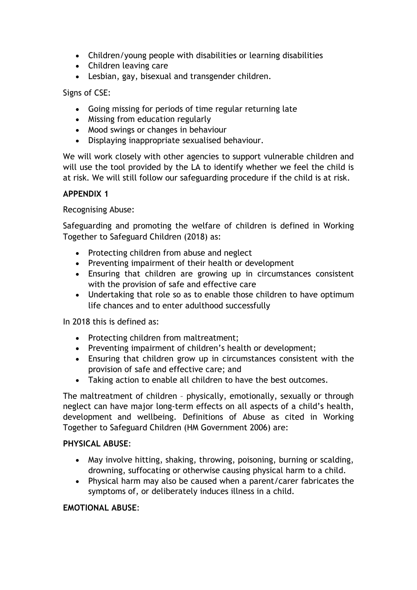- Children/young people with disabilities or learning disabilities
- Children leaving care
- Lesbian, gay, bisexual and transgender children.

Signs of CSE:

- Going missing for periods of time regular returning late
- Missing from education regularly
- Mood swings or changes in behaviour
- Displaying inappropriate sexualised behaviour.

We will work closely with other agencies to support vulnerable children and will use the tool provided by the LA to identify whether we feel the child is at risk. We will still follow our safeguarding procedure if the child is at risk.

# **APPENDIX 1**

Recognising Abuse:

Safeguarding and promoting the welfare of children is defined in Working Together to Safeguard Children (2018) as:

- Protecting children from abuse and neglect
- Preventing impairment of their health or development
- Ensuring that children are growing up in circumstances consistent with the provision of safe and effective care
- Undertaking that role so as to enable those children to have optimum life chances and to enter adulthood successfully

In 2018 this is defined as:

- Protecting children from maltreatment;
- Preventing impairment of children's health or development;
- Ensuring that children grow up in circumstances consistent with the provision of safe and effective care; and
- Taking action to enable all children to have the best outcomes.

The maltreatment of children – physically, emotionally, sexually or through neglect can have major long-term effects on all aspects of a child's health, development and wellbeing. Definitions of Abuse as cited in Working Together to Safeguard Children (HM Government 2006) are:

# **PHYSICAL ABUSE**:

- May involve hitting, shaking, throwing, poisoning, burning or scalding, drowning, suffocating or otherwise causing physical harm to a child.
- Physical harm may also be caused when a parent/carer fabricates the symptoms of, or deliberately induces illness in a child.

# **EMOTIONAL ABUSE**: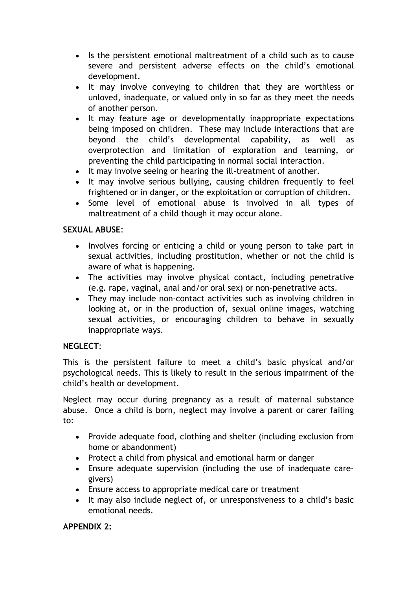- Is the persistent emotional maltreatment of a child such as to cause severe and persistent adverse effects on the child's emotional development.
- It may involve conveying to children that they are worthless or unloved, inadequate, or valued only in so far as they meet the needs of another person.
- It may feature age or developmentally inappropriate expectations being imposed on children. These may include interactions that are beyond the child's developmental capability, as well as overprotection and limitation of exploration and learning, or preventing the child participating in normal social interaction.
- It may involve seeing or hearing the ill-treatment of another.
- It may involve serious bullying, causing children frequently to feel frightened or in danger, or the exploitation or corruption of children.
- Some level of emotional abuse is involved in all types of maltreatment of a child though it may occur alone.

# **SEXUAL ABUSE**:

- Involves forcing or enticing a child or young person to take part in sexual activities, including prostitution, whether or not the child is aware of what is happening.
- The activities may involve physical contact, including penetrative (e.g. rape, vaginal, anal and/or oral sex) or non-penetrative acts.
- They may include non-contact activities such as involving children in looking at, or in the production of, sexual online images, watching sexual activities, or encouraging children to behave in sexually inappropriate ways.

# **NEGLECT**:

This is the persistent failure to meet a child's basic physical and/or psychological needs. This is likely to result in the serious impairment of the child's health or development.

Neglect may occur during pregnancy as a result of maternal substance abuse. Once a child is born, neglect may involve a parent or carer failing to:

- Provide adequate food, clothing and shelter (including exclusion from home or abandonment)
- Protect a child from physical and emotional harm or danger
- Ensure adequate supervision (including the use of inadequate caregivers)
- Ensure access to appropriate medical care or treatment
- It may also include neglect of, or unresponsiveness to a child's basic emotional needs.

# **APPENDIX 2:**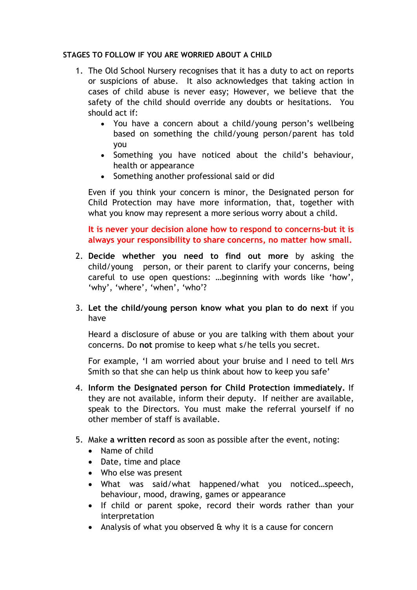#### **STAGES TO FOLLOW IF YOU ARE WORRIED ABOUT A CHILD**

- 1. The Old School Nursery recognises that it has a duty to act on reports or suspicions of abuse. It also acknowledges that taking action in cases of child abuse is never easy; However, we believe that the safety of the child should override any doubts or hesitations. You should act if:
	- You have a concern about a child/young person's wellbeing based on something the child/young person/parent has told you
	- Something you have noticed about the child's behaviour, health or appearance
	- Something another professional said or did

Even if you think your concern is minor, the Designated person for Child Protection may have more information, that, together with what you know may represent a more serious worry about a child.

**It is never your decision alone how to respond to concerns-but it is always your responsibility to share concerns, no matter how small.**

- 2. **Decide whether you need to find out more** by asking the child/young person, or their parent to clarify your concerns, being careful to use open questions: …beginning with words like 'how', 'why', 'where', 'when', 'who'?
- 3. **Let the child/young person know what you plan to do next** if you have

Heard a disclosure of abuse or you are talking with them about your concerns. Do **not** promise to keep what s/he tells you secret.

For example, 'I am worried about your bruise and I need to tell Mrs Smith so that she can help us think about how to keep you safe'

- 4. **Inform the Designated person for Child Protection immediately.** If they are not available, inform their deputy. If neither are available, speak to the Directors. You must make the referral yourself if no other member of staff is available.
- 5. Make **a written record** as soon as possible after the event, noting:
	- Name of child
	- Date, time and place
	- Who else was present
	- What was said/what happened/what you noticed…speech, behaviour, mood, drawing, games or appearance
	- If child or parent spoke, record their words rather than your interpretation
	- Analysis of what you observed & why it is a cause for concern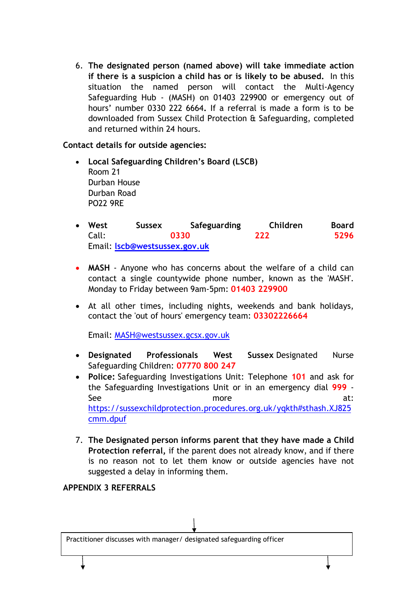6. **The designated person (named above) will take immediate action if there is a suspicion a child has or is likely to be abused.** In this situation the named person will contact the Multi-Agency Safeguarding Hub - (MASH) on 01403 229900 or emergency out of hours' number 0330 222 6664**.** If a referral is made a form is to be downloaded from Sussex Child Protection & Safeguarding, completed and returned within 24 hours.

**Contact details for outside agencies:**

- **Local Safeguarding Children's Board (LSCB)** Room 21 Durban House Durban Road PO22 9RE
- **West Sussex Safeguarding Children Board** Call: **0330 222 5296** Email: **[lscb@westsussex.gov.uk](mailto:lscb@westsussex.gov.uk)**
- **MASH** Anyone who has concerns about the welfare of a child can contact a single countywide phone number, known as the 'MASH'. Monday to Friday between 9am-5pm: **01403 229900**
- At all other times, including nights, weekends and bank holidays, contact the 'out of hours' emergency team: **03302226664**

Email: [MASH@westsussex.gcsx.gov.uk](mailto:MASH@westsussex.gcsx.gov.uk)

- **Designated Professionals West Sussex** Designated Nurse Safeguarding Children: **07770 800 247**
- **Police:** Safeguarding Investigations Unit: Telephone **101** and ask for the Safeguarding Investigations Unit or in an emergency dial **999** - See at: and a more at: and a more at: [https://sussexchildprotection.procedures.org.uk/yqkth#sthash.XJ825](https://sussexchildprotection.procedures.org.uk/yqkth#sthash.XJ825cmm.dpuf) [cmm.dpuf](https://sussexchildprotection.procedures.org.uk/yqkth#sthash.XJ825cmm.dpuf)
- 7. **The Designated person informs parent that they have made a Child Protection referral,** if the parent does not already know, and if there is no reason not to let them know or outside agencies have not suggested a delay in informing them.

# **APPENDIX 3 REFERRALS**

Practitioner discusses with manager/ designated safeguarding officer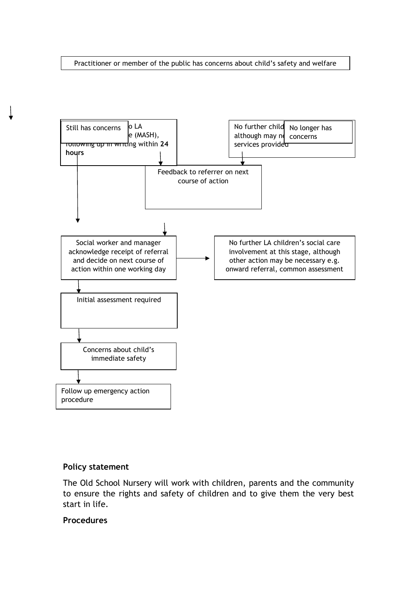#### Practitioner or member of the public has concerns about child's safety and welfare



#### **Policy statement**

The Old School Nursery will work with children, parents and the community to ensure the rights and safety of children and to give them the very best start in life.

#### **Procedures**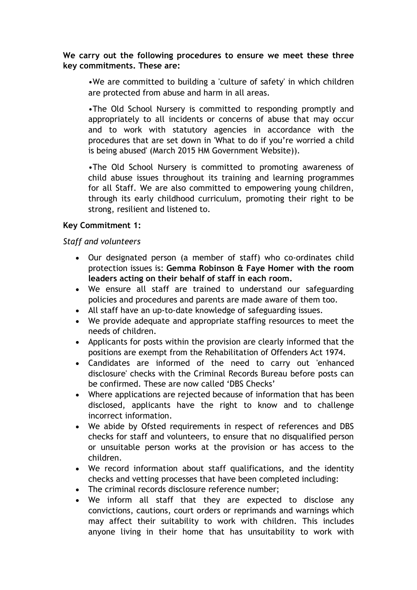#### **We carry out the following procedures to ensure we meet these three key commitments. These are:**

•We are committed to building a 'culture of safety' in which children are protected from abuse and harm in all areas.

•The Old School Nursery is committed to responding promptly and appropriately to all incidents or concerns of abuse that may occur and to work with statutory agencies in accordance with the procedures that are set down in 'What to do if you're worried a child is being abused' (March 2015 HM Government Website)).

•The Old School Nursery is committed to promoting awareness of child abuse issues throughout its training and learning programmes for all Staff. We are also committed to empowering young children, through its early childhood curriculum, promoting their right to be strong, resilient and listened to.

#### **Key Commitment 1:**

#### *Staff and volunteers*

- Our designated person (a member of staff) who co-ordinates child protection issues is: **Gemma Robinson & Faye Homer with the room leaders acting on their behalf of staff in each room.**
- We ensure all staff are trained to understand our safeguarding policies and procedures and parents are made aware of them too.
- All staff have an up-to-date knowledge of safeguarding issues.
- We provide adequate and appropriate staffing resources to meet the needs of children.
- Applicants for posts within the provision are clearly informed that the positions are exempt from the Rehabilitation of Offenders Act 1974.
- Candidates are informed of the need to carry out 'enhanced disclosure' checks with the Criminal Records Bureau before posts can be confirmed. These are now called 'DBS Checks'
- Where applications are rejected because of information that has been disclosed, applicants have the right to know and to challenge incorrect information.
- We abide by Ofsted requirements in respect of references and DBS checks for staff and volunteers, to ensure that no disqualified person or unsuitable person works at the provision or has access to the children.
- We record information about staff qualifications, and the identity checks and vetting processes that have been completed including:
- The criminal records disclosure reference number;
- We inform all staff that they are expected to disclose any convictions, cautions, court orders or reprimands and warnings which may affect their suitability to work with children. This includes anyone living in their home that has unsuitability to work with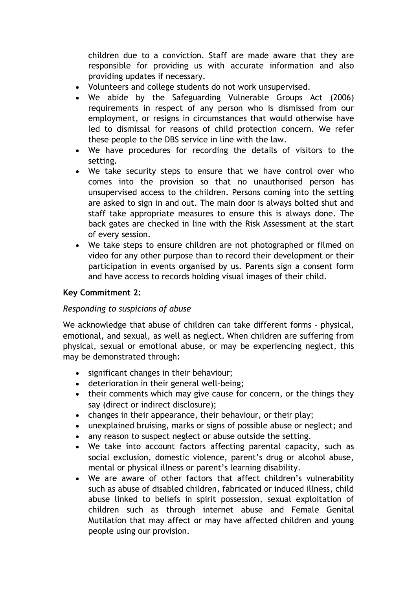children due to a conviction. Staff are made aware that they are responsible for providing us with accurate information and also providing updates if necessary.

- Volunteers and college students do not work unsupervised.
- We abide by the Safeguarding Vulnerable Groups Act (2006) requirements in respect of any person who is dismissed from our employment, or resigns in circumstances that would otherwise have led to dismissal for reasons of child protection concern. We refer these people to the DBS service in line with the law.
- We have procedures for recording the details of visitors to the setting.
- We take security steps to ensure that we have control over who comes into the provision so that no unauthorised person has unsupervised access to the children. Persons coming into the setting are asked to sign in and out. The main door is always bolted shut and staff take appropriate measures to ensure this is always done. The back gates are checked in line with the Risk Assessment at the start of every session.
- We take steps to ensure children are not photographed or filmed on video for any other purpose than to record their development or their participation in events organised by us. Parents sign a consent form and have access to records holding visual images of their child.

#### **Key Commitment 2:**

#### *Responding to suspicions of abuse*

We acknowledge that abuse of children can take different forms - physical, emotional, and sexual, as well as neglect. When children are suffering from physical, sexual or emotional abuse, or may be experiencing neglect, this may be demonstrated through:

- significant changes in their behaviour;
- deterioration in their general well-being;
- their comments which may give cause for concern, or the things they say (direct or indirect disclosure);
- changes in their appearance, their behaviour, or their play;
- unexplained bruising, marks or signs of possible abuse or neglect; and
- any reason to suspect neglect or abuse outside the setting.
- We take into account factors affecting parental capacity, such as social exclusion, domestic violence, parent's drug or alcohol abuse, mental or physical illness or parent's learning disability.
- We are aware of other factors that affect children's vulnerability such as abuse of disabled children, fabricated or induced illness, child abuse linked to beliefs in spirit possession, sexual exploitation of children such as through internet abuse and Female Genital Mutilation that may affect or may have affected children and young people using our provision.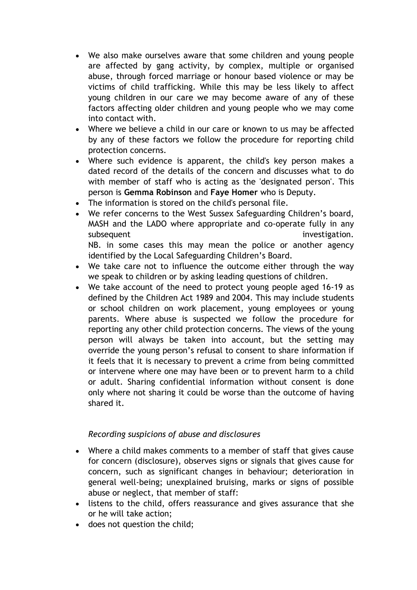- We also make ourselves aware that some children and young people are affected by gang activity, by complex, multiple or organised abuse, through forced marriage or honour based violence or may be victims of child trafficking. While this may be less likely to affect young children in our care we may become aware of any of these factors affecting older children and young people who we may come into contact with.
- Where we believe a child in our care or known to us may be affected by any of these factors we follow the procedure for reporting child protection concerns.
- Where such evidence is apparent, the child's key person makes a dated record of the details of the concern and discusses what to do with member of staff who is acting as the 'designated person'. This person is **Gemma Robinson** and **Faye Homer** who is Deputy.
- The information is stored on the child's personal file.
- We refer concerns to the West Sussex Safeguarding Children's board, MASH and the LADO where appropriate and co-operate fully in any subsequent investigation. NB. in some cases this may mean the police or another agency identified by the Local Safeguarding Children's Board.
- We take care not to influence the outcome either through the way we speak to children or by asking leading questions of children.
- We take account of the need to protect young people aged 16-19 as defined by the Children Act 1989 and 2004. This may include students or school children on work placement, young employees or young parents. Where abuse is suspected we follow the procedure for reporting any other child protection concerns. The views of the young person will always be taken into account, but the setting may override the young person's refusal to consent to share information if it feels that it is necessary to prevent a crime from being committed or intervene where one may have been or to prevent harm to a child or adult. Sharing confidential information without consent is done only where not sharing it could be worse than the outcome of having shared it.

# *Recording suspicions of abuse and disclosures*

- Where a child makes comments to a member of staff that gives cause for concern (disclosure), observes signs or signals that gives cause for concern, such as significant changes in behaviour; deterioration in general well-being; unexplained bruising, marks or signs of possible abuse or neglect, that member of staff:
- listens to the child, offers reassurance and gives assurance that she or he will take action;
- does not question the child;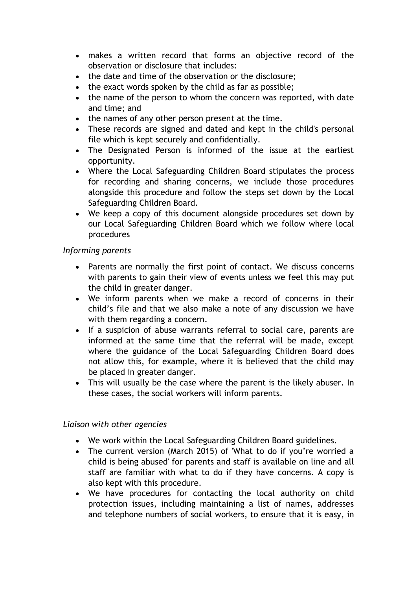- makes a written record that forms an objective record of the observation or disclosure that includes:
- the date and time of the observation or the disclosure;
- the exact words spoken by the child as far as possible;
- the name of the person to whom the concern was reported, with date and time; and
- the names of any other person present at the time.
- These records are signed and dated and kept in the child's personal file which is kept securely and confidentially.
- The Designated Person is informed of the issue at the earliest opportunity.
- Where the Local Safeguarding Children Board stipulates the process for recording and sharing concerns, we include those procedures alongside this procedure and follow the steps set down by the Local Safeguarding Children Board.
- We keep a copy of this document alongside procedures set down by our Local Safeguarding Children Board which we follow where local procedures

# *Informing parents*

- Parents are normally the first point of contact. We discuss concerns with parents to gain their view of events unless we feel this may put the child in greater danger.
- We inform parents when we make a record of concerns in their child's file and that we also make a note of any discussion we have with them regarding a concern.
- If a suspicion of abuse warrants referral to social care, parents are informed at the same time that the referral will be made, except where the guidance of the Local Safeguarding Children Board does not allow this, for example, where it is believed that the child may be placed in greater danger.
- This will usually be the case where the parent is the likely abuser. In these cases, the social workers will inform parents.

# *Liaison with other agencies*

- We work within the Local Safeguarding Children Board guidelines.
- The current version (March 2015) of 'What to do if you're worried a child is being abused' for parents and staff is available on line and all staff are familiar with what to do if they have concerns. A copy is also kept with this procedure.
- We have procedures for contacting the local authority on child protection issues, including maintaining a list of names, addresses and telephone numbers of social workers, to ensure that it is easy, in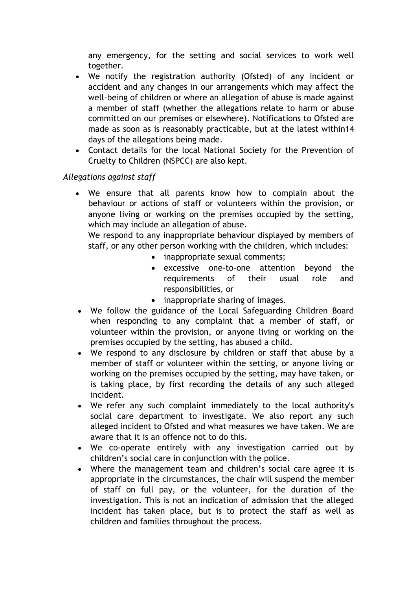any emergency, for the setting and social services to work well together.

- We notify the registration authority (Ofsted) of any incident or accident and any changes in our arrangements which may affect the well-being of children or where an allegation of abuse is made against a member of staff (whether the allegations relate to harm or abuse committed on our premises or elsewhere). Notifications to Ofsted are made as soon as is reasonably practicable, but at the latest within14 days of the allegations being made.
- Contact details for the local National Society for the Prevention of Cruelty to Children (NSPCC) are also kept.

*Allegations against staff*

• We ensure that all parents know how to complain about the behaviour or actions of staff or volunteers within the provision, or anyone living or working on the premises occupied by the setting, which may include an allegation of abuse.

We respond to any inappropriate behaviour displayed by members of staff, or any other person working with the children, which includes:

- inappropriate sexual comments;
- excessive one-to-one attention beyond the requirements of their usual role and responsibilities, or
- inappropriate sharing of images.
- We follow the guidance of the Local Safeguarding Children Board when responding to any complaint that a member of staff, or volunteer within the provision, or anyone living or working on the premises occupied by the setting, has abused a child.
- We respond to any disclosure by children or staff that abuse by a member of staff or volunteer within the setting, or anyone living or working on the premises occupied by the setting, may have taken, or is taking place, by first recording the details of any such alleged incident.
- We refer any such complaint immediately to the local authority's social care department to investigate. We also report any such alleged incident to Ofsted and what measures we have taken. We are aware that it is an offence not to do this.
- We co-operate entirely with any investigation carried out by children's social care in conjunction with the police.
- Where the management team and children's social care agree it is appropriate in the circumstances, the chair will suspend the member of staff on full pay, or the volunteer, for the duration of the investigation. This is not an indication of admission that the alleged incident has taken place, but is to protect the staff as well as children and families throughout the process.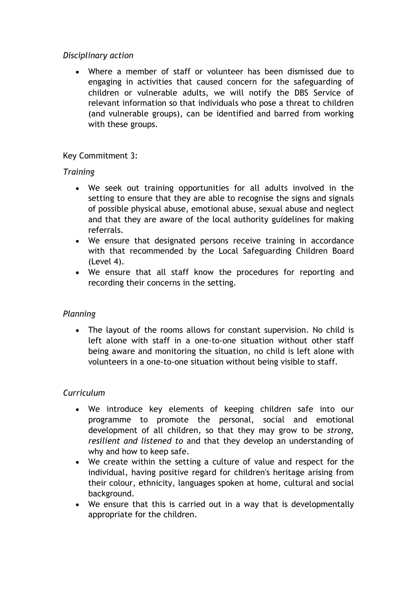# *Disciplinary action*

• Where a member of staff or volunteer has been dismissed due to engaging in activities that caused concern for the safeguarding of children or vulnerable adults, we will notify the DBS Service of relevant information so that individuals who pose a threat to children (and vulnerable groups), can be identified and barred from working with these groups.

# Key Commitment 3:

# *Training*

- We seek out training opportunities for all adults involved in the setting to ensure that they are able to recognise the signs and signals of possible physical abuse, emotional abuse, sexual abuse and neglect and that they are aware of the local authority guidelines for making referrals.
- We ensure that designated persons receive training in accordance with that recommended by the Local Safeguarding Children Board (Level 4).
- We ensure that all staff know the procedures for reporting and recording their concerns in the setting.

# *Planning*

• The layout of the rooms allows for constant supervision. No child is left alone with staff in a one-to-one situation without other staff being aware and monitoring the situation, no child is left alone with volunteers in a one-to-one situation without being visible to staff.

# *Curriculum*

- We introduce key elements of keeping children safe into our programme to promote the personal, social and emotional development of all children, so that they may grow to be *strong, resilient and listened to* and that they develop an understanding of why and how to keep safe.
- We create within the setting a culture of value and respect for the individual, having positive regard for children's heritage arising from their colour, ethnicity, languages spoken at home, cultural and social background.
- We ensure that this is carried out in a way that is developmentally appropriate for the children.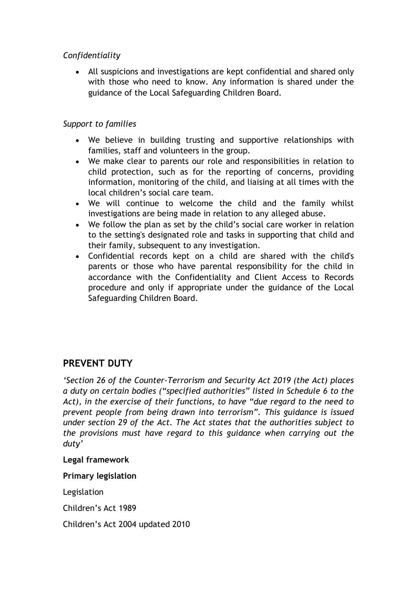# *Confidentiality*

• All suspicions and investigations are kept confidential and shared only with those who need to know. Any information is shared under the guidance of the Local Safeguarding Children Board.

# *Support to families*

- We believe in building trusting and supportive relationships with families, staff and volunteers in the group.
- We make clear to parents our role and responsibilities in relation to child protection, such as for the reporting of concerns, providing information, monitoring of the child, and liaising at all times with the local children's social care team.
- We will continue to welcome the child and the family whilst investigations are being made in relation to any alleged abuse.
- We follow the plan as set by the child's social care worker in relation to the setting's designated role and tasks in supporting that child and their family, subsequent to any investigation.
- Confidential records kept on a child are shared with the child's parents or those who have parental responsibility for the child in accordance with the Confidentiality and Client Access to Records procedure and only if appropriate under the guidance of the Local Safeguarding Children Board.

# **PREVENT DUTY**

*'Section 26 of the Counter-Terrorism and Security Act 2019 (the Act) places a duty on certain bodies ("specified authorities" listed in Schedule 6 to the Act), in the exercise of their functions, to have "due regard to the need to prevent people from being drawn into terrorism". This guidance is issued under section 29 of the Act. The Act states that the authorities subject to the provisions must have regard to this guidance when carrying out the duty'*

# **Legal framework**

**Primary legislation**

Legislation

Children's Act 1989

Children's Act 2004 updated 2010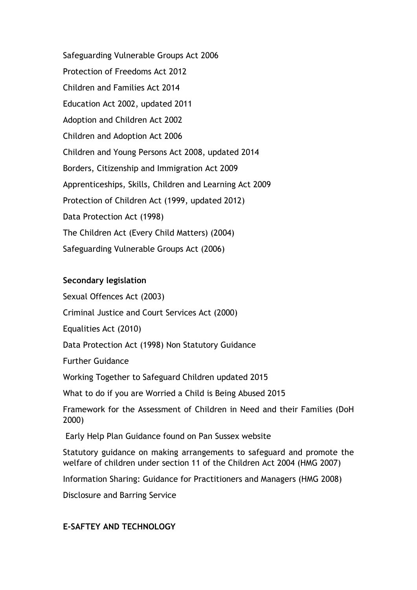Safeguarding Vulnerable Groups Act 2006 Protection of Freedoms Act 2012 Children and Families Act 2014 Education Act 2002, updated 2011 Adoption and Children Act 2002 Children and Adoption Act 2006 Children and Young Persons Act 2008, updated 2014 Borders, Citizenship and Immigration Act 2009 Apprenticeships, Skills, Children and Learning Act 2009 Protection of Children Act (1999, updated 2012) Data Protection Act (1998) The Children Act (Every Child Matters) (2004) Safeguarding Vulnerable Groups Act (2006)

#### **Secondary legislation**

Sexual Offences Act (2003)

Criminal Justice and Court Services Act (2000)

Equalities Act (2010)

Data Protection Act (1998) Non Statutory Guidance

Further Guidance

Working Together to Safeguard Children updated 2015

What to do if you are Worried a Child is Being Abused 2015

Framework for the Assessment of Children in Need and their Families (DoH 2000)

Early Help Plan Guidance found on Pan Sussex website

Statutory guidance on making arrangements to safeguard and promote the welfare of children under section 11 of the Children Act 2004 (HMG 2007)

Information Sharing: Guidance for Practitioners and Managers (HMG 2008)

Disclosure and Barring Service

#### **E-SAFTEY AND TECHNOLOGY**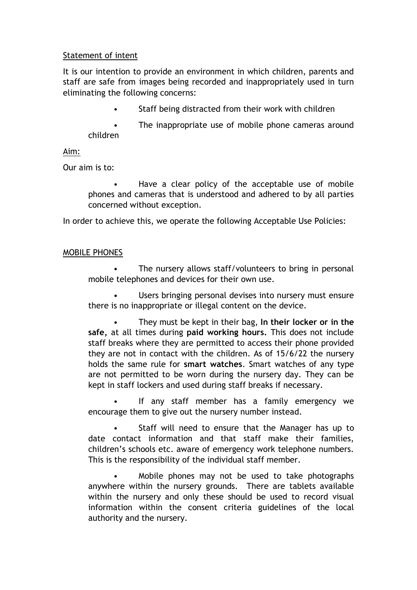#### Statement of intent

It is our intention to provide an environment in which children, parents and staff are safe from images being recorded and inappropriately used in turn eliminating the following concerns:

- Staff being distracted from their work with children
- The inappropriate use of mobile phone cameras around children

#### Aim:

Our aim is to:

Have a clear policy of the acceptable use of mobile phones and cameras that is understood and adhered to by all parties concerned without exception.

In order to achieve this, we operate the following Acceptable Use Policies:

#### MOBILE PHONES

The nursery allows staff/volunteers to bring in personal mobile telephones and devices for their own use.

Users bringing personal devises into nursery must ensure there is no inappropriate or illegal content on the device.

 • They must be kept in their bag, **In their locker or in the safe,** at all times during **paid working hours.** This does not include staff breaks where they are permitted to access their phone provided they are not in contact with the children. As of 15/6/22 the nursery holds the same rule for **smart watches**. Smart watches of any type are not permitted to be worn during the nursery day. They can be kept in staff lockers and used during staff breaks if necessary.

If any staff member has a family emergency we encourage them to give out the nursery number instead.

Staff will need to ensure that the Manager has up to date contact information and that staff make their families, children's schools etc. aware of emergency work telephone numbers. This is the responsibility of the individual staff member.

 • Mobile phones may not be used to take photographs anywhere within the nursery grounds. There are tablets available within the nursery and only these should be used to record visual information within the consent criteria guidelines of the local authority and the nursery.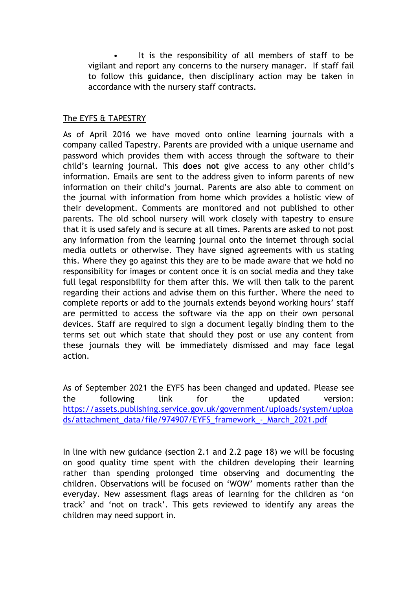It is the responsibility of all members of staff to be vigilant and report any concerns to the nursery manager. If staff fail to follow this guidance, then disciplinary action may be taken in accordance with the nursery staff contracts.

#### The EYFS & TAPESTRY

As of April 2016 we have moved onto online learning journals with a company called Tapestry. Parents are provided with a unique username and password which provides them with access through the software to their child's learning journal. This **does not** give access to any other child's information. Emails are sent to the address given to inform parents of new information on their child's journal. Parents are also able to comment on the journal with information from home which provides a holistic view of their development. Comments are monitored and not published to other parents. The old school nursery will work closely with tapestry to ensure that it is used safely and is secure at all times. Parents are asked to not post any information from the learning journal onto the internet through social media outlets or otherwise. They have signed agreements with us stating this. Where they go against this they are to be made aware that we hold no responsibility for images or content once it is on social media and they take full legal responsibility for them after this. We will then talk to the parent regarding their actions and advise them on this further. Where the need to complete reports or add to the journals extends beyond working hours' staff are permitted to access the software via the app on their own personal devices. Staff are required to sign a document legally binding them to the terms set out which state that should they post or use any content from these journals they will be immediately dismissed and may face legal action.

As of September 2021 the EYFS has been changed and updated. Please see the following link for the updated version: [https://assets.publishing.service.gov.uk/government/uploads/system/uploa](https://assets.publishing.service.gov.uk/government/uploads/system/uploads/attachment_data/file/974907/EYFS_framework_-_March_2021.pdf) ds/attachment\_data/file/974907/EYFS\_framework - March\_2021.pdf

In line with new guidance (section 2.1 and 2.2 page 18) we will be focusing on good quality time spent with the children developing their learning rather than spending prolonged time observing and documenting the children. Observations will be focused on 'WOW' moments rather than the everyday. New assessment flags areas of learning for the children as 'on track' and 'not on track'. This gets reviewed to identify any areas the children may need support in.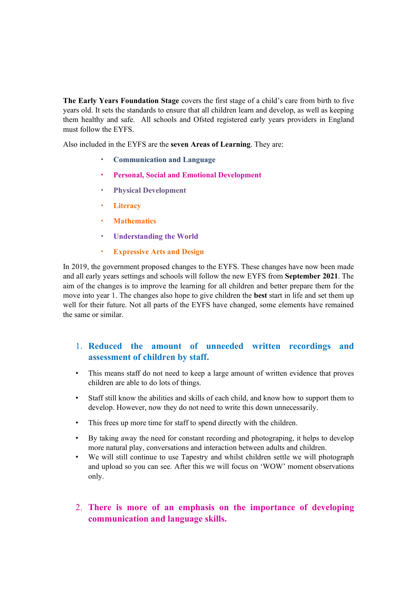**The Early Years Foundation Stage** covers the first stage of a child's care from birth to five years old. It sets the standards to ensure that all children learn and develop, as well as keeping them healthy and safe. All schools and Ofsted registered early years providers in England must follow the EYFS.

Also included in the EYFS are the **seven Areas of Learning**. They are:

- **Communication and Language**
- **Personal, Social and Emotional Development**
- **Physical Development**
- **Literacy**
- **Mathematics**
- **Understanding the World**
- **Expressive Arts and Design**

In 2019, the government proposed changes to the EYFS. These changes have now been made and all early years settings and schools will follow the new EYFS from **September 2021**. The aim of the changes is to improve the learning for all children and better prepare them for the move into year 1. The changes also hope to give children the **best** start in life and set them up well for their future. Not all parts of the EYFS have changed, some elements have remained the same or similar.

# 1. **Reduced the amount of unneeded written recordings and assessment of children by staff.**

- This means staff do not need to keep a large amount of written evidence that proves children are able to do lots of things.
- Staff still know the abilities and skills of each child, and know how to support them to develop. However, now they do not need to write this down unnecessarily.
- This frees up more time for staff to spend directly with the children.
- By taking away the need for constant recording and photograping, it helps to develop more natural play, conversations and interaction between adults and children.
- We will still continue to use Tapestry and whilst children settle we will photograph and upload so you can see. After this we will focus on 'WOW' moment observations only.
- 2. **There is more of an emphasis on the importance of developing communication and language skills.**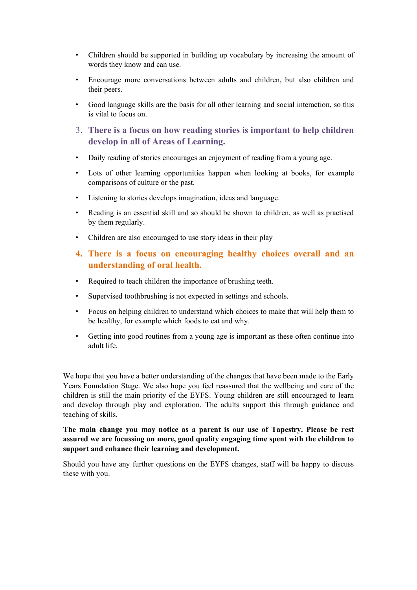- Children should be supported in building up vocabulary by increasing the amount of words they know and can use.
- Encourage more conversations between adults and children, but also children and their peers.
- Good language skills are the basis for all other learning and social interaction, so this is vital to focus on.
- 3. **There is a focus on how reading stories is important to help children develop in all of Areas of Learning.**
- Daily reading of stories encourages an enjoyment of reading from a young age.
- Lots of other learning opportunities happen when looking at books, for example comparisons of culture or the past.
- Listening to stories develops imagination, ideas and language.
- Reading is an essential skill and so should be shown to children, as well as practised by them regularly.
- Children are also encouraged to use story ideas in their play
- **4. There is a focus on encouraging healthy choices overall and an understanding of oral health.**
- Required to teach children the importance of brushing teeth.
- Supervised toothbrushing is not expected in settings and schools.
- Focus on helping children to understand which choices to make that will help them to be healthy, for example which foods to eat and why.
- Getting into good routines from a young age is important as these often continue into adult life.

We hope that you have a better understanding of the changes that have been made to the Early Years Foundation Stage. We also hope you feel reassured that the wellbeing and care of the children is still the main priority of the EYFS. Young children are still encouraged to learn and develop through play and exploration. The adults support this through guidance and teaching of skills.

**The main change you may notice as a parent is our use of Tapestry. Please be rest assured we are focussing on more, good quality engaging time spent with the children to support and enhance their learning and development.**

Should you have any further questions on the EYFS changes, staff will be happy to discuss these with you.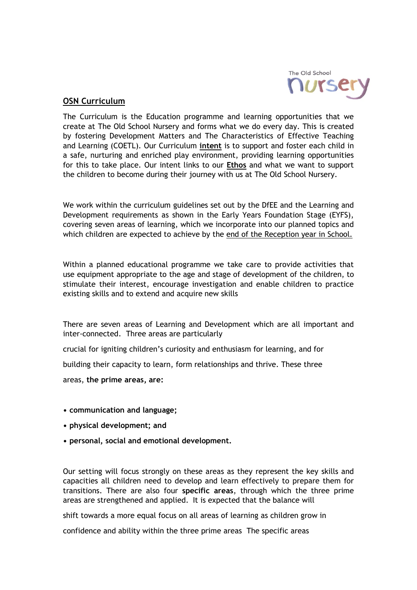

#### **OSN Curriculum**

The Curriculum is the Education programme and learning opportunities that we create at The Old School Nursery and forms what we do every day. This is created by fostering Development Matters and The Characteristics of Effective Teaching and Learning (COETL). Our Curriculum **intent** is to support and foster each child in a safe, nurturing and enriched play environment, providing learning opportunities for this to take place. Our intent links to our **Ethos** and what we want to support the children to become during their journey with us at The Old School Nursery.

We work within the curriculum guidelines set out by the DfEE and the Learning and Development requirements as shown in the Early Years Foundation Stage (EYFS), covering seven areas of learning, which we incorporate into our planned topics and which children are expected to achieve by the end of the Reception year in School.

Within a planned educational programme we take care to provide activities that use equipment appropriate to the age and stage of development of the children, to stimulate their interest, encourage investigation and enable children to practice existing skills and to extend and acquire new skills

There are seven areas of Learning and Development which are all important and inter-connected. Three areas are particularly

crucial for igniting children's curiosity and enthusiasm for learning, and for

building their capacity to learn, form relationships and thrive. These three

areas, **the prime areas, are:**

- **communication and language;**
- **physical development; and**
- **personal, social and emotional development.**

Our setting will focus strongly on these areas as they represent the key skills and capacities all children need to develop and learn effectively to prepare them for transitions. There are also four **specific areas**, through which the three prime areas are strengthened and applied. It is expected that the balance will

shift towards a more equal focus on all areas of learning as children grow in

confidence and ability within the three prime areas The specific areas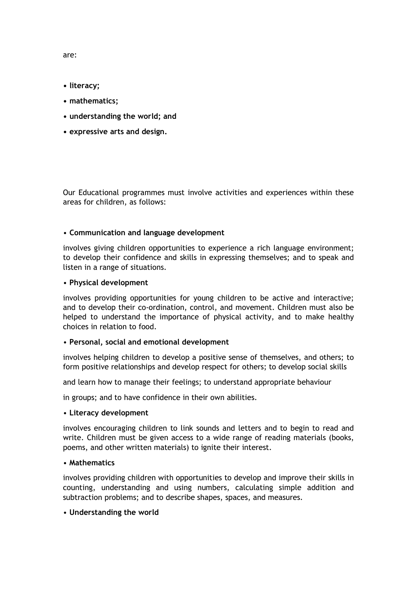are:

- **literacy;**
- **mathematics;**
- **understanding the world; and**
- **expressive arts and design.**

Our Educational programmes must involve activities and experiences within these areas for children, as follows:

#### • **Communication and language development**

involves giving children opportunities to experience a rich language environment; to develop their confidence and skills in expressing themselves; and to speak and listen in a range of situations.

#### • **Physical development**

involves providing opportunities for young children to be active and interactive; and to develop their co-ordination, control, and movement. Children must also be helped to understand the importance of physical activity, and to make healthy choices in relation to food.

#### • **Personal, social and emotional development**

involves helping children to develop a positive sense of themselves, and others; to form positive relationships and develop respect for others; to develop social skills

and learn how to manage their feelings; to understand appropriate behaviour

in groups; and to have confidence in their own abilities.

#### • **Literacy development**

involves encouraging children to link sounds and letters and to begin to read and write. Children must be given access to a wide range of reading materials (books, poems, and other written materials) to ignite their interest.

#### • **Mathematics**

involves providing children with opportunities to develop and improve their skills in counting, understanding and using numbers, calculating simple addition and subtraction problems; and to describe shapes, spaces, and measures.

#### • **Understanding the world**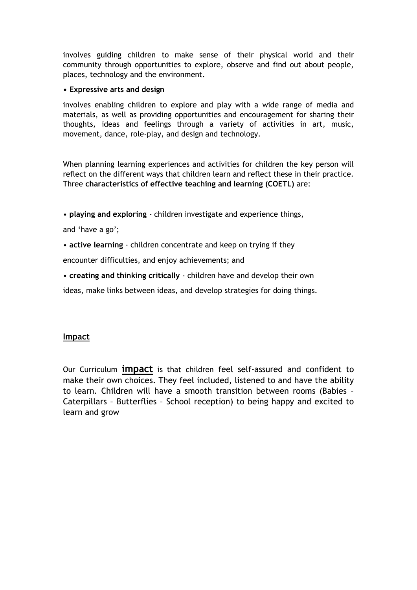involves guiding children to make sense of their physical world and their community through opportunities to explore, observe and find out about people, places, technology and the environment.

#### **• Expressive arts and design**

involves enabling children to explore and play with a wide range of media and materials, as well as providing opportunities and encouragement for sharing their thoughts, ideas and feelings through a variety of activities in art, music, movement, dance, role-play, and design and technology.

When planning learning experiences and activities for children the key person will reflect on the different ways that children learn and reflect these in their practice. Three **characteristics of effective teaching and learning (COETL)** are:

• **playing and exploring** - children investigate and experience things,

and 'have a go';

• **active learning** - children concentrate and keep on trying if they

encounter difficulties, and enjoy achievements; and

• **creating and thinking critically** - children have and develop their own

ideas, make links between ideas, and develop strategies for doing things.

# **Impact**

Our Curriculum **impact** is that children feel self-assured and confident to make their own choices. They feel included, listened to and have the ability to learn. Children will have a smooth transition between rooms (Babies – Caterpillars – Butterflies – School reception) to being happy and excited to learn and grow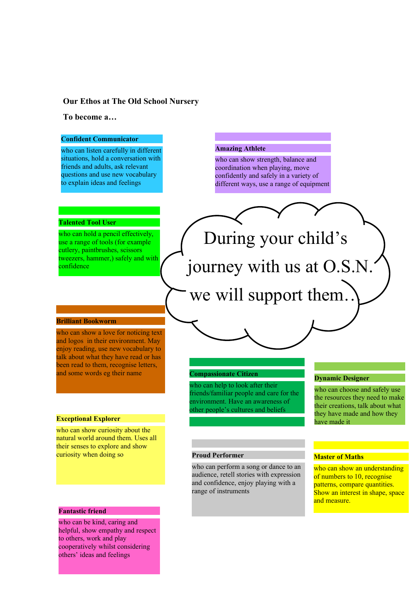#### **Our Ethos at The Old School Nursery**

**To become a…** 

#### **Confident Communicator**

who can listen carefully in different situations, hold a conversation with friends and adults, ask relevant questions and use new vocabulary to explain ideas and feelings

#### **Amazing Athlete**

who can show strength, balance and coordination when playing, move confidently and safely in a variety of different ways, use a range of equipment

#### **Talented Tool User**

who can hold a pencil effectively, use a range of tools (for example cutlery, paintbrushes, scissors tweezers, hammer,) safely and with confidence

#### **Brilliant Bookworm**

who can show a love for noticing text and logos in their environment. May enjoy reading, use new vocabulary to talk about what they have read or has been read to them, recognise letters, and some words eg their name

#### **Exceptional Explorer**

who can show curiosity about the natural world around them. Uses all their senses to explore and show curiosity when doing so

#### **Fantastic friend**

who can be kind, caring and helpful, show empathy and respect to others, work and play cooperatively whilst considering others' ideas and feelings

# During your child's journey with us at O.S.N. we will support them…

#### **Compassionate Citizen**

who can help to look after their friends/familiar people and care for the environment. Have an awareness of other people's cultures and beliefs

#### **Dynamic Designer**

who can choose and safely use the resources they need to make their creations, talk about what they have made and how they have made it

#### **Proud Performer**

who can perform a song or dance to an audience, retell stories with expression and confidence, enjoy playing with a range of instruments

#### **Master of Maths**

who can show an understanding of numbers to 10, recognise patterns, compare quantities. Show an interest in shape, space and measure.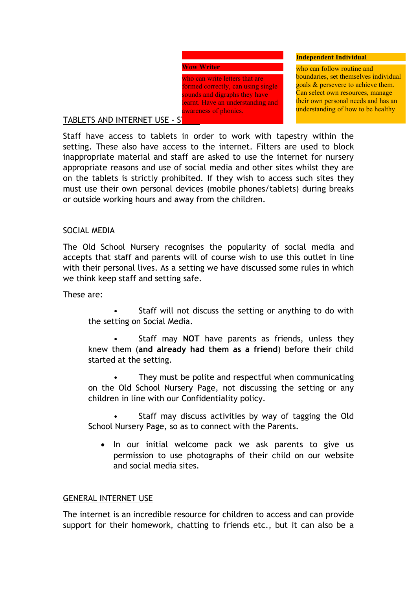#### **Wow Writer**

who can write letters that are formed correctly, can using single sounds and digraphs they have learnt. Have an understanding and awareness of phonics.

#### **Independent Individual**

who can follow routine and boundaries, set themselves individual goals & persevere to achieve them. Can select own resources, manage their own personal needs and has an understanding of how to be healthy

#### TABLETS AND INTERNET USE - ST

Staff have access to tablets in order to work with tapestry within the setting. These also have access to the internet. Filters are used to block inappropriate material and staff are asked to use the internet for nursery appropriate reasons and use of social media and other sites whilst they are on the tablets is strictly prohibited. If they wish to access such sites they must use their own personal devices (mobile phones/tablets) during breaks or outside working hours and away from the children.

#### SOCIAL MEDIA

The Old School Nursery recognises the popularity of social media and accepts that staff and parents will of course wish to use this outlet in line with their personal lives. As a setting we have discussed some rules in which we think keep staff and setting safe.

These are:

Staff will not discuss the setting or anything to do with the setting on Social Media.

 • Staff may **NOT** have parents as friends, unless they knew them (**and already had them as a friend**) before their child started at the setting.

They must be polite and respectful when communicating on the Old School Nursery Page, not discussing the setting or any children in line with our Confidentiality policy.

 • Staff may discuss activities by way of tagging the Old School Nursery Page, so as to connect with the Parents.

• In our initial welcome pack we ask parents to give us permission to use photographs of their child on our website and social media sites.

#### GENERAL INTERNET USE

The internet is an incredible resource for children to access and can provide support for their homework, chatting to friends etc., but it can also be a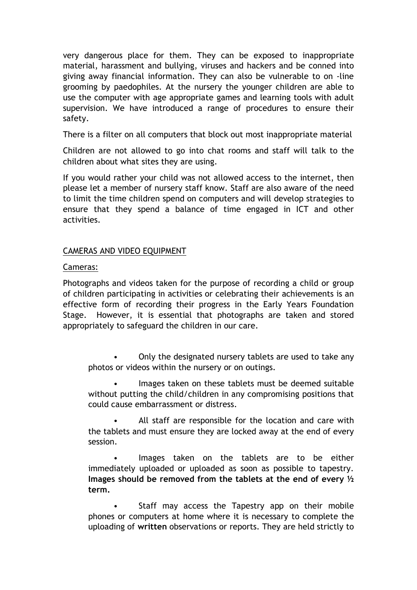very dangerous place for them. They can be exposed to inappropriate material, harassment and bullying, viruses and hackers and be conned into giving away financial information. They can also be vulnerable to on -line grooming by paedophiles. At the nursery the younger children are able to use the computer with age appropriate games and learning tools with adult supervision. We have introduced a range of procedures to ensure their safety.

There is a filter on all computers that block out most inappropriate material

Children are not allowed to go into chat rooms and staff will talk to the children about what sites they are using.

If you would rather your child was not allowed access to the internet, then please let a member of nursery staff know. Staff are also aware of the need to limit the time children spend on computers and will develop strategies to ensure that they spend a balance of time engaged in ICT and other activities.

# CAMERAS AND VIDEO EQUIPMENT

Cameras:

Photographs and videos taken for the purpose of recording a child or group of children participating in activities or celebrating their achievements is an effective form of recording their progress in the Early Years Foundation Stage. However, it is essential that photographs are taken and stored appropriately to safeguard the children in our care.

 • Only the designated nursery tablets are used to take any photos or videos within the nursery or on outings.

Images taken on these tablets must be deemed suitable without putting the child/children in any compromising positions that could cause embarrassment or distress.

All staff are responsible for the location and care with the tablets and must ensure they are locked away at the end of every session.

Images taken on the tablets are to be either immediately uploaded or uploaded as soon as possible to tapestry. **Images should be removed from the tablets at the end of every ½ term.** 

Staff may access the Tapestry app on their mobile phones or computers at home where it is necessary to complete the uploading of **written** observations or reports. They are held strictly to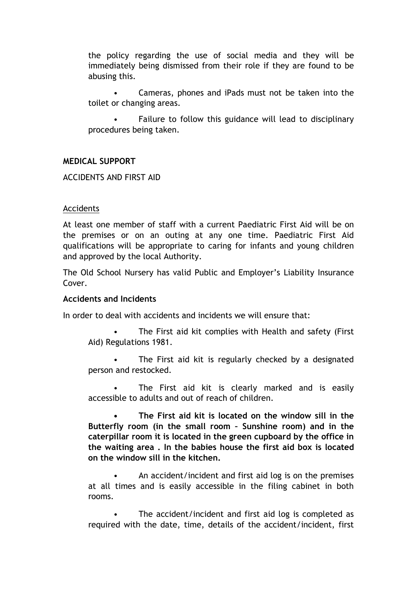the policy regarding the use of social media and they will be immediately being dismissed from their role if they are found to be abusing this.

 • Cameras, phones and iPads must not be taken into the toilet or changing areas.

Failure to follow this guidance will lead to disciplinary procedures being taken.

#### **MEDICAL SUPPORT**

ACCIDENTS AND FIRST AID

#### Accidents

At least one member of staff with a current Paediatric First Aid will be on the premises or on an outing at any one time. Paediatric First Aid qualifications will be appropriate to caring for infants and young children and approved by the local Authority.

The Old School Nursery has valid Public and Employer's Liability Insurance Cover.

#### **Accidents and Incidents**

In order to deal with accidents and incidents we will ensure that:

The First aid kit complies with Health and safety (First Aid) Regulations 1981.

The First aid kit is regularly checked by a designated person and restocked.

The First aid kit is clearly marked and is easily accessible to adults and out of reach of children.

 **• The First aid kit is located on the window sill in the Butterfly room (in the small room – Sunshine room) and in the caterpillar room it is located in the green cupboard by the office in the waiting area . In the babies house the first aid box is located on the window sill in the kitchen.** 

An accident/incident and first aid log is on the premises at all times and is easily accessible in the filing cabinet in both rooms.

The accident/incident and first aid log is completed as required with the date, time, details of the accident/incident, first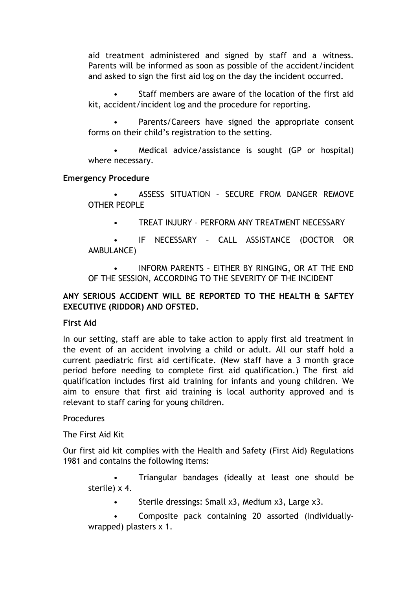aid treatment administered and signed by staff and a witness. Parents will be informed as soon as possible of the accident/incident and asked to sign the first aid log on the day the incident occurred.

• Staff members are aware of the location of the first aid kit, accident/incident log and the procedure for reporting.

Parents/Careers have signed the appropriate consent forms on their child's registration to the setting.

Medical advice/assistance is sought (GP or hospital) where necessary.

## **Emergency Procedure**

• ASSESS SITUATION – SECURE FROM DANGER REMOVE OTHER PEOPLE

• TREAT INJURY – PERFORM ANY TREATMENT NECESSARY

IF NECESSARY - CALL ASSISTANCE (DOCTOR OR AMBULANCE)

• INFORM PARENTS – EITHER BY RINGING, OR AT THE END OF THE SESSION, ACCORDING TO THE SEVERITY OF THE INCIDENT

# **ANY SERIOUS ACCIDENT WILL BE REPORTED TO THE HEALTH & SAFTEY EXECUTIVE (RIDDOR) AND OFSTED.**

# **First Aid**

In our setting, staff are able to take action to apply first aid treatment in the event of an accident involving a child or adult. All our staff hold a current paediatric first aid certificate. (New staff have a 3 month grace period before needing to complete first aid qualification.) The first aid qualification includes first aid training for infants and young children. We aim to ensure that first aid training is local authority approved and is relevant to staff caring for young children.

Procedures

The First Aid Kit

Our first aid kit complies with the Health and Safety (First Aid) Regulations 1981 and contains the following items:

• Triangular bandages (ideally at least one should be sterile) x 4.

• Sterile dressings: Small x3, Medium x3, Large x3.

• Composite pack containing 20 assorted (individuallywrapped) plasters x 1.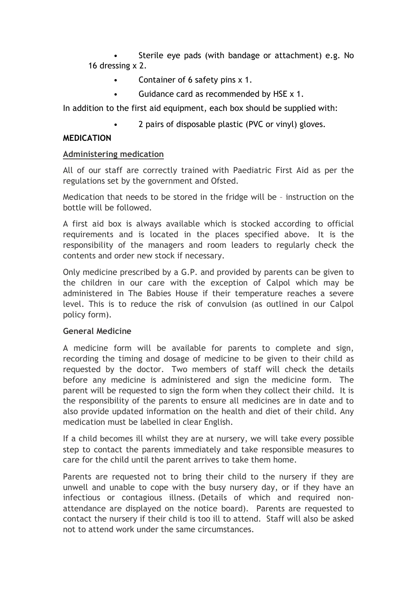Sterile eye pads (with bandage or attachment) e.g. No 16 dressing x 2.

- Container of 6 safety pins x 1.
- Guidance card as recommended by HSE x 1.

In addition to the first aid equipment, each box should be supplied with:

• 2 pairs of disposable plastic (PVC or vinyl) gloves.

### **MEDICATION**

### **Administering medication**

All of our staff are correctly trained with Paediatric First Aid as per the regulations set by the government and Ofsted.

Medication that needs to be stored in the fridge will be – instruction on the bottle will be followed.

A first aid box is always available which is stocked according to official requirements and is located in the places specified above. It is the responsibility of the managers and room leaders to regularly check the contents and order new stock if necessary.

Only medicine prescribed by a G.P. and provided by parents can be given to the children in our care with the exception of Calpol which may be administered in The Babies House if their temperature reaches a severe level. This is to reduce the risk of convulsion (as outlined in our Calpol policy form).

### **General Medicine**

A medicine form will be available for parents to complete and sign, recording the timing and dosage of medicine to be given to their child as requested by the doctor. Two members of staff will check the details before any medicine is administered and sign the medicine form. The parent will be requested to sign the form when they collect their child. It is the responsibility of the parents to ensure all medicines are in date and to also provide updated information on the health and diet of their child. Any medication must be labelled in clear English.

If a child becomes ill whilst they are at nursery, we will take every possible step to contact the parents immediately and take responsible measures to care for the child until the parent arrives to take them home.

Parents are requested not to bring their child to the nursery if they are unwell and unable to cope with the busy nursery day, or if they have an infectious or contagious illness. (Details of which and required nonattendance are displayed on the notice board). Parents are requested to contact the nursery if their child is too ill to attend. Staff will also be asked not to attend work under the same circumstances.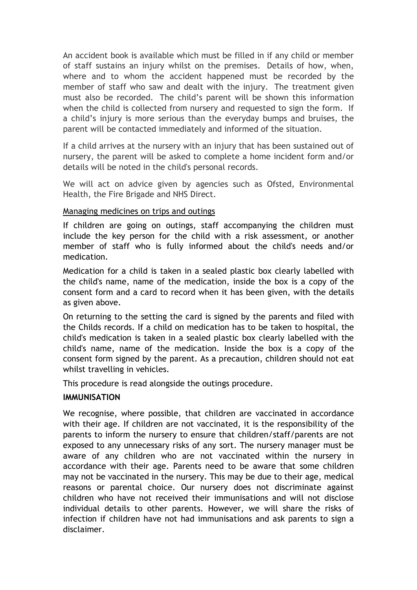An accident book is available which must be filled in if any child or member of staff sustains an injury whilst on the premises. Details of how, when, where and to whom the accident happened must be recorded by the member of staff who saw and dealt with the injury. The treatment given must also be recorded. The child's parent will be shown this information when the child is collected from nursery and requested to sign the form. If a child's injury is more serious than the everyday bumps and bruises, the parent will be contacted immediately and informed of the situation.

If a child arrives at the nursery with an injury that has been sustained out of nursery, the parent will be asked to complete a home incident form and/or details will be noted in the child's personal records.

We will act on advice given by agencies such as Ofsted, Environmental Health, the Fire Brigade and NHS Direct.

### Managing medicines on trips and outings

If children are going on outings, staff accompanying the children must include the key person for the child with a risk assessment, or another member of staff who is fully informed about the child's needs and/or medication.

Medication for a child is taken in a sealed plastic box clearly labelled with the child's name, name of the medication, inside the box is a copy of the consent form and a card to record when it has been given, with the details as given above.

On returning to the setting the card is signed by the parents and filed with the Childs records. If a child on medication has to be taken to hospital, the child's medication is taken in a sealed plastic box clearly labelled with the child's name, name of the medication. Inside the box is a copy of the consent form signed by the parent. As a precaution, children should not eat whilst travelling in vehicles.

This procedure is read alongside the outings procedure.

# **IMMUNISATION**

We recognise, where possible, that children are vaccinated in accordance with their age. If children are not vaccinated, it is the responsibility of the parents to inform the nursery to ensure that children/staff/parents are not exposed to any unnecessary risks of any sort. The nursery manager must be aware of any children who are not vaccinated within the nursery in accordance with their age. Parents need to be aware that some children may not be vaccinated in the nursery. This may be due to their age, medical reasons or parental choice. Our nursery does not discriminate against children who have not received their immunisations and will not disclose individual details to other parents. However, we will share the risks of infection if children have not had immunisations and ask parents to sign a disclaimer.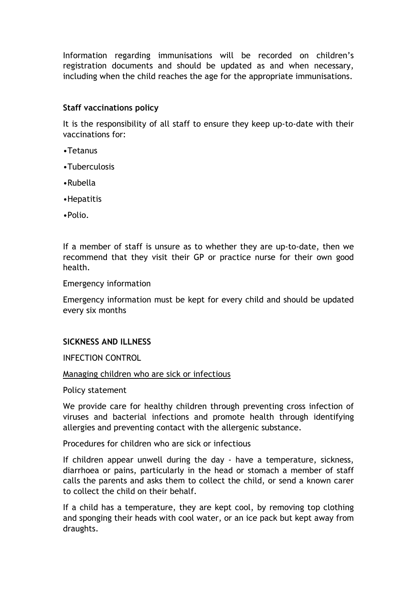Information regarding immunisations will be recorded on children's registration documents and should be updated as and when necessary, including when the child reaches the age for the appropriate immunisations.

### **Staff vaccinations policy**

It is the responsibility of all staff to ensure they keep up-to-date with their vaccinations for:

- •Tetanus
- •Tuberculosis
- •Rubella
- •Hepatitis
- •Polio.

If a member of staff is unsure as to whether they are up-to-date, then we recommend that they visit their GP or practice nurse for their own good health.

Emergency information

Emergency information must be kept for every child and should be updated every six months

### **SICKNESS AND ILLNESS**

### INFECTION CONTROL

### Managing children who are sick or infectious

Policy statement

We provide care for healthy children through preventing cross infection of viruses and bacterial infections and promote health through identifying allergies and preventing contact with the allergenic substance.

Procedures for children who are sick or infectious

If children appear unwell during the day - have a temperature, sickness, diarrhoea or pains, particularly in the head or stomach a member of staff calls the parents and asks them to collect the child, or send a known carer to collect the child on their behalf.

If a child has a temperature, they are kept cool, by removing top clothing and sponging their heads with cool water, or an ice pack but kept away from draughts.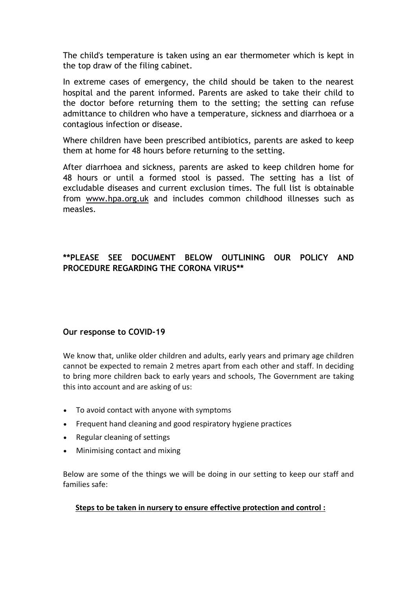The child's temperature is taken using an ear thermometer which is kept in the top draw of the filing cabinet.

In extreme cases of emergency, the child should be taken to the nearest hospital and the parent informed. Parents are asked to take their child to the doctor before returning them to the setting; the setting can refuse admittance to children who have a temperature, sickness and diarrhoea or a contagious infection or disease.

Where children have been prescribed antibiotics, parents are asked to keep them at home for 48 hours before returning to the setting.

After diarrhoea and sickness, parents are asked to keep children home for 48 hours or until a formed stool is passed. The setting has a list of excludable diseases and current exclusion times. The full list is obtainable from www.hpa.org.uk and includes common childhood illnesses such as measles.

# **\*\*PLEASE SEE DOCUMENT BELOW OUTLINING OUR POLICY AND PROCEDURE REGARDING THE CORONA VIRUS\*\***

# **Our response to COVID-19**

We know that, unlike older children and adults, early years and primary age children cannot be expected to remain 2 metres apart from each other and staff. In deciding to bring more children back to early years and schools, The Government are taking this into account and are asking of us:

- To avoid contact with anyone with symptoms
- Frequent hand cleaning and good respiratory hygiene practices
- Regular cleaning of settings
- Minimising contact and mixing

Below are some of the things we will be doing in our setting to keep our staff and families safe:

### **Steps to be taken in nursery to ensure effective protection and control :**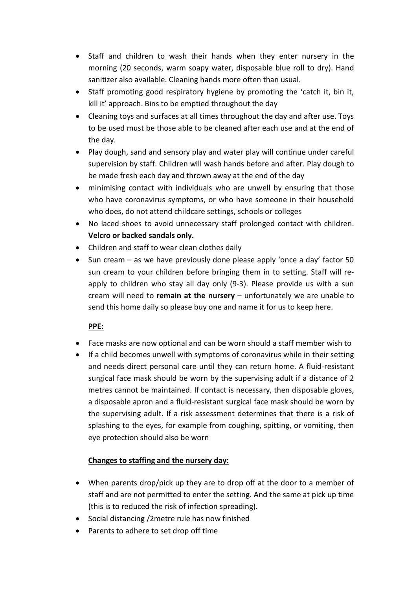- Staff and children to wash their hands when they enter nursery in the morning (20 seconds, warm soapy water, disposable blue roll to dry). Hand sanitizer also available. Cleaning hands more often than usual.
- Staff promoting good respiratory hygiene by promoting the 'catch it, bin it, kill it' approach. Bins to be emptied throughout the day
- Cleaning toys and surfaces at all times throughout the day and after use. Toys to be used must be those able to be cleaned after each use and at the end of the day.
- Play dough, sand and sensory play and water play will continue under careful supervision by staff. Children will wash hands before and after. Play dough to be made fresh each day and thrown away at the end of the day
- minimising contact with individuals who are unwell by ensuring that those who have coronavirus symptoms, or who have someone in their household who does, do not attend childcare settings, schools or colleges
- No laced shoes to avoid unnecessary staff prolonged contact with children. **Velcro or backed sandals only.**
- Children and staff to wear clean clothes daily
- Sun cream as we have previously done please apply 'once a day' factor 50 sun cream to your children before bringing them in to setting. Staff will reapply to children who stay all day only (9-3). Please provide us with a sun cream will need to **remain at the nursery** – unfortunately we are unable to send this home daily so please buy one and name it for us to keep here.

# **PPE:**

- Face masks are now optional and can be worn should a staff member wish to
- If a child becomes unwell with symptoms of coronavirus while in their setting and needs direct personal care until they can return home. A fluid-resistant surgical face mask should be worn by the supervising adult if a distance of 2 metres cannot be maintained. If contact is necessary, then disposable gloves, a disposable apron and a fluid-resistant surgical face mask should be worn by the supervising adult. If a risk assessment determines that there is a risk of splashing to the eyes, for example from coughing, spitting, or vomiting, then eye protection should also be worn

# **Changes to staffing and the nursery day:**

- When parents drop/pick up they are to drop off at the door to a member of staff and are not permitted to enter the setting. And the same at pick up time (this is to reduced the risk of infection spreading).
- Social distancing /2metre rule has now finished
- Parents to adhere to set drop off time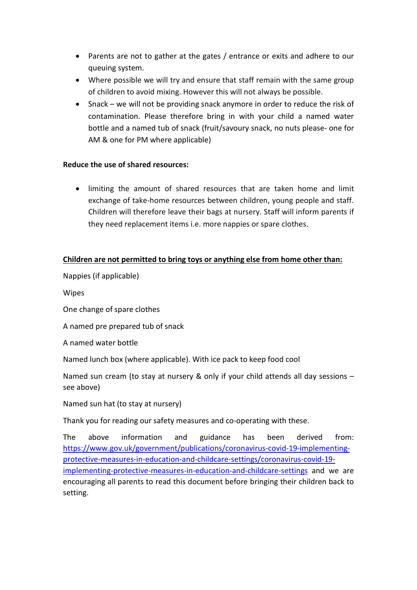- Parents are not to gather at the gates / entrance or exits and adhere to our queuing system.
- Where possible we will try and ensure that staff remain with the same group of children to avoid mixing. However this will not always be possible.
- Snack we will not be providing snack anymore in order to reduce the risk of contamination. Please therefore bring in with your child a named water bottle and a named tub of snack (fruit/savoury snack, no nuts please- one for AM & one for PM where applicable)

#### **Reduce the use of shared resources:**

• limiting the amount of shared resources that are taken home and limit exchange of take-home resources between children, young people and staff. Children will therefore leave their bags at nursery. Staff will inform parents if they need replacement items i.e. more nappies or spare clothes.

#### **Children are not permitted to bring toys or anything else from home other than:**

Nappies (if applicable)

Wipes

One change of spare clothes

A named pre prepared tub of snack

A named water bottle

Named lunch box (where applicable). With ice pack to keep food cool

Named sun cream (to stay at nursery & only if your child attends all day sessions – see above)

Named sun hat (to stay at nursery)

Thank you for reading our safety measures and co-operating with these.

The above information and guidance has been derived from: [https://www.gov.uk/government/publications/coronavirus-covid-19-implementing](https://www.gov.uk/government/publications/coronavirus-covid-19-implementing-protective-measures-in-education-and-childcare-settings/coronavirus-covid-19-implementing-protective-measures-in-education-and-childcare-settings)[protective-measures-in-education-and-childcare-settings/coronavirus-covid-19](https://www.gov.uk/government/publications/coronavirus-covid-19-implementing-protective-measures-in-education-and-childcare-settings/coronavirus-covid-19-implementing-protective-measures-in-education-and-childcare-settings) [implementing-protective-measures-in-education-and-childcare-settings](https://www.gov.uk/government/publications/coronavirus-covid-19-implementing-protective-measures-in-education-and-childcare-settings/coronavirus-covid-19-implementing-protective-measures-in-education-and-childcare-settings) and we are encouraging all parents to read this document before bringing their children back to setting.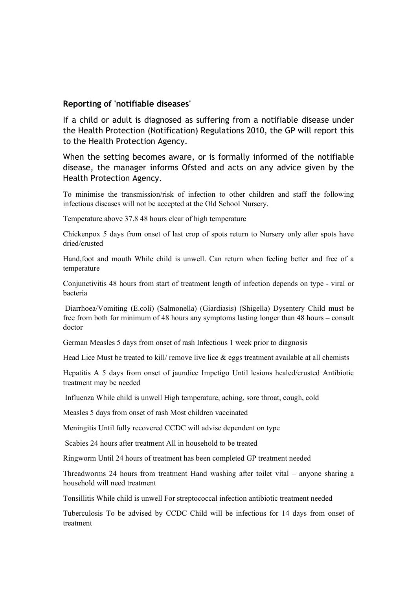#### **Reporting of 'notifiable diseases'**

If a child or adult is diagnosed as suffering from a notifiable disease under the Health Protection (Notification) Regulations 2010, the GP will report this to the Health Protection Agency.

When the setting becomes aware, or is formally informed of the notifiable disease, the manager informs Ofsted and acts on any advice given by the Health Protection Agency.

To minimise the transmission/risk of infection to other children and staff the following infectious diseases will not be accepted at the Old School Nursery.

Temperature above 37.8 48 hours clear of high temperature

Chickenpox 5 days from onset of last crop of spots return to Nursery only after spots have dried/crusted

Hand,foot and mouth While child is unwell. Can return when feeling better and free of a temperature

Conjunctivitis 48 hours from start of treatment length of infection depends on type - viral or bacteria

Diarrhoea/Vomiting (E.coli) (Salmonella) (Giardiasis) (Shigella) Dysentery Child must be free from both for minimum of 48 hours any symptoms lasting longer than 48 hours – consult doctor

German Measles 5 days from onset of rash Infectious 1 week prior to diagnosis

Head Lice Must be treated to kill/ remove live lice  $\&$  eggs treatment available at all chemists

Hepatitis A 5 days from onset of jaundice Impetigo Until lesions healed/crusted Antibiotic treatment may be needed

Influenza While child is unwell High temperature, aching, sore throat, cough, cold

Measles 5 days from onset of rash Most children vaccinated

Meningitis Until fully recovered CCDC will advise dependent on type

Scabies 24 hours after treatment All in household to be treated

Ringworm Until 24 hours of treatment has been completed GP treatment needed

Threadworms 24 hours from treatment Hand washing after toilet vital – anyone sharing a household will need treatment

Tonsillitis While child is unwell For streptococcal infection antibiotic treatment needed

Tuberculosis To be advised by CCDC Child will be infectious for 14 days from onset of treatment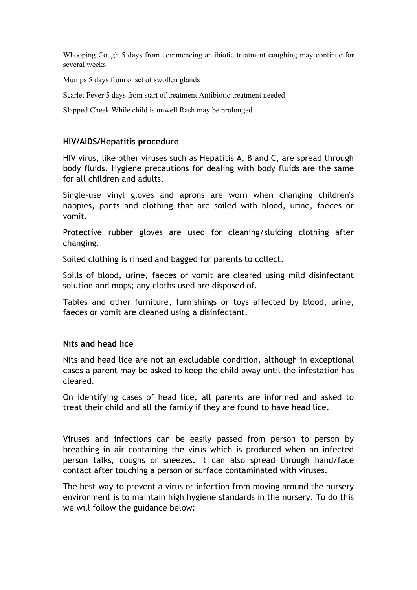Whooping Cough 5 days from commencing antibiotic treatment coughing may continue for several weeks

Mumps 5 days from onset of swollen glands

Scarlet Fever 5 days from start of treatment Antibiotic treatment needed

Slapped Cheek While child is unwell Rash may be prolonged

#### **HIV/AIDS/Hepatitis procedure**

HIV virus, like other viruses such as Hepatitis A, B and C, are spread through body fluids. Hygiene precautions for dealing with body fluids are the same for all children and adults.

Single-use vinyl gloves and aprons are worn when changing children's nappies, pants and clothing that are soiled with blood, urine, faeces or vomit.

Protective rubber gloves are used for cleaning/sluicing clothing after changing.

Soiled clothing is rinsed and bagged for parents to collect.

Spills of blood, urine, faeces or vomit are cleared using mild disinfectant solution and mops; any cloths used are disposed of.

Tables and other furniture, furnishings or toys affected by blood, urine, faeces or vomit are cleaned using a disinfectant.

#### **Nits and head lice**

Nits and head lice are not an excludable condition, although in exceptional cases a parent may be asked to keep the child away until the infestation has cleared.

On identifying cases of head lice, all parents are informed and asked to treat their child and all the family if they are found to have head lice.

Viruses and infections can be easily passed from person to person by breathing in air containing the virus which is produced when an infected person talks, coughs or sneezes. It can also spread through hand/face contact after touching a person or surface contaminated with viruses.

The best way to prevent a virus or infection from moving around the nursery environment is to maintain high hygiene standards in the nursery. To do this we will follow the guidance below: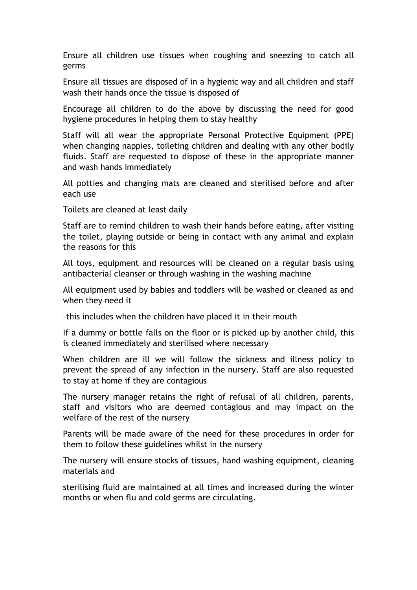Ensure all children use tissues when coughing and sneezing to catch all germs

Ensure all tissues are disposed of in a hygienic way and all children and staff wash their hands once the tissue is disposed of

Encourage all children to do the above by discussing the need for good hygiene procedures in helping them to stay healthy

Staff will all wear the appropriate Personal Protective Equipment (PPE) when changing nappies, toileting children and dealing with any other bodily fluids. Staff are requested to dispose of these in the appropriate manner and wash hands immediately

All potties and changing mats are cleaned and sterilised before and after each use

Toilets are cleaned at least daily

Staff are to remind children to wash their hands before eating, after visiting the toilet, playing outside or being in contact with any animal and explain the reasons for this

All toys, equipment and resources will be cleaned on a regular basis using antibacterial cleanser or through washing in the washing machine

All equipment used by babies and toddlers will be washed or cleaned as and when they need it

–this includes when the children have placed it in their mouth

If a dummy or bottle falls on the floor or is picked up by another child, this is cleaned immediately and sterilised where necessary

When children are ill we will follow the sickness and illness policy to prevent the spread of any infection in the nursery. Staff are also requested to stay at home if they are contagious

The nursery manager retains the right of refusal of all children, parents, staff and visitors who are deemed contagious and may impact on the welfare of the rest of the nursery

Parents will be made aware of the need for these procedures in order for them to follow these guidelines whilst in the nursery

The nursery will ensure stocks of tissues, hand washing equipment, cleaning materials and

sterilising fluid are maintained at all times and increased during the winter months or when flu and cold germs are circulating.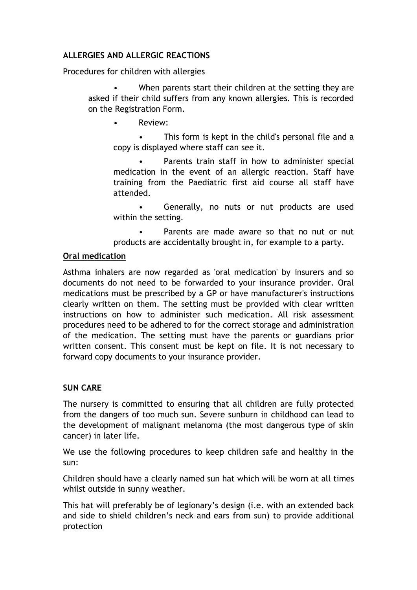# **ALLERGIES AND ALLERGIC REACTIONS**

Procedures for children with allergies

When parents start their children at the setting they are asked if their child suffers from any known allergies. This is recorded on the Registration Form.

• Review:

This form is kept in the child's personal file and a copy is displayed where staff can see it.

Parents train staff in how to administer special medication in the event of an allergic reaction. Staff have training from the Paediatric first aid course all staff have attended.

Generally, no nuts or nut products are used within the setting.

 • Parents are made aware so that no nut or nut products are accidentally brought in, for example to a party.

# **Oral medication**

Asthma inhalers are now regarded as 'oral medication' by insurers and so documents do not need to be forwarded to your insurance provider. Oral medications must be prescribed by a GP or have manufacturer's instructions clearly written on them. The setting must be provided with clear written instructions on how to administer such medication. All risk assessment procedures need to be adhered to for the correct storage and administration of the medication. The setting must have the parents or guardians prior written consent. This consent must be kept on file. It is not necessary to forward copy documents to your insurance provider.

# **SUN CARE**

The nursery is committed to ensuring that all children are fully protected from the dangers of too much sun. Severe sunburn in childhood can lead to the development of malignant melanoma (the most dangerous type of skin cancer) in later life.

We use the following procedures to keep children safe and healthy in the sun:

Children should have a clearly named sun hat which will be worn at all times whilst outside in sunny weather.

This hat will preferably be of legionary's design (i.e. with an extended back and side to shield children's neck and ears from sun) to provide additional protection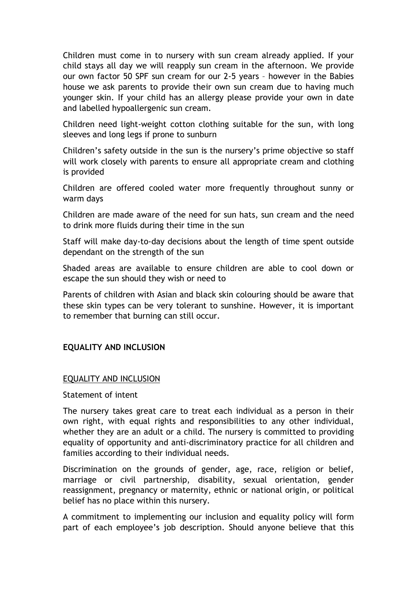Children must come in to nursery with sun cream already applied. If your child stays all day we will reapply sun cream in the afternoon. We provide our own factor 50 SPF sun cream for our 2-5 years – however in the Babies house we ask parents to provide their own sun cream due to having much younger skin. If your child has an allergy please provide your own in date and labelled hypoallergenic sun cream.

Children need light-weight cotton clothing suitable for the sun, with long sleeves and long legs if prone to sunburn

Children's safety outside in the sun is the nursery's prime objective so staff will work closely with parents to ensure all appropriate cream and clothing is provided

Children are offered cooled water more frequently throughout sunny or warm days

Children are made aware of the need for sun hats, sun cream and the need to drink more fluids during their time in the sun

Staff will make day-to-day decisions about the length of time spent outside dependant on the strength of the sun

Shaded areas are available to ensure children are able to cool down or escape the sun should they wish or need to

Parents of children with Asian and black skin colouring should be aware that these skin types can be very tolerant to sunshine. However, it is important to remember that burning can still occur.

# **EQUALITY AND INCLUSION**

### EQUALITY AND INCLUSION

#### Statement of intent

The nursery takes great care to treat each individual as a person in their own right, with equal rights and responsibilities to any other individual, whether they are an adult or a child. The nursery is committed to providing equality of opportunity and anti-discriminatory practice for all children and families according to their individual needs.

Discrimination on the grounds of gender, age, race, religion or belief, marriage or civil partnership, disability, sexual orientation, gender reassignment, pregnancy or maternity, ethnic or national origin, or political belief has no place within this nursery.

A commitment to implementing our inclusion and equality policy will form part of each employee's job description. Should anyone believe that this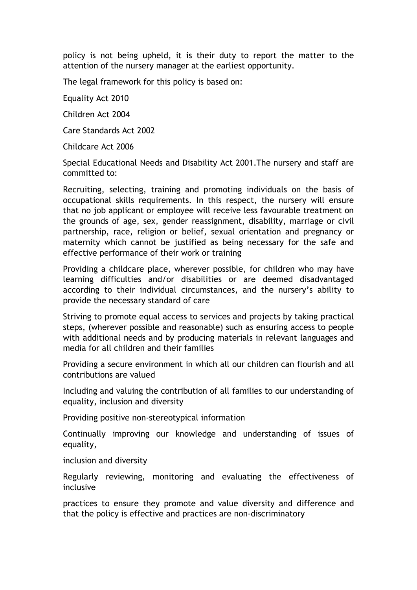policy is not being upheld, it is their duty to report the matter to the attention of the nursery manager at the earliest opportunity.

The legal framework for this policy is based on:

Equality Act 2010

Children Act 2004

Care Standards Act 2002

Childcare Act 2006

Special Educational Needs and Disability Act 2001.The nursery and staff are committed to:

Recruiting, selecting, training and promoting individuals on the basis of occupational skills requirements. In this respect, the nursery will ensure that no job applicant or employee will receive less favourable treatment on the grounds of age, sex, gender reassignment, disability, marriage or civil partnership, race, religion or belief, sexual orientation and pregnancy or maternity which cannot be justified as being necessary for the safe and effective performance of their work or training

Providing a childcare place, wherever possible, for children who may have learning difficulties and/or disabilities or are deemed disadvantaged according to their individual circumstances, and the nursery's ability to provide the necessary standard of care

Striving to promote equal access to services and projects by taking practical steps, (wherever possible and reasonable) such as ensuring access to people with additional needs and by producing materials in relevant languages and media for all children and their families

Providing a secure environment in which all our children can flourish and all contributions are valued

Including and valuing the contribution of all families to our understanding of equality, inclusion and diversity

Providing positive non-stereotypical information

Continually improving our knowledge and understanding of issues of equality,

inclusion and diversity

Regularly reviewing, monitoring and evaluating the effectiveness of inclusive

practices to ensure they promote and value diversity and difference and that the policy is effective and practices are non-discriminatory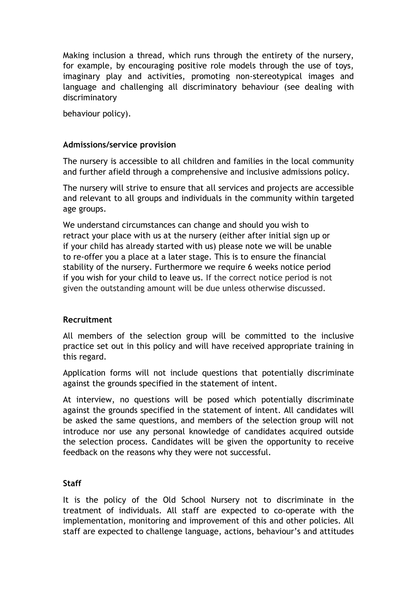Making inclusion a thread, which runs through the entirety of the nursery, for example, by encouraging positive role models through the use of toys, imaginary play and activities, promoting non-stereotypical images and language and challenging all discriminatory behaviour (see dealing with discriminatory

behaviour policy).

### **Admissions/service provision**

The nursery is accessible to all children and families in the local community and further afield through a comprehensive and inclusive admissions policy.

The nursery will strive to ensure that all services and projects are accessible and relevant to all groups and individuals in the community within targeted age groups.

We understand circumstances can change and should you wish to retract your place with us at the nursery (either after initial sign up or if your child has already started with us) please note we will be unable to re-offer you a place at a later stage. This is to ensure the financial stability of the nursery. Furthermore we require 6 weeks notice period if you wish for your child to leave us. If the correct notice period is not given the outstanding amount will be due unless otherwise discussed.

# **Recruitment**

All members of the selection group will be committed to the inclusive practice set out in this policy and will have received appropriate training in this regard.

Application forms will not include questions that potentially discriminate against the grounds specified in the statement of intent.

At interview, no questions will be posed which potentially discriminate against the grounds specified in the statement of intent. All candidates will be asked the same questions, and members of the selection group will not introduce nor use any personal knowledge of candidates acquired outside the selection process. Candidates will be given the opportunity to receive feedback on the reasons why they were not successful.

### **Staff**

It is the policy of the Old School Nursery not to discriminate in the treatment of individuals. All staff are expected to co-operate with the implementation, monitoring and improvement of this and other policies. All staff are expected to challenge language, actions, behaviour's and attitudes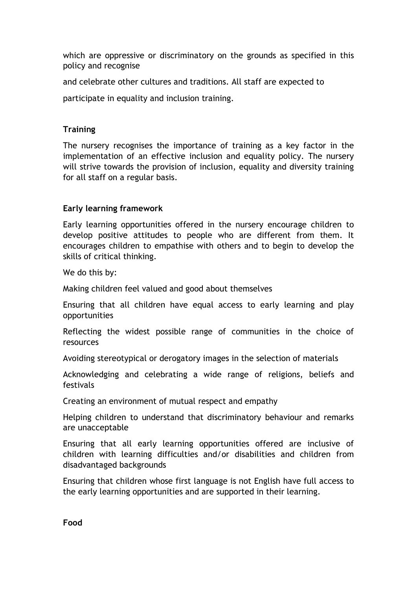which are oppressive or discriminatory on the grounds as specified in this policy and recognise

and celebrate other cultures and traditions. All staff are expected to

participate in equality and inclusion training.

# **Training**

The nursery recognises the importance of training as a key factor in the implementation of an effective inclusion and equality policy. The nursery will strive towards the provision of inclusion, equality and diversity training for all staff on a regular basis.

# **Early learning framework**

Early learning opportunities offered in the nursery encourage children to develop positive attitudes to people who are different from them. It encourages children to empathise with others and to begin to develop the skills of critical thinking.

We do this by:

Making children feel valued and good about themselves

Ensuring that all children have equal access to early learning and play opportunities

Reflecting the widest possible range of communities in the choice of resources

Avoiding stereotypical or derogatory images in the selection of materials

Acknowledging and celebrating a wide range of religions, beliefs and festivals

Creating an environment of mutual respect and empathy

Helping children to understand that discriminatory behaviour and remarks are unacceptable

Ensuring that all early learning opportunities offered are inclusive of children with learning difficulties and/or disabilities and children from disadvantaged backgrounds

Ensuring that children whose first language is not English have full access to the early learning opportunities and are supported in their learning.

**Food**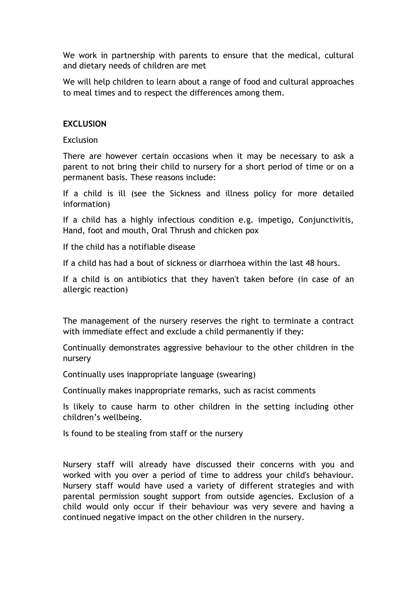We work in partnership with parents to ensure that the medical, cultural and dietary needs of children are met

We will help children to learn about a range of food and cultural approaches to meal times and to respect the differences among them.

## **EXCLUSION**

**Exclusion** 

There are however certain occasions when it may be necessary to ask a parent to not bring their child to nursery for a short period of time or on a permanent basis. These reasons include:

If a child is ill (see the Sickness and illness policy for more detailed information)

If a child has a highly infectious condition e.g. impetigo, Conjunctivitis, Hand, foot and mouth, Oral Thrush and chicken pox

If the child has a notifiable disease

If a child has had a bout of sickness or diarrhoea within the last 48 hours.

If a child is on antibiotics that they haven't taken before (in case of an allergic reaction)

The management of the nursery reserves the right to terminate a contract with immediate effect and exclude a child permanently if they:

Continually demonstrates aggressive behaviour to the other children in the nursery

Continually uses inappropriate language (swearing)

Continually makes inappropriate remarks, such as racist comments

Is likely to cause harm to other children in the setting including other children's wellbeing.

Is found to be stealing from staff or the nursery

Nursery staff will already have discussed their concerns with you and worked with you over a period of time to address your child's behaviour. Nursery staff would have used a variety of different strategies and with parental permission sought support from outside agencies. Exclusion of a child would only occur if their behaviour was very severe and having a continued negative impact on the other children in the nursery.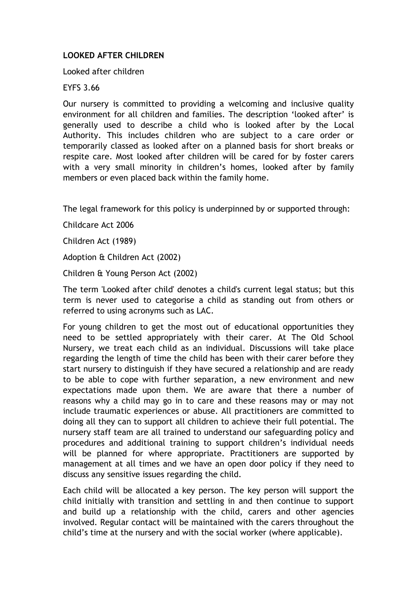## **LOOKED AFTER CHILDREN**

Looked after children

EYFS 3.66

Our nursery is committed to providing a welcoming and inclusive quality environment for all children and families. The description 'looked after' is generally used to describe a child who is looked after by the Local Authority. This includes children who are subject to a care order or temporarily classed as looked after on a planned basis for short breaks or respite care. Most looked after children will be cared for by foster carers with a very small minority in children's homes, looked after by family members or even placed back within the family home.

The legal framework for this policy is underpinned by or supported through:

Childcare Act 2006

Children Act (1989)

Adoption & Children Act (2002)

Children & Young Person Act (2002)

The term 'Looked after child' denotes a child's current legal status; but this term is never used to categorise a child as standing out from others or referred to using acronyms such as LAC.

For young children to get the most out of educational opportunities they need to be settled appropriately with their carer. At The Old School Nursery, we treat each child as an individual. Discussions will take place regarding the length of time the child has been with their carer before they start nursery to distinguish if they have secured a relationship and are ready to be able to cope with further separation, a new environment and new expectations made upon them. We are aware that there a number of reasons why a child may go in to care and these reasons may or may not include traumatic experiences or abuse. All practitioners are committed to doing all they can to support all children to achieve their full potential. The nursery staff team are all trained to understand our safeguarding policy and procedures and additional training to support children's individual needs will be planned for where appropriate. Practitioners are supported by management at all times and we have an open door policy if they need to discuss any sensitive issues regarding the child.

Each child will be allocated a key person. The key person will support the child initially with transition and settling in and then continue to support and build up a relationship with the child, carers and other agencies involved. Regular contact will be maintained with the carers throughout the child's time at the nursery and with the social worker (where applicable).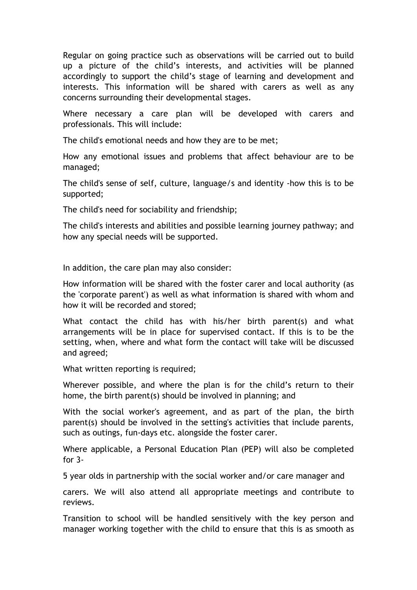Regular on going practice such as observations will be carried out to build up a picture of the child's interests, and activities will be planned accordingly to support the child's stage of learning and development and interests. This information will be shared with carers as well as any concerns surrounding their developmental stages.

Where necessary a care plan will be developed with carers and professionals. This will include:

The child's emotional needs and how they are to be met;

How any emotional issues and problems that affect behaviour are to be managed;

The child's sense of self, culture, language/s and identity -how this is to be supported;

The child's need for sociability and friendship;

The child's interests and abilities and possible learning journey pathway; and how any special needs will be supported.

In addition, the care plan may also consider:

How information will be shared with the foster carer and local authority (as the 'corporate parent') as well as what information is shared with whom and how it will be recorded and stored;

What contact the child has with his/her birth parent(s) and what arrangements will be in place for supervised contact. If this is to be the setting, when, where and what form the contact will take will be discussed and agreed;

What written reporting is required;

Wherever possible, and where the plan is for the child's return to their home, the birth parent(s) should be involved in planning; and

With the social worker's agreement, and as part of the plan, the birth parent(s) should be involved in the setting's activities that include parents, such as outings, fun-days etc. alongside the foster carer.

Where applicable, a Personal Education Plan (PEP) will also be completed for 3-

5 year olds in partnership with the social worker and/or care manager and

carers. We will also attend all appropriate meetings and contribute to reviews.

Transition to school will be handled sensitively with the key person and manager working together with the child to ensure that this is as smooth as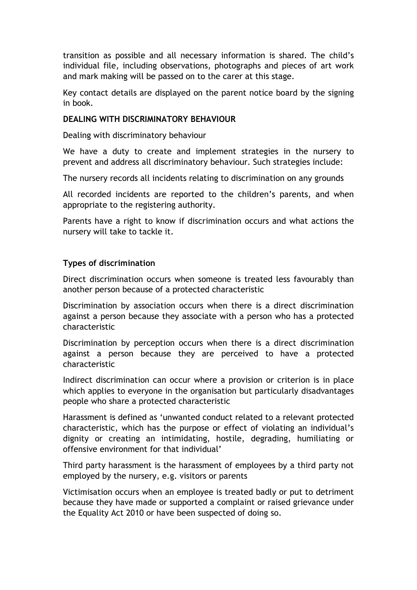transition as possible and all necessary information is shared. The child's individual file, including observations, photographs and pieces of art work and mark making will be passed on to the carer at this stage.

Key contact details are displayed on the parent notice board by the signing in book.

### **DEALING WITH DISCRIMINATORY BEHAVIOUR**

Dealing with discriminatory behaviour

We have a duty to create and implement strategies in the nursery to prevent and address all discriminatory behaviour. Such strategies include:

The nursery records all incidents relating to discrimination on any grounds

All recorded incidents are reported to the children's parents, and when appropriate to the registering authority.

Parents have a right to know if discrimination occurs and what actions the nursery will take to tackle it.

## **Types of discrimination**

Direct discrimination occurs when someone is treated less favourably than another person because of a protected characteristic

Discrimination by association occurs when there is a direct discrimination against a person because they associate with a person who has a protected characteristic

Discrimination by perception occurs when there is a direct discrimination against a person because they are perceived to have a protected characteristic

Indirect discrimination can occur where a provision or criterion is in place which applies to everyone in the organisation but particularly disadvantages people who share a protected characteristic

Harassment is defined as 'unwanted conduct related to a relevant protected characteristic, which has the purpose or effect of violating an individual's dignity or creating an intimidating, hostile, degrading, humiliating or offensive environment for that individual'

Third party harassment is the harassment of employees by a third party not employed by the nursery, e.g. visitors or parents

Victimisation occurs when an employee is treated badly or put to detriment because they have made or supported a complaint or raised grievance under the Equality Act 2010 or have been suspected of doing so.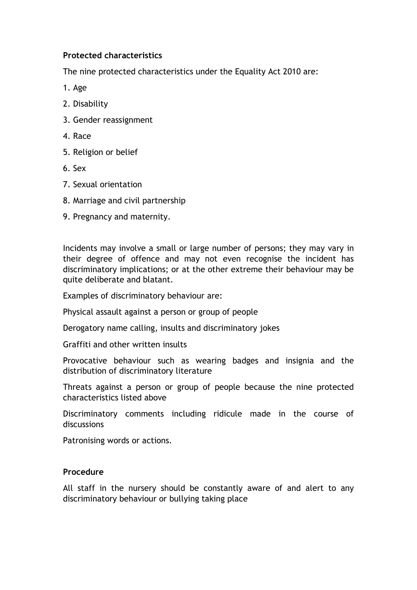## **Protected characteristics**

The nine protected characteristics under the Equality Act 2010 are:

- 1. Age
- 2. Disability
- 3. Gender reassignment
- 4. Race
- 5. Religion or belief
- 6. Sex
- 7. Sexual orientation
- 8. Marriage and civil partnership
- 9. Pregnancy and maternity.

Incidents may involve a small or large number of persons; they may vary in their degree of offence and may not even recognise the incident has discriminatory implications; or at the other extreme their behaviour may be quite deliberate and blatant.

Examples of discriminatory behaviour are:

Physical assault against a person or group of people

Derogatory name calling, insults and discriminatory jokes

Graffiti and other written insults

Provocative behaviour such as wearing badges and insignia and the distribution of discriminatory literature

Threats against a person or group of people because the nine protected characteristics listed above

Discriminatory comments including ridicule made in the course of discussions

Patronising words or actions.

#### **Procedure**

All staff in the nursery should be constantly aware of and alert to any discriminatory behaviour or bullying taking place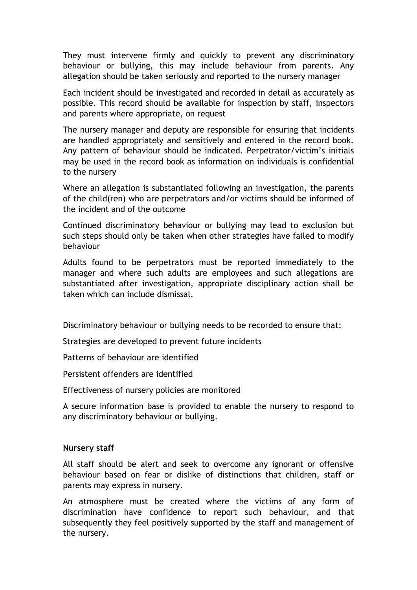They must intervene firmly and quickly to prevent any discriminatory behaviour or bullying, this may include behaviour from parents. Any allegation should be taken seriously and reported to the nursery manager

Each incident should be investigated and recorded in detail as accurately as possible. This record should be available for inspection by staff, inspectors and parents where appropriate, on request

The nursery manager and deputy are responsible for ensuring that incidents are handled appropriately and sensitively and entered in the record book. Any pattern of behaviour should be indicated. Perpetrator/victim's initials may be used in the record book as information on individuals is confidential to the nursery

Where an allegation is substantiated following an investigation, the parents of the child(ren) who are perpetrators and/or victims should be informed of the incident and of the outcome

Continued discriminatory behaviour or bullying may lead to exclusion but such steps should only be taken when other strategies have failed to modify behaviour

Adults found to be perpetrators must be reported immediately to the manager and where such adults are employees and such allegations are substantiated after investigation, appropriate disciplinary action shall be taken which can include dismissal.

Discriminatory behaviour or bullying needs to be recorded to ensure that:

Strategies are developed to prevent future incidents

Patterns of behaviour are identified

Persistent offenders are identified

Effectiveness of nursery policies are monitored

A secure information base is provided to enable the nursery to respond to any discriminatory behaviour or bullying.

### **Nursery staff**

All staff should be alert and seek to overcome any ignorant or offensive behaviour based on fear or dislike of distinctions that children, staff or parents may express in nursery.

An atmosphere must be created where the victims of any form of discrimination have confidence to report such behaviour, and that subsequently they feel positively supported by the staff and management of the nursery.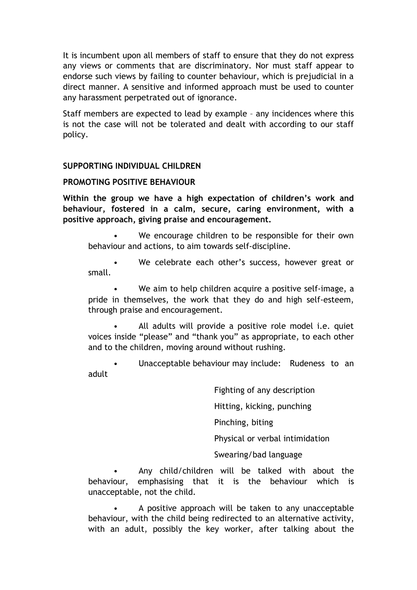It is incumbent upon all members of staff to ensure that they do not express any views or comments that are discriminatory. Nor must staff appear to endorse such views by failing to counter behaviour, which is prejudicial in a direct manner. A sensitive and informed approach must be used to counter any harassment perpetrated out of ignorance.

Staff members are expected to lead by example – any incidences where this is not the case will not be tolerated and dealt with according to our staff policy.

## **SUPPORTING INDIVIDUAL CHILDREN**

# **PROMOTING POSITIVE BEHAVIOUR**

**Within the group we have a high expectation of children's work and behaviour, fostered in a calm, secure, caring environment, with a positive approach, giving praise and encouragement.**

We encourage children to be responsible for their own behaviour and actions, to aim towards self-discipline.

We celebrate each other's success, however great or small.

• We aim to help children acquire a positive self-image, a pride in themselves, the work that they do and high self-esteem, through praise and encouragement.

All adults will provide a positive role model i.e. quiet voices inside "please" and "thank you" as appropriate, to each other and to the children, moving around without rushing.

• Unacceptable behaviour may include: Rudeness to an adult

> Fighting of any description Hitting, kicking, punching Pinching, biting Physical or verbal intimidation Swearing/bad language

Any child/children will be talked with about the behaviour, emphasising that it is the behaviour which is unacceptable, not the child.

• A positive approach will be taken to any unacceptable behaviour, with the child being redirected to an alternative activity, with an adult, possibly the key worker, after talking about the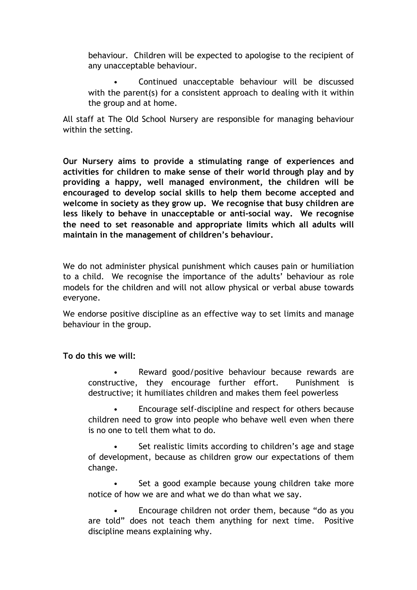behaviour. Children will be expected to apologise to the recipient of any unacceptable behaviour.

Continued unacceptable behaviour will be discussed with the parent(s) for a consistent approach to dealing with it within the group and at home.

All staff at The Old School Nursery are responsible for managing behaviour within the setting.

**Our Nursery aims to provide a stimulating range of experiences and activities for children to make sense of their world through play and by providing a happy, well managed environment, the children will be encouraged to develop social skills to help them become accepted and welcome in society as they grow up. We recognise that busy children are less likely to behave in unacceptable or anti-social way. We recognise the need to set reasonable and appropriate limits which all adults will maintain in the management of children's behaviour.**

We do not administer physical punishment which causes pain or humiliation to a child. We recognise the importance of the adults' behaviour as role models for the children and will not allow physical or verbal abuse towards everyone.

We endorse positive discipline as an effective way to set limits and manage behaviour in the group.

### **To do this we will:**

Reward good/positive behaviour because rewards are constructive, they encourage further effort. Punishment is destructive; it humiliates children and makes them feel powerless

• Encourage self-discipline and respect for others because children need to grow into people who behave well even when there is no one to tell them what to do.

Set realistic limits according to children's age and stage of development, because as children grow our expectations of them change.

Set a good example because young children take more notice of how we are and what we do than what we say.

• Encourage children not order them, because "do as you are told" does not teach them anything for next time. Positive discipline means explaining why.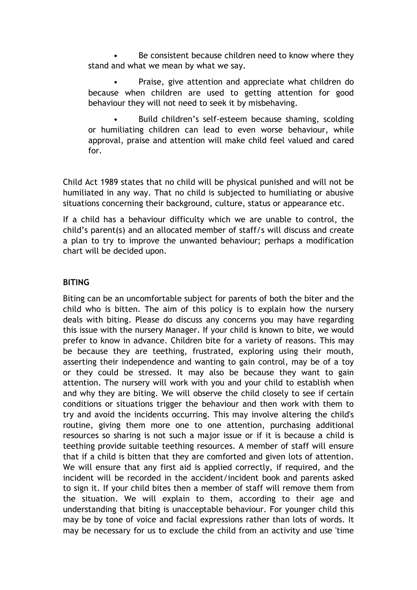Be consistent because children need to know where they stand and what we mean by what we say.

• Praise, give attention and appreciate what children do because when children are used to getting attention for good behaviour they will not need to seek it by misbehaving.

Build children's self-esteem because shaming, scolding or humiliating children can lead to even worse behaviour, while approval, praise and attention will make child feel valued and cared for.

Child Act 1989 states that no child will be physical punished and will not be humiliated in any way. That no child is subjected to humiliating or abusive situations concerning their background, culture, status or appearance etc.

If a child has a behaviour difficulty which we are unable to control, the child's parent(s) and an allocated member of staff/s will discuss and create a plan to try to improve the unwanted behaviour; perhaps a modification chart will be decided upon.

### **BITING**

Biting can be an uncomfortable subject for parents of both the biter and the child who is bitten. The aim of this policy is to explain how the nursery deals with biting. Please do discuss any concerns you may have regarding this issue with the nursery Manager. If your child is known to bite, we would prefer to know in advance. Children bite for a variety of reasons. This may be because they are teething, frustrated, exploring using their mouth, asserting their independence and wanting to gain control, may be of a toy or they could be stressed. It may also be because they want to gain attention. The nursery will work with you and your child to establish when and why they are biting. We will observe the child closely to see if certain conditions or situations trigger the behaviour and then work with them to try and avoid the incidents occurring. This may involve altering the child's routine, giving them more one to one attention, purchasing additional resources so sharing is not such a major issue or if it is because a child is teething provide suitable teething resources. A member of staff will ensure that if a child is bitten that they are comforted and given lots of attention. We will ensure that any first aid is applied correctly, if required, and the incident will be recorded in the accident/incident book and parents asked to sign it. If your child bites then a member of staff will remove them from the situation. We will explain to them, according to their age and understanding that biting is unacceptable behaviour. For younger child this may be by tone of voice and facial expressions rather than lots of words. It may be necessary for us to exclude the child from an activity and use 'time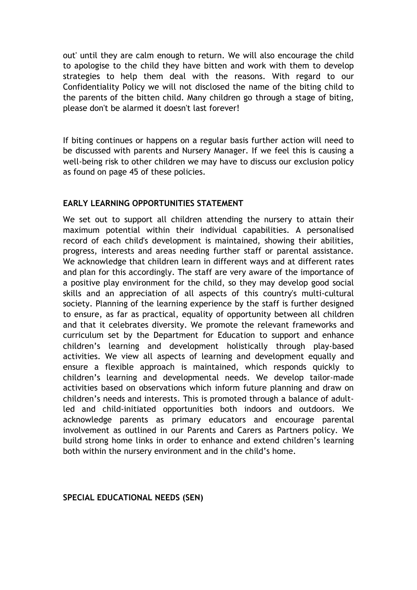out' until they are calm enough to return. We will also encourage the child to apologise to the child they have bitten and work with them to develop strategies to help them deal with the reasons. With regard to our Confidentiality Policy we will not disclosed the name of the biting child to the parents of the bitten child. Many children go through a stage of biting, please don't be alarmed it doesn't last forever!

If biting continues or happens on a regular basis further action will need to be discussed with parents and Nursery Manager. If we feel this is causing a well-being risk to other children we may have to discuss our exclusion policy as found on page 45 of these policies.

## **EARLY LEARNING OPPORTUNITIES STATEMENT**

We set out to support all children attending the nursery to attain their maximum potential within their individual capabilities. A personalised record of each child's development is maintained, showing their abilities, progress, interests and areas needing further staff or parental assistance. We acknowledge that children learn in different ways and at different rates and plan for this accordingly. The staff are very aware of the importance of a positive play environment for the child, so they may develop good social skills and an appreciation of all aspects of this country's multi-cultural society. Planning of the learning experience by the staff is further designed to ensure, as far as practical, equality of opportunity between all children and that it celebrates diversity. We promote the relevant frameworks and curriculum set by the Department for Education to support and enhance children's learning and development holistically through play-based activities. We view all aspects of learning and development equally and ensure a flexible approach is maintained, which responds quickly to children's learning and developmental needs. We develop tailor-made activities based on observations which inform future planning and draw on children's needs and interests. This is promoted through a balance of adultled and child-initiated opportunities both indoors and outdoors. We acknowledge parents as primary educators and encourage parental involvement as outlined in our Parents and Carers as Partners policy. We build strong home links in order to enhance and extend children's learning both within the nursery environment and in the child's home.

# **SPECIAL EDUCATIONAL NEEDS (SEN)**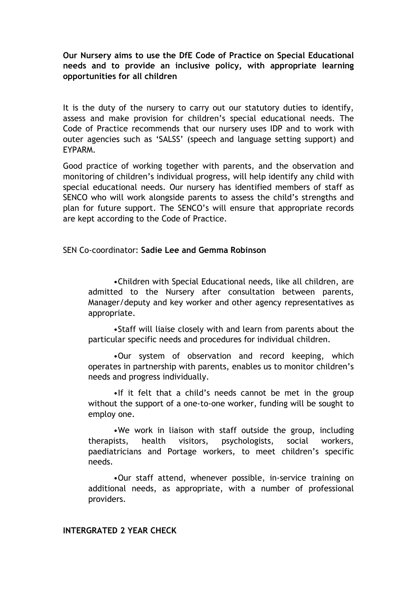## **Our Nursery aims to use the DfE Code of Practice on Special Educational needs and to provide an inclusive policy, with appropriate learning opportunities for all children**

It is the duty of the nursery to carry out our statutory duties to identify, assess and make provision for children's special educational needs. The Code of Practice recommends that our nursery uses IDP and to work with outer agencies such as 'SALSS' (speech and language setting support) and EYPARM.

Good practice of working together with parents, and the observation and monitoring of children's individual progress, will help identify any child with special educational needs. Our nursery has identified members of staff as SENCO who will work alongside parents to assess the child's strengths and plan for future support. The SENCO's will ensure that appropriate records are kept according to the Code of Practice.

#### SEN Co-coordinator: **Sadie Lee and Gemma Robinson**

•Children with Special Educational needs, like all children, are admitted to the Nursery after consultation between parents, Manager/deputy and key worker and other agency representatives as appropriate.

•Staff will liaise closely with and learn from parents about the particular specific needs and procedures for individual children.

•Our system of observation and record keeping, which operates in partnership with parents, enables us to monitor children's needs and progress individually.

•If it felt that a child's needs cannot be met in the group without the support of a one-to-one worker, funding will be sought to employ one.

•We work in liaison with staff outside the group, including therapists, health visitors, psychologists, social workers, paediatricians and Portage workers, to meet children's specific needs.

•Our staff attend, whenever possible, in-service training on additional needs, as appropriate, with a number of professional providers.

#### **INTERGRATED 2 YEAR CHECK**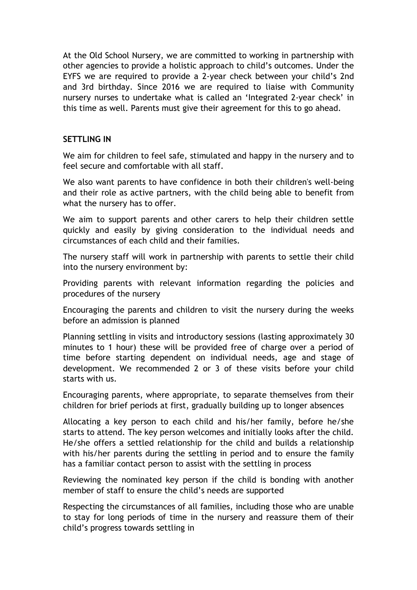At the Old School Nursery, we are committed to working in partnership with other agencies to provide a holistic approach to child's outcomes. Under the EYFS we are required to provide a 2-year check between your child's 2nd and 3rd birthday. Since 2016 we are required to liaise with Community nursery nurses to undertake what is called an 'Integrated 2-year check' in this time as well. Parents must give their agreement for this to go ahead.

## **SETTLING IN**

We aim for children to feel safe, stimulated and happy in the nursery and to feel secure and comfortable with all staff.

We also want parents to have confidence in both their children's well-being and their role as active partners, with the child being able to benefit from what the nursery has to offer.

We aim to support parents and other carers to help their children settle quickly and easily by giving consideration to the individual needs and circumstances of each child and their families.

The nursery staff will work in partnership with parents to settle their child into the nursery environment by:

Providing parents with relevant information regarding the policies and procedures of the nursery

Encouraging the parents and children to visit the nursery during the weeks before an admission is planned

Planning settling in visits and introductory sessions (lasting approximately 30 minutes to 1 hour) these will be provided free of charge over a period of time before starting dependent on individual needs, age and stage of development. We recommended 2 or 3 of these visits before your child starts with us.

Encouraging parents, where appropriate, to separate themselves from their children for brief periods at first, gradually building up to longer absences

Allocating a key person to each child and his/her family, before he/she starts to attend. The key person welcomes and initially looks after the child. He/she offers a settled relationship for the child and builds a relationship with his/her parents during the settling in period and to ensure the family has a familiar contact person to assist with the settling in process

Reviewing the nominated key person if the child is bonding with another member of staff to ensure the child's needs are supported

Respecting the circumstances of all families, including those who are unable to stay for long periods of time in the nursery and reassure them of their child's progress towards settling in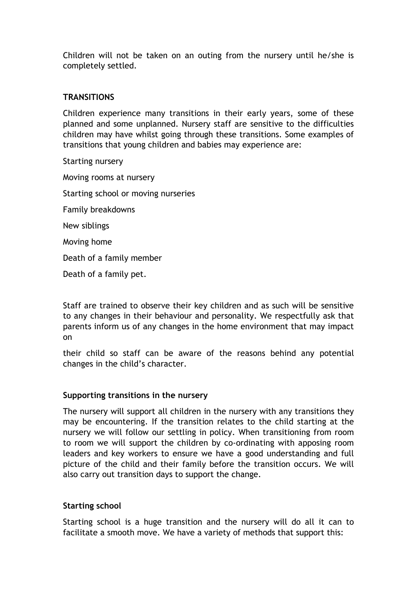Children will not be taken on an outing from the nursery until he/she is completely settled.

# **TRANSITIONS**

Children experience many transitions in their early years, some of these planned and some unplanned. Nursery staff are sensitive to the difficulties children may have whilst going through these transitions. Some examples of transitions that young children and babies may experience are:

Starting nursery

Moving rooms at nursery Starting school or moving nurseries Family breakdowns New siblings Moving home Death of a family member Death of a family pet.

Staff are trained to observe their key children and as such will be sensitive to any changes in their behaviour and personality. We respectfully ask that parents inform us of any changes in the home environment that may impact on

their child so staff can be aware of the reasons behind any potential changes in the child's character.

### **Supporting transitions in the nursery**

The nursery will support all children in the nursery with any transitions they may be encountering. If the transition relates to the child starting at the nursery we will follow our settling in policy. When transitioning from room to room we will support the children by co-ordinating with apposing room leaders and key workers to ensure we have a good understanding and full picture of the child and their family before the transition occurs. We will also carry out transition days to support the change.

### **Starting school**

Starting school is a huge transition and the nursery will do all it can to facilitate a smooth move. We have a variety of methods that support this: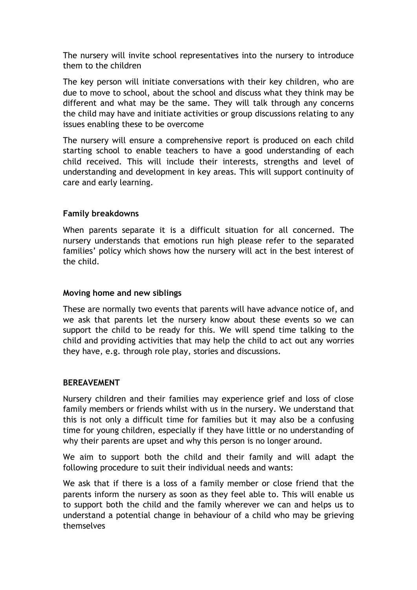The nursery will invite school representatives into the nursery to introduce them to the children

The key person will initiate conversations with their key children, who are due to move to school, about the school and discuss what they think may be different and what may be the same. They will talk through any concerns the child may have and initiate activities or group discussions relating to any issues enabling these to be overcome

The nursery will ensure a comprehensive report is produced on each child starting school to enable teachers to have a good understanding of each child received. This will include their interests, strengths and level of understanding and development in key areas. This will support continuity of care and early learning.

## **Family breakdowns**

When parents separate it is a difficult situation for all concerned. The nursery understands that emotions run high please refer to the separated families' policy which shows how the nursery will act in the best interest of the child.

### **Moving home and new siblings**

These are normally two events that parents will have advance notice of, and we ask that parents let the nursery know about these events so we can support the child to be ready for this. We will spend time talking to the child and providing activities that may help the child to act out any worries they have, e.g. through role play, stories and discussions.

### **BEREAVEMENT**

Nursery children and their families may experience grief and loss of close family members or friends whilst with us in the nursery. We understand that this is not only a difficult time for families but it may also be a confusing time for young children, especially if they have little or no understanding of why their parents are upset and why this person is no longer around.

We aim to support both the child and their family and will adapt the following procedure to suit their individual needs and wants:

We ask that if there is a loss of a family member or close friend that the parents inform the nursery as soon as they feel able to. This will enable us to support both the child and the family wherever we can and helps us to understand a potential change in behaviour of a child who may be grieving themselves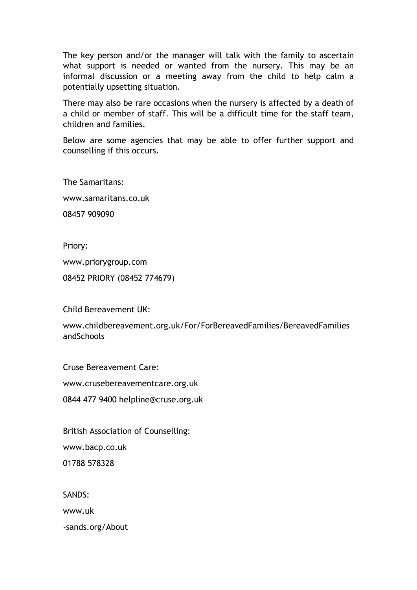The key person and/or the manager will talk with the family to ascertain what support is needed or wanted from the nursery. This may be an informal discussion or a meeting away from the child to help calm a potentially upsetting situation.

There may also be rare occasions when the nursery is affected by a death of a child or member of staff. This will be a difficult time for the staff team, children and families.

Below are some agencies that may be able to offer further support and counselling if this occurs.

The Samaritans: www.samaritans.co.uk 08457 909090

Priory:

www.priorygroup.com

08452 PRIORY (08452 774679)

Child Bereavement UK:

www.childbereavement.org.uk/For/ForBereavedFamilies/BereavedFamilies andSchools

Cruse Bereavement Care:

www.crusebereavementcare.org.uk

0844 477 9400 helpline@cruse.org.uk

British Association of Counselling: www.bacp.co.uk 01788 578328

SANDS:

www.uk

-sands.org/About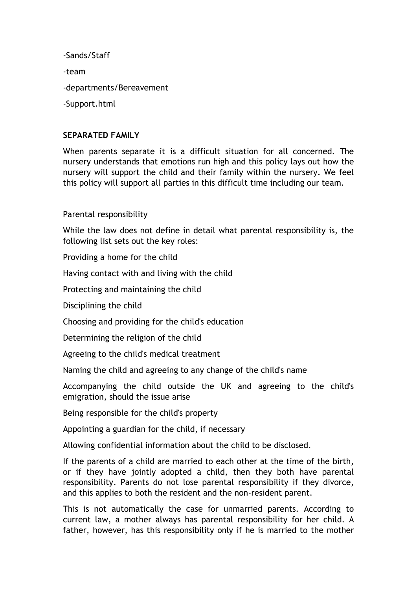-Sands/Staff

-team

-departments/Bereavement

-Support.html

# **SEPARATED FAMILY**

When parents separate it is a difficult situation for all concerned. The nursery understands that emotions run high and this policy lays out how the nursery will support the child and their family within the nursery. We feel this policy will support all parties in this difficult time including our team.

Parental responsibility

While the law does not define in detail what parental responsibility is, the following list sets out the key roles:

Providing a home for the child

Having contact with and living with the child

Protecting and maintaining the child

Disciplining the child

Choosing and providing for the child's education

Determining the religion of the child

Agreeing to the child's medical treatment

Naming the child and agreeing to any change of the child's name

Accompanying the child outside the UK and agreeing to the child's emigration, should the issue arise

Being responsible for the child's property

Appointing a guardian for the child, if necessary

Allowing confidential information about the child to be disclosed.

If the parents of a child are married to each other at the time of the birth, or if they have jointly adopted a child, then they both have parental responsibility. Parents do not lose parental responsibility if they divorce, and this applies to both the resident and the non-resident parent.

This is not automatically the case for unmarried parents. According to current law, a mother always has parental responsibility for her child. A father, however, has this responsibility only if he is married to the mother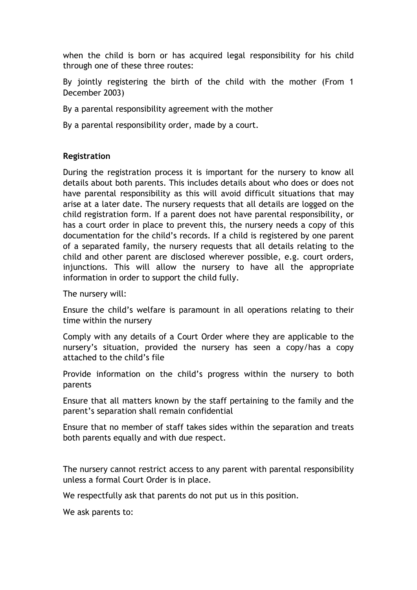when the child is born or has acquired legal responsibility for his child through one of these three routes:

By jointly registering the birth of the child with the mother (From 1 December 2003)

By a parental responsibility agreement with the mother

By a parental responsibility order, made by a court.

## **Registration**

During the registration process it is important for the nursery to know all details about both parents. This includes details about who does or does not have parental responsibility as this will avoid difficult situations that may arise at a later date. The nursery requests that all details are logged on the child registration form. If a parent does not have parental responsibility, or has a court order in place to prevent this, the nursery needs a copy of this documentation for the child's records. If a child is registered by one parent of a separated family, the nursery requests that all details relating to the child and other parent are disclosed wherever possible, e.g. court orders, injunctions. This will allow the nursery to have all the appropriate information in order to support the child fully.

The nursery will:

Ensure the child's welfare is paramount in all operations relating to their time within the nursery

Comply with any details of a Court Order where they are applicable to the nursery's situation, provided the nursery has seen a copy/has a copy attached to the child's file

Provide information on the child's progress within the nursery to both parents

Ensure that all matters known by the staff pertaining to the family and the parent's separation shall remain confidential

Ensure that no member of staff takes sides within the separation and treats both parents equally and with due respect.

The nursery cannot restrict access to any parent with parental responsibility unless a formal Court Order is in place.

We respectfully ask that parents do not put us in this position.

We ask parents to: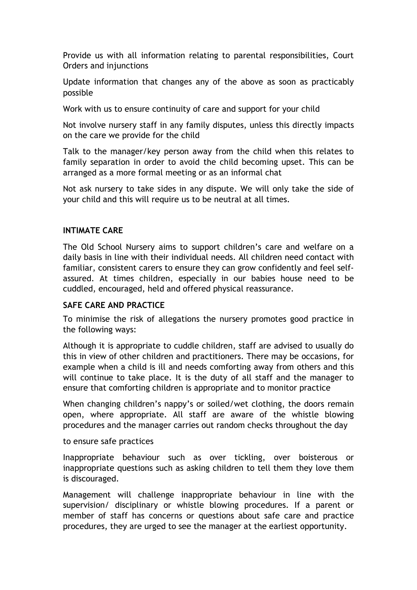Provide us with all information relating to parental responsibilities, Court Orders and injunctions

Update information that changes any of the above as soon as practicably possible

Work with us to ensure continuity of care and support for your child

Not involve nursery staff in any family disputes, unless this directly impacts on the care we provide for the child

Talk to the manager/key person away from the child when this relates to family separation in order to avoid the child becoming upset. This can be arranged as a more formal meeting or as an informal chat

Not ask nursery to take sides in any dispute. We will only take the side of your child and this will require us to be neutral at all times.

## **INTIMATE CARE**

The Old School Nursery aims to support children's care and welfare on a daily basis in line with their individual needs. All children need contact with familiar, consistent carers to ensure they can grow confidently and feel selfassured. At times children, especially in our babies house need to be cuddled, encouraged, held and offered physical reassurance.

## **SAFE CARE AND PRACTICE**

To minimise the risk of allegations the nursery promotes good practice in the following ways:

Although it is appropriate to cuddle children, staff are advised to usually do this in view of other children and practitioners. There may be occasions, for example when a child is ill and needs comforting away from others and this will continue to take place. It is the duty of all staff and the manager to ensure that comforting children is appropriate and to monitor practice

When changing children's nappy's or soiled/wet clothing, the doors remain open, where appropriate. All staff are aware of the whistle blowing procedures and the manager carries out random checks throughout the day

### to ensure safe practices

Inappropriate behaviour such as over tickling, over boisterous or inappropriate questions such as asking children to tell them they love them is discouraged.

Management will challenge inappropriate behaviour in line with the supervision/ disciplinary or whistle blowing procedures. If a parent or member of staff has concerns or questions about safe care and practice procedures, they are urged to see the manager at the earliest opportunity.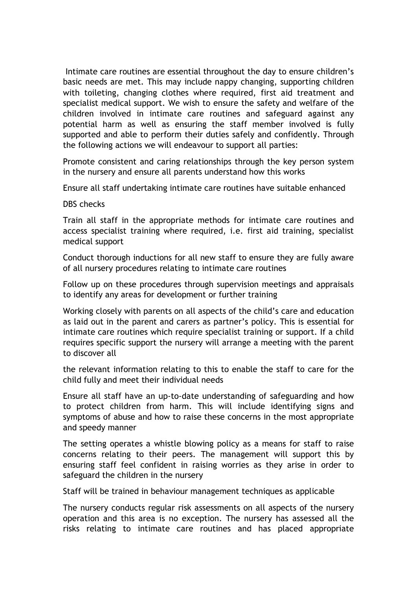Intimate care routines are essential throughout the day to ensure children's basic needs are met. This may include nappy changing, supporting children with toileting, changing clothes where required, first aid treatment and specialist medical support. We wish to ensure the safety and welfare of the children involved in intimate care routines and safeguard against any potential harm as well as ensuring the staff member involved is fully supported and able to perform their duties safely and confidently. Through the following actions we will endeavour to support all parties:

Promote consistent and caring relationships through the key person system in the nursery and ensure all parents understand how this works

Ensure all staff undertaking intimate care routines have suitable enhanced

DBS checks

Train all staff in the appropriate methods for intimate care routines and access specialist training where required, i.e. first aid training, specialist medical support

Conduct thorough inductions for all new staff to ensure they are fully aware of all nursery procedures relating to intimate care routines

Follow up on these procedures through supervision meetings and appraisals to identify any areas for development or further training

Working closely with parents on all aspects of the child's care and education as laid out in the parent and carers as partner's policy. This is essential for intimate care routines which require specialist training or support. If a child requires specific support the nursery will arrange a meeting with the parent to discover all

the relevant information relating to this to enable the staff to care for the child fully and meet their individual needs

Ensure all staff have an up-to-date understanding of safeguarding and how to protect children from harm. This will include identifying signs and symptoms of abuse and how to raise these concerns in the most appropriate and speedy manner

The setting operates a whistle blowing policy as a means for staff to raise concerns relating to their peers. The management will support this by ensuring staff feel confident in raising worries as they arise in order to safeguard the children in the nursery

Staff will be trained in behaviour management techniques as applicable

The nursery conducts regular risk assessments on all aspects of the nursery operation and this area is no exception. The nursery has assessed all the risks relating to intimate care routines and has placed appropriate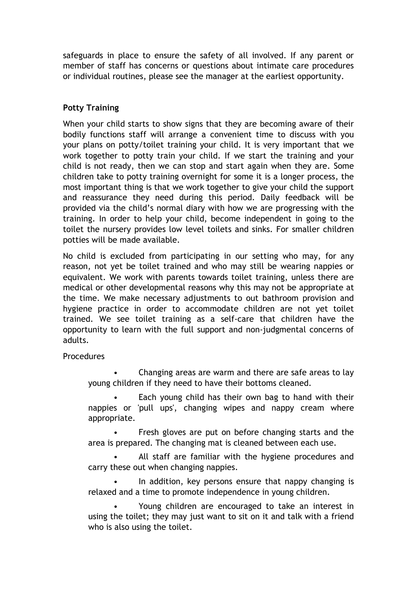safeguards in place to ensure the safety of all involved. If any parent or member of staff has concerns or questions about intimate care procedures or individual routines, please see the manager at the earliest opportunity.

# **Potty Training**

When your child starts to show signs that they are becoming aware of their bodily functions staff will arrange a convenient time to discuss with you your plans on potty/toilet training your child. It is very important that we work together to potty train your child. If we start the training and your child is not ready, then we can stop and start again when they are. Some children take to potty training overnight for some it is a longer process, the most important thing is that we work together to give your child the support and reassurance they need during this period. Daily feedback will be provided via the child's normal diary with how we are progressing with the training. In order to help your child, become independent in going to the toilet the nursery provides low level toilets and sinks. For smaller children potties will be made available.

No child is excluded from participating in our setting who may, for any reason, not yet be toilet trained and who may still be wearing nappies or equivalent. We work with parents towards toilet training, unless there are medical or other developmental reasons why this may not be appropriate at the time. We make necessary adjustments to out bathroom provision and hygiene practice in order to accommodate children are not yet toilet trained. We see toilet training as a self-care that children have the opportunity to learn with the full support and non-judgmental concerns of adults.

**Procedures** 

• Changing areas are warm and there are safe areas to lay young children if they need to have their bottoms cleaned.

Each young child has their own bag to hand with their nappies or 'pull ups', changing wipes and nappy cream where appropriate.

Fresh gloves are put on before changing starts and the area is prepared. The changing mat is cleaned between each use.

All staff are familiar with the hygiene procedures and carry these out when changing nappies.

In addition, key persons ensure that nappy changing is relaxed and a time to promote independence in young children.

• Young children are encouraged to take an interest in using the toilet; they may just want to sit on it and talk with a friend who is also using the toilet.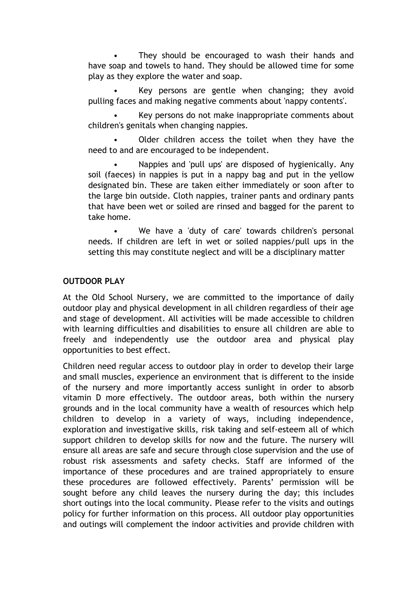They should be encouraged to wash their hands and have soap and towels to hand. They should be allowed time for some play as they explore the water and soap.

Key persons are gentle when changing; they avoid pulling faces and making negative comments about 'nappy contents'.

Key persons do not make inappropriate comments about children's genitals when changing nappies.

Older children access the toilet when they have the need to and are encouraged to be independent.

• Nappies and 'pull ups' are disposed of hygienically. Any soil (faeces) in nappies is put in a nappy bag and put in the yellow designated bin. These are taken either immediately or soon after to the large bin outside. Cloth nappies, trainer pants and ordinary pants that have been wet or soiled are rinsed and bagged for the parent to take home.

We have a 'duty of care' towards children's personal needs. If children are left in wet or soiled nappies/pull ups in the setting this may constitute neglect and will be a disciplinary matter

# **OUTDOOR PLAY**

At the Old School Nursery, we are committed to the importance of daily outdoor play and physical development in all children regardless of their age and stage of development. All activities will be made accessible to children with learning difficulties and disabilities to ensure all children are able to freely and independently use the outdoor area and physical play opportunities to best effect.

Children need regular access to outdoor play in order to develop their large and small muscles, experience an environment that is different to the inside of the nursery and more importantly access sunlight in order to absorb vitamin D more effectively. The outdoor areas, both within the nursery grounds and in the local community have a wealth of resources which help children to develop in a variety of ways, including independence, exploration and investigative skills, risk taking and self-esteem all of which support children to develop skills for now and the future. The nursery will ensure all areas are safe and secure through close supervision and the use of robust risk assessments and safety checks. Staff are informed of the importance of these procedures and are trained appropriately to ensure these procedures are followed effectively. Parents' permission will be sought before any child leaves the nursery during the day; this includes short outings into the local community. Please refer to the visits and outings policy for further information on this process. All outdoor play opportunities and outings will complement the indoor activities and provide children with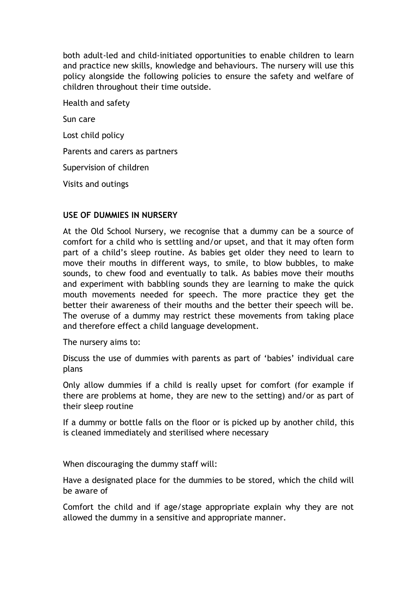both adult-led and child-initiated opportunities to enable children to learn and practice new skills, knowledge and behaviours. The nursery will use this policy alongside the following policies to ensure the safety and welfare of children throughout their time outside.

Health and safety Sun care Lost child policy Parents and carers as partners

Supervision of children

Visits and outings

## **USE OF DUMMIES IN NURSERY**

At the Old School Nursery, we recognise that a dummy can be a source of comfort for a child who is settling and/or upset, and that it may often form part of a child's sleep routine. As babies get older they need to learn to move their mouths in different ways, to smile, to blow bubbles, to make sounds, to chew food and eventually to talk. As babies move their mouths and experiment with babbling sounds they are learning to make the quick mouth movements needed for speech. The more practice they get the better their awareness of their mouths and the better their speech will be. The overuse of a dummy may restrict these movements from taking place and therefore effect a child language development.

The nursery aims to:

Discuss the use of dummies with parents as part of 'babies' individual care plans

Only allow dummies if a child is really upset for comfort (for example if there are problems at home, they are new to the setting) and/or as part of their sleep routine

If a dummy or bottle falls on the floor or is picked up by another child, this is cleaned immediately and sterilised where necessary

When discouraging the dummy staff will:

Have a designated place for the dummies to be stored, which the child will be aware of

Comfort the child and if age/stage appropriate explain why they are not allowed the dummy in a sensitive and appropriate manner.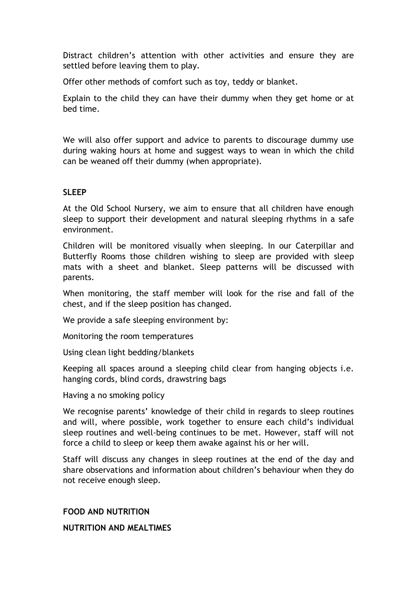Distract children's attention with other activities and ensure they are settled before leaving them to play.

Offer other methods of comfort such as toy, teddy or blanket.

Explain to the child they can have their dummy when they get home or at bed time.

We will also offer support and advice to parents to discourage dummy use during waking hours at home and suggest ways to wean in which the child can be weaned off their dummy (when appropriate).

## **SLEEP**

At the Old School Nursery, we aim to ensure that all children have enough sleep to support their development and natural sleeping rhythms in a safe environment.

Children will be monitored visually when sleeping. In our Caterpillar and Butterfly Rooms those children wishing to sleep are provided with sleep mats with a sheet and blanket. Sleep patterns will be discussed with parents.

When monitoring, the staff member will look for the rise and fall of the chest, and if the sleep position has changed.

We provide a safe sleeping environment by:

Monitoring the room temperatures

Using clean light bedding/blankets

Keeping all spaces around a sleeping child clear from hanging objects i.e. hanging cords, blind cords, drawstring bags

Having a no smoking policy

We recognise parents' knowledge of their child in regards to sleep routines and will, where possible, work together to ensure each child's individual sleep routines and well-being continues to be met. However, staff will not force a child to sleep or keep them awake against his or her will.

Staff will discuss any changes in sleep routines at the end of the day and share observations and information about children's behaviour when they do not receive enough sleep.

**FOOD AND NUTRITION**

**NUTRITION AND MEALTIMES**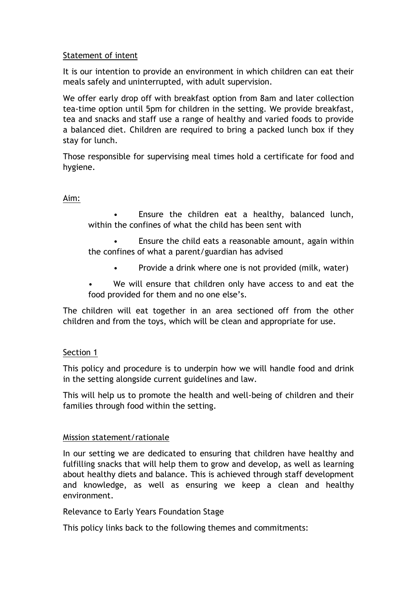# Statement of intent

It is our intention to provide an environment in which children can eat their meals safely and uninterrupted, with adult supervision.

We offer early drop off with breakfast option from 8am and later collection tea-time option until 5pm for children in the setting. We provide breakfast, tea and snacks and staff use a range of healthy and varied foods to provide a balanced diet. Children are required to bring a packed lunch box if they stay for lunch.

Those responsible for supervising meal times hold a certificate for food and hygiene.

# Aim:

Ensure the children eat a healthy, balanced lunch, within the confines of what the child has been sent with

 • Ensure the child eats a reasonable amount, again within the confines of what a parent/guardian has advised

- Provide a drink where one is not provided (milk, water)
- We will ensure that children only have access to and eat the food provided for them and no one else's.

The children will eat together in an area sectioned off from the other children and from the toys, which will be clean and appropriate for use.

# Section 1

This policy and procedure is to underpin how we will handle food and drink in the setting alongside current guidelines and law.

This will help us to promote the health and well-being of children and their families through food within the setting.

# Mission statement/rationale

In our setting we are dedicated to ensuring that children have healthy and fulfilling snacks that will help them to grow and develop, as well as learning about healthy diets and balance. This is achieved through staff development and knowledge, as well as ensuring we keep a clean and healthy environment.

Relevance to Early Years Foundation Stage

This policy links back to the following themes and commitments: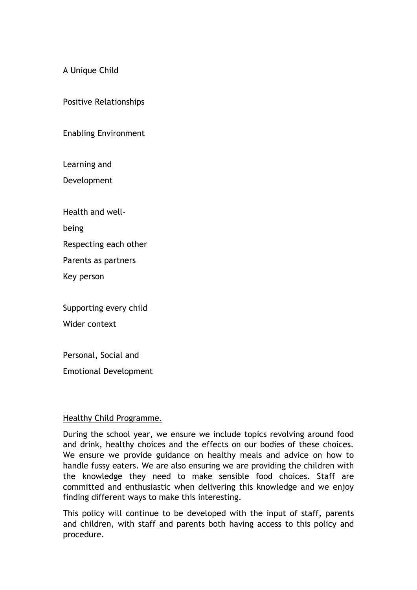A Unique Child

Positive Relationships

Enabling Environment

Learning and

Development

Health and well-

being

Respecting each other

Parents as partners

Key person

Supporting every child Wider context

Personal, Social and

Emotional Development

## Healthy Child Programme.

During the school year, we ensure we include topics revolving around food and drink, healthy choices and the effects on our bodies of these choices. We ensure we provide guidance on healthy meals and advice on how to handle fussy eaters. We are also ensuring we are providing the children with the knowledge they need to make sensible food choices. Staff are committed and enthusiastic when delivering this knowledge and we enjoy finding different ways to make this interesting.

This policy will continue to be developed with the input of staff, parents and children, with staff and parents both having access to this policy and procedure.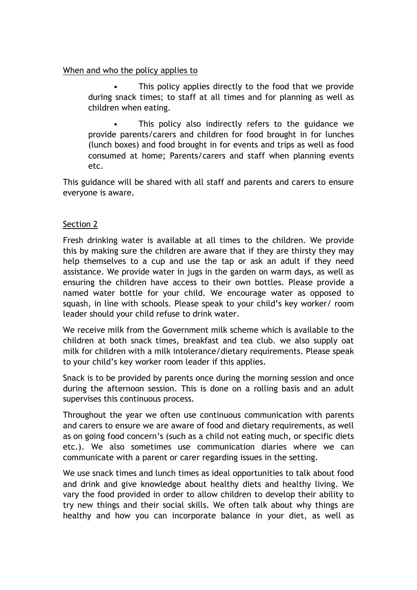# When and who the policy applies to

This policy applies directly to the food that we provide during snack times; to staff at all times and for planning as well as children when eating.

This policy also indirectly refers to the guidance we provide parents/carers and children for food brought in for lunches (lunch boxes) and food brought in for events and trips as well as food consumed at home; Parents/carers and staff when planning events etc.

This guidance will be shared with all staff and parents and carers to ensure everyone is aware.

## Section 2

Fresh drinking water is available at all times to the children. We provide this by making sure the children are aware that if they are thirsty they may help themselves to a cup and use the tap or ask an adult if they need assistance. We provide water in jugs in the garden on warm days, as well as ensuring the children have access to their own bottles. Please provide a named water bottle for your child. We encourage water as opposed to squash, in line with schools. Please speak to your child's key worker/ room leader should your child refuse to drink water.

We receive milk from the Government milk scheme which is available to the children at both snack times, breakfast and tea club. we also supply oat milk for children with a milk intolerance/dietary requirements. Please speak to your child's key worker room leader if this applies.

Snack is to be provided by parents once during the morning session and once during the afternoon session. This is done on a rolling basis and an adult supervises this continuous process.

Throughout the year we often use continuous communication with parents and carers to ensure we are aware of food and dietary requirements, as well as on going food concern's (such as a child not eating much, or specific diets etc.). We also sometimes use communication diaries where we can communicate with a parent or carer regarding issues in the setting.

We use snack times and lunch times as ideal opportunities to talk about food and drink and give knowledge about healthy diets and healthy living. We vary the food provided in order to allow children to develop their ability to try new things and their social skills. We often talk about why things are healthy and how you can incorporate balance in your diet, as well as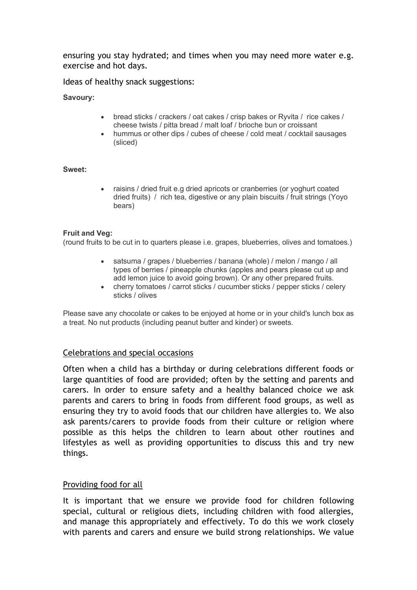ensuring you stay hydrated; and times when you may need more water e.g. exercise and hot days.

Ideas of healthy snack suggestions:

**Savoury:**

- bread sticks / crackers / oat cakes / crisp bakes or Ryvita / rice cakes / cheese twists / pitta bread / malt loaf / brioche bun or croissant
- hummus or other dips / cubes of cheese / cold meat / cocktail sausages (sliced)

#### **Sweet:**

• raisins / dried fruit e.g dried apricots or cranberries (or voghurt coated dried fruits) / rich tea, digestive or any plain biscuits / fruit strings (Yoyo bears)

#### **Fruit and Veg:**

(round fruits to be cut in to quarters please i.e. grapes, blueberries, olives and tomatoes.)

- satsuma / grapes / blueberries / banana (whole) / melon / mango / all types of berries / pineapple chunks (apples and pears please cut up and add lemon juice to avoid going brown). Or any other prepared fruits.
- cherry tomatoes / carrot sticks / cucumber sticks / pepper sticks / celery sticks / olives

Please save any chocolate or cakes to be enjoyed at home or in your child's lunch box as a treat. No nut products (including peanut butter and kinder) or sweets.

#### Celebrations and special occasions

Often when a child has a birthday or during celebrations different foods or large quantities of food are provided; often by the setting and parents and carers. In order to ensure safety and a healthy balanced choice we ask parents and carers to bring in foods from different food groups, as well as ensuring they try to avoid foods that our children have allergies to. We also ask parents/carers to provide foods from their culture or religion where possible as this helps the children to learn about other routines and lifestyles as well as providing opportunities to discuss this and try new things.

## Providing food for all

It is important that we ensure we provide food for children following special, cultural or religious diets, including children with food allergies, and manage this appropriately and effectively. To do this we work closely with parents and carers and ensure we build strong relationships. We value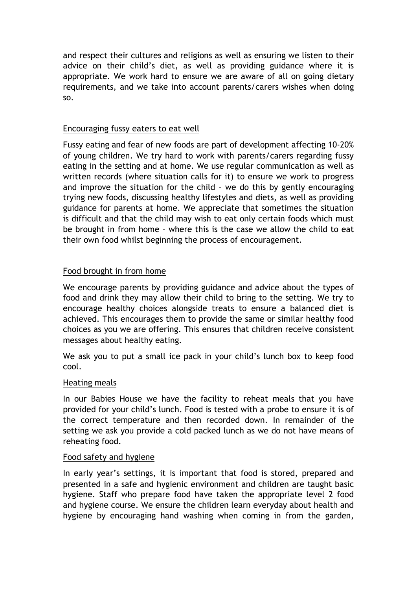and respect their cultures and religions as well as ensuring we listen to their advice on their child's diet, as well as providing guidance where it is appropriate. We work hard to ensure we are aware of all on going dietary requirements, and we take into account parents/carers wishes when doing so.

## Encouraging fussy eaters to eat well

Fussy eating and fear of new foods are part of development affecting 10-20% of young children. We try hard to work with parents/carers regarding fussy eating in the setting and at home. We use regular communication as well as written records (where situation calls for it) to ensure we work to progress and improve the situation for the child – we do this by gently encouraging trying new foods, discussing healthy lifestyles and diets, as well as providing guidance for parents at home. We appreciate that sometimes the situation is difficult and that the child may wish to eat only certain foods which must be brought in from home – where this is the case we allow the child to eat their own food whilst beginning the process of encouragement.

## Food brought in from home

We encourage parents by providing guidance and advice about the types of food and drink they may allow their child to bring to the setting. We try to encourage healthy choices alongside treats to ensure a balanced diet is achieved. This encourages them to provide the same or similar healthy food choices as you we are offering. This ensures that children receive consistent messages about healthy eating.

We ask you to put a small ice pack in your child's lunch box to keep food cool.

## Heating meals

In our Babies House we have the facility to reheat meals that you have provided for your child's lunch. Food is tested with a probe to ensure it is of the correct temperature and then recorded down. In remainder of the setting we ask you provide a cold packed lunch as we do not have means of reheating food.

## Food safety and hygiene

In early year's settings, it is important that food is stored, prepared and presented in a safe and hygienic environment and children are taught basic hygiene. Staff who prepare food have taken the appropriate level 2 food and hygiene course. We ensure the children learn everyday about health and hygiene by encouraging hand washing when coming in from the garden,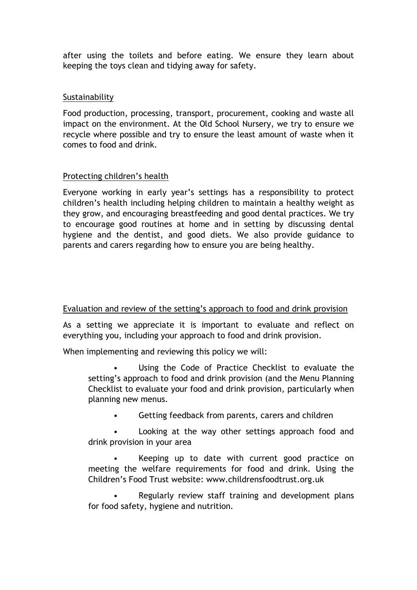after using the toilets and before eating. We ensure they learn about keeping the toys clean and tidying away for safety.

# Sustainability

Food production, processing, transport, procurement, cooking and waste all impact on the environment. At the Old School Nursery, we try to ensure we recycle where possible and try to ensure the least amount of waste when it comes to food and drink.

## Protecting children's health

Everyone working in early year's settings has a responsibility to protect children's health including helping children to maintain a healthy weight as they grow, and encouraging breastfeeding and good dental practices. We try to encourage good routines at home and in setting by discussing dental hygiene and the dentist, and good diets. We also provide guidance to parents and carers regarding how to ensure you are being healthy.

# Evaluation and review of the setting's approach to food and drink provision

As a setting we appreciate it is important to evaluate and reflect on everything you, including your approach to food and drink provision.

When implementing and reviewing this policy we will:

Using the Code of Practice Checklist to evaluate the setting's approach to food and drink provision (and the Menu Planning Checklist to evaluate your food and drink provision, particularly when planning new menus.

Getting feedback from parents, carers and children

Looking at the way other settings approach food and drink provision in your area

 • Keeping up to date with current good practice on meeting the welfare requirements for food and drink. Using the Children's Food Trust website: www.childrensfoodtrust.org.uk

Regularly review staff training and development plans for food safety, hygiene and nutrition.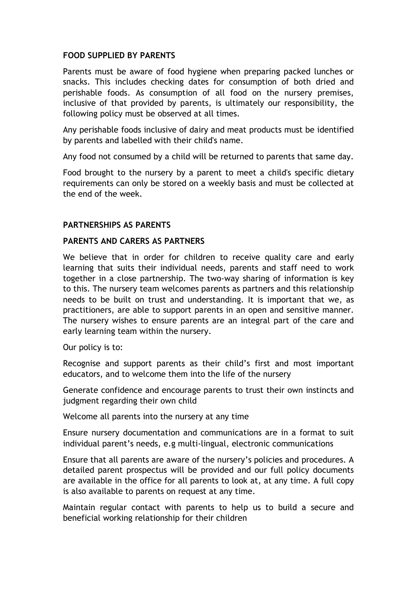## **FOOD SUPPLIED BY PARENTS**

Parents must be aware of food hygiene when preparing packed lunches or snacks. This includes checking dates for consumption of both dried and perishable foods. As consumption of all food on the nursery premises, inclusive of that provided by parents, is ultimately our responsibility, the following policy must be observed at all times.

Any perishable foods inclusive of dairy and meat products must be identified by parents and labelled with their child's name.

Any food not consumed by a child will be returned to parents that same day.

Food brought to the nursery by a parent to meet a child's specific dietary requirements can only be stored on a weekly basis and must be collected at the end of the week.

## **PARTNERSHIPS AS PARENTS**

## **PARENTS AND CARERS AS PARTNERS**

We believe that in order for children to receive quality care and early learning that suits their individual needs, parents and staff need to work together in a close partnership. The two-way sharing of information is key to this. The nursery team welcomes parents as partners and this relationship needs to be built on trust and understanding. It is important that we, as practitioners, are able to support parents in an open and sensitive manner. The nursery wishes to ensure parents are an integral part of the care and early learning team within the nursery.

Our policy is to:

Recognise and support parents as their child's first and most important educators, and to welcome them into the life of the nursery

Generate confidence and encourage parents to trust their own instincts and judgment regarding their own child

Welcome all parents into the nursery at any time

Ensure nursery documentation and communications are in a format to suit individual parent's needs, e.g multi-lingual, electronic communications

Ensure that all parents are aware of the nursery's policies and procedures. A detailed parent prospectus will be provided and our full policy documents are available in the office for all parents to look at, at any time. A full copy is also available to parents on request at any time.

Maintain regular contact with parents to help us to build a secure and beneficial working relationship for their children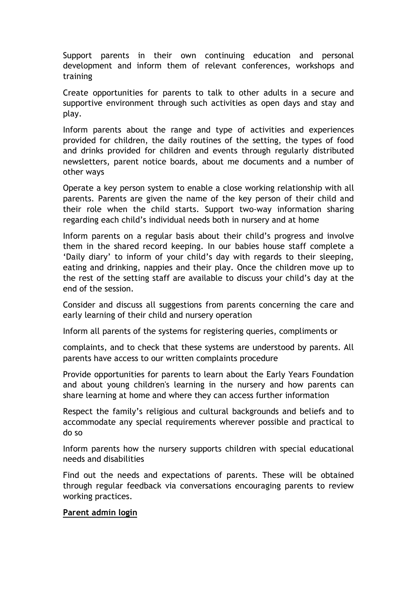Support parents in their own continuing education and personal development and inform them of relevant conferences, workshops and training

Create opportunities for parents to talk to other adults in a secure and supportive environment through such activities as open days and stay and play.

Inform parents about the range and type of activities and experiences provided for children, the daily routines of the setting, the types of food and drinks provided for children and events through regularly distributed newsletters, parent notice boards, about me documents and a number of other ways

Operate a key person system to enable a close working relationship with all parents. Parents are given the name of the key person of their child and their role when the child starts. Support two-way information sharing regarding each child's individual needs both in nursery and at home

Inform parents on a regular basis about their child's progress and involve them in the shared record keeping. In our babies house staff complete a 'Daily diary' to inform of your child's day with regards to their sleeping, eating and drinking, nappies and their play. Once the children move up to the rest of the setting staff are available to discuss your child's day at the end of the session.

Consider and discuss all suggestions from parents concerning the care and early learning of their child and nursery operation

Inform all parents of the systems for registering queries, compliments or

complaints, and to check that these systems are understood by parents. All parents have access to our written complaints procedure

Provide opportunities for parents to learn about the Early Years Foundation and about young children's learning in the nursery and how parents can share learning at home and where they can access further information

Respect the family's religious and cultural backgrounds and beliefs and to accommodate any special requirements wherever possible and practical to do so

Inform parents how the nursery supports children with special educational needs and disabilities

Find out the needs and expectations of parents. These will be obtained through regular feedback via conversations encouraging parents to review working practices.

# **Parent admin login**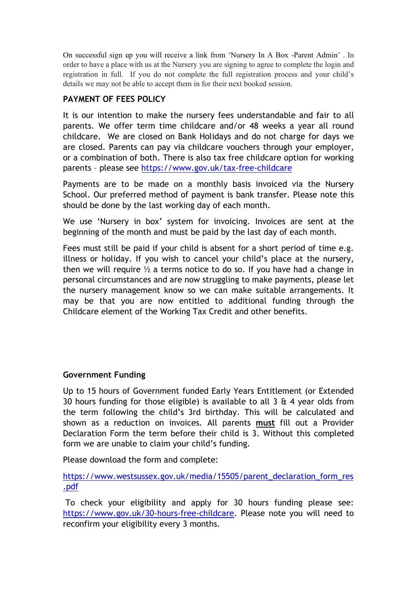On successful sign up you will receive a link from 'Nursery In A Box -Parent Admin' . In order to have a place with us at the Nursery you are signing to agree to complete the login and registration in full. If you do not complete the full registration process and your child's details we may not be able to accept them in for their next booked session.

# **PAYMENT OF FEES POLICY**

It is our intention to make the nursery fees understandable and fair to all parents. We offer term time childcare and/or 48 weeks a year all round childcare. We are closed on Bank Holidays and do not charge for days we are closed. Parents can pay via childcare vouchers through your employer, or a combination of both. There is also tax free childcare option for working parents – please see<https://www.gov.uk/tax-free-childcare>

Payments are to be made on a monthly basis invoiced via the Nursery School. Our preferred method of payment is bank transfer. Please note this should be done by the last working day of each month.

We use 'Nursery in box' system for invoicing. Invoices are sent at the beginning of the month and must be paid by the last day of each month.

Fees must still be paid if your child is absent for a short period of time e.g. illness or holiday. If you wish to cancel your child's place at the nursery, then we will require  $\frac{1}{2}$  a terms notice to do so. If you have had a change in personal circumstances and are now struggling to make payments, please let the nursery management know so we can make suitable arrangements. It may be that you are now entitled to additional funding through the Childcare element of the Working Tax Credit and other benefits.

# **Government Funding**

Up to 15 hours of Government funded Early Years Entitlement (or Extended 30 hours funding for those eligible) is available to all 3  $\&$  4 year olds from the term following the child's 3rd birthday. This will be calculated and shown as a reduction on invoices. All parents **must** fill out a Provider Declaration Form the term before their child is 3. Without this completed form we are unable to claim your child's funding.

Please download the form and complete:

[https://www.westsussex.gov.uk/media/15505/parent\\_declaration\\_form\\_res](https://www.westsussex.gov.uk/media/15505/parent_declaration_form_res.pdf) [.pdf](https://www.westsussex.gov.uk/media/15505/parent_declaration_form_res.pdf)

To check your eligibility and apply for 30 hours funding please see: [https://www.gov.uk/30-hours-free-childcare.](https://www.gov.uk/30-hours-free-childcare) Please note you will need to reconfirm your eligibility every 3 months.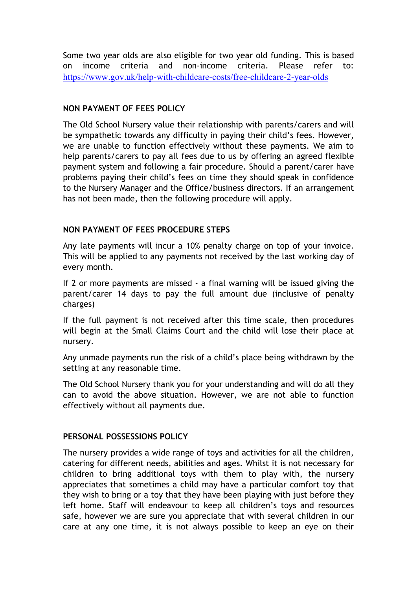Some two year olds are also eligible for two year old funding. This is based on income criteria and non-income criteria. Please refer to: https://www.gov.uk/help-with-childcare-costs/free-childcare-2-year-olds

## **NON PAYMENT OF FEES POLICY**

The Old School Nursery value their relationship with parents/carers and will be sympathetic towards any difficulty in paying their child's fees. However, we are unable to function effectively without these payments. We aim to help parents/carers to pay all fees due to us by offering an agreed flexible payment system and following a fair procedure. Should a parent/carer have problems paying their child's fees on time they should speak in confidence to the Nursery Manager and the Office/business directors. If an arrangement has not been made, then the following procedure will apply.

# **NON PAYMENT OF FEES PROCEDURE STEPS**

Any late payments will incur a 10% penalty charge on top of your invoice. This will be applied to any payments not received by the last working day of every month.

If 2 or more payments are missed - a final warning will be issued giving the parent/carer 14 days to pay the full amount due (inclusive of penalty charges)

If the full payment is not received after this time scale, then procedures will begin at the Small Claims Court and the child will lose their place at nursery.

Any unmade payments run the risk of a child's place being withdrawn by the setting at any reasonable time.

The Old School Nursery thank you for your understanding and will do all they can to avoid the above situation. However, we are not able to function effectively without all payments due.

## **PERSONAL POSSESSIONS POLICY**

The nursery provides a wide range of toys and activities for all the children, catering for different needs, abilities and ages. Whilst it is not necessary for children to bring additional toys with them to play with, the nursery appreciates that sometimes a child may have a particular comfort toy that they wish to bring or a toy that they have been playing with just before they left home. Staff will endeavour to keep all children's toys and resources safe, however we are sure you appreciate that with several children in our care at any one time, it is not always possible to keep an eye on their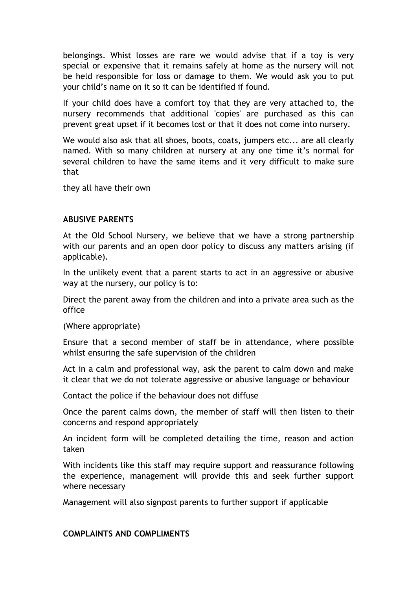belongings. Whist losses are rare we would advise that if a toy is very special or expensive that it remains safely at home as the nursery will not be held responsible for loss or damage to them. We would ask you to put your child's name on it so it can be identified if found.

If your child does have a comfort toy that they are very attached to, the nursery recommends that additional 'copies' are purchased as this can prevent great upset if it becomes lost or that it does not come into nursery.

We would also ask that all shoes, boots, coats, jumpers etc... are all clearly named. With so many children at nursery at any one time it's normal for several children to have the same items and it very difficult to make sure that

they all have their own

## **ABUSIVE PARENTS**

At the Old School Nursery, we believe that we have a strong partnership with our parents and an open door policy to discuss any matters arising (if applicable).

In the unlikely event that a parent starts to act in an aggressive or abusive way at the nursery, our policy is to:

Direct the parent away from the children and into a private area such as the office

(Where appropriate)

Ensure that a second member of staff be in attendance, where possible whilst ensuring the safe supervision of the children

Act in a calm and professional way, ask the parent to calm down and make it clear that we do not tolerate aggressive or abusive language or behaviour

Contact the police if the behaviour does not diffuse

Once the parent calms down, the member of staff will then listen to their concerns and respond appropriately

An incident form will be completed detailing the time, reason and action taken

With incidents like this staff may require support and reassurance following the experience, management will provide this and seek further support where necessary

Management will also signpost parents to further support if applicable

## **COMPLAINTS AND COMPLIMENTS**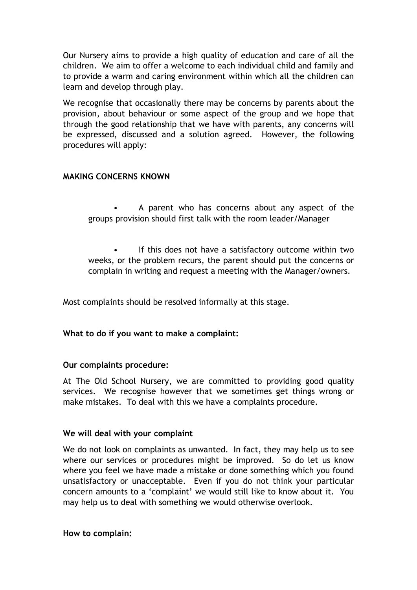Our Nursery aims to provide a high quality of education and care of all the children. We aim to offer a welcome to each individual child and family and to provide a warm and caring environment within which all the children can learn and develop through play.

We recognise that occasionally there may be concerns by parents about the provision, about behaviour or some aspect of the group and we hope that through the good relationship that we have with parents, any concerns will be expressed, discussed and a solution agreed. However, the following procedures will apply:

## **MAKING CONCERNS KNOWN**

A parent who has concerns about any aspect of the groups provision should first talk with the room leader/Manager

If this does not have a satisfactory outcome within two weeks, or the problem recurs, the parent should put the concerns or complain in writing and request a meeting with the Manager/owners.

Most complaints should be resolved informally at this stage.

## **What to do if you want to make a complaint:**

## **Our complaints procedure:**

At The Old School Nursery, we are committed to providing good quality services. We recognise however that we sometimes get things wrong or make mistakes. To deal with this we have a complaints procedure.

## **We will deal with your complaint**

We do not look on complaints as unwanted. In fact, they may help us to see where our services or procedures might be improved. So do let us know where you feel we have made a mistake or done something which you found unsatisfactory or unacceptable. Even if you do not think your particular concern amounts to a 'complaint' we would still like to know about it. You may help us to deal with something we would otherwise overlook.

#### **How to complain:**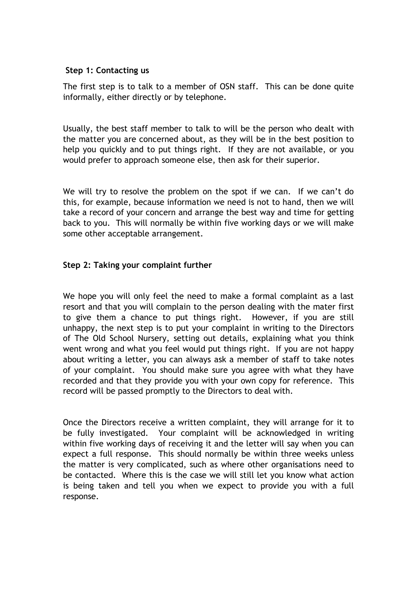## **Step 1: Contacting us**

The first step is to talk to a member of OSN staff. This can be done quite informally, either directly or by telephone.

Usually, the best staff member to talk to will be the person who dealt with the matter you are concerned about, as they will be in the best position to help you quickly and to put things right. If they are not available, or you would prefer to approach someone else, then ask for their superior.

We will try to resolve the problem on the spot if we can. If we can't do this, for example, because information we need is not to hand, then we will take a record of your concern and arrange the best way and time for getting back to you. This will normally be within five working days or we will make some other acceptable arrangement.

# **Step 2: Taking your complaint further**

We hope you will only feel the need to make a formal complaint as a last resort and that you will complain to the person dealing with the mater first to give them a chance to put things right. However, if you are still unhappy, the next step is to put your complaint in writing to the Directors of The Old School Nursery, setting out details, explaining what you think went wrong and what you feel would put things right. If you are not happy about writing a letter, you can always ask a member of staff to take notes of your complaint. You should make sure you agree with what they have recorded and that they provide you with your own copy for reference. This record will be passed promptly to the Directors to deal with.

Once the Directors receive a written complaint, they will arrange for it to be fully investigated. Your complaint will be acknowledged in writing within five working days of receiving it and the letter will say when you can expect a full response. This should normally be within three weeks unless the matter is very complicated, such as where other organisations need to be contacted. Where this is the case we will still let you know what action is being taken and tell you when we expect to provide you with a full response.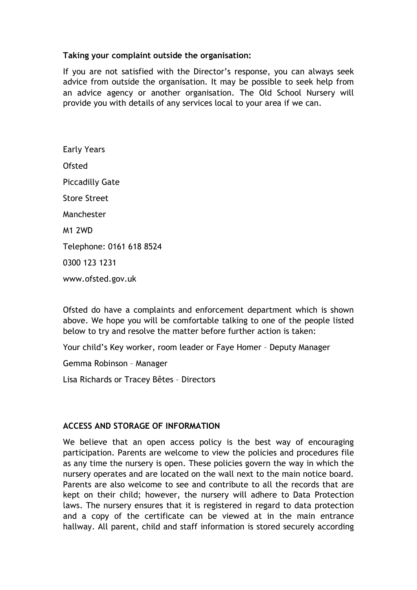## **Taking your complaint outside the organisation:**

If you are not satisfied with the Director's response, you can always seek advice from outside the organisation. It may be possible to seek help from an advice agency or another organisation. The Old School Nursery will provide you with details of any services local to your area if we can.

Early Years Ofsted Piccadilly Gate Store Street Manchester M1 2WD Telephone: 0161 618 8524 0300 123 1231 www.ofsted.gov.uk

Ofsted do have a complaints and enforcement department which is shown above. We hope you will be comfortable talking to one of the people listed below to try and resolve the matter before further action is taken:

Your child's Key worker, room leader or Faye Homer – Deputy Manager

Gemma Robinson – Manager

Lisa Richards or Tracey Bêtes – Directors

## **ACCESS AND STORAGE OF INFORMATION**

We believe that an open access policy is the best way of encouraging participation. Parents are welcome to view the policies and procedures file as any time the nursery is open. These policies govern the way in which the nursery operates and are located on the wall next to the main notice board. Parents are also welcome to see and contribute to all the records that are kept on their child; however, the nursery will adhere to Data Protection laws. The nursery ensures that it is registered in regard to data protection and a copy of the certificate can be viewed at in the main entrance hallway. All parent, child and staff information is stored securely according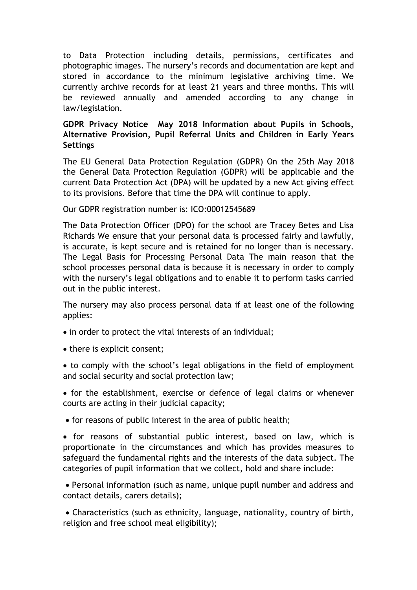to Data Protection including details, permissions, certificates and photographic images. The nursery's records and documentation are kept and stored in accordance to the minimum legislative archiving time. We currently archive records for at least 21 years and three months. This will be reviewed annually and amended according to any change in law/legislation.

# **GDPR Privacy Notice May 2018 Information about Pupils in Schools, Alternative Provision, Pupil Referral Units and Children in Early Years Settings**

The EU General Data Protection Regulation (GDPR) On the 25th May 2018 the General Data Protection Regulation (GDPR) will be applicable and the current Data Protection Act (DPA) will be updated by a new Act giving effect to its provisions. Before that time the DPA will continue to apply.

Our GDPR registration number is: ICO:00012545689

The Data Protection Officer (DPO) for the school are Tracey Betes and Lisa Richards We ensure that your personal data is processed fairly and lawfully, is accurate, is kept secure and is retained for no longer than is necessary. The Legal Basis for Processing Personal Data The main reason that the school processes personal data is because it is necessary in order to comply with the nursery's legal obligations and to enable it to perform tasks carried out in the public interest.

The nursery may also process personal data if at least one of the following applies:

- in order to protect the vital interests of an individual;
- there is explicit consent;
- to comply with the school's legal obligations in the field of employment and social security and social protection law;
- for the establishment, exercise or defence of legal claims or whenever courts are acting in their judicial capacity;
- for reasons of public interest in the area of public health;

• for reasons of substantial public interest, based on law, which is proportionate in the circumstances and which has provides measures to safeguard the fundamental rights and the interests of the data subject. The categories of pupil information that we collect, hold and share include:

• Personal information (such as name, unique pupil number and address and contact details, carers details);

• Characteristics (such as ethnicity, language, nationality, country of birth, religion and free school meal eligibility);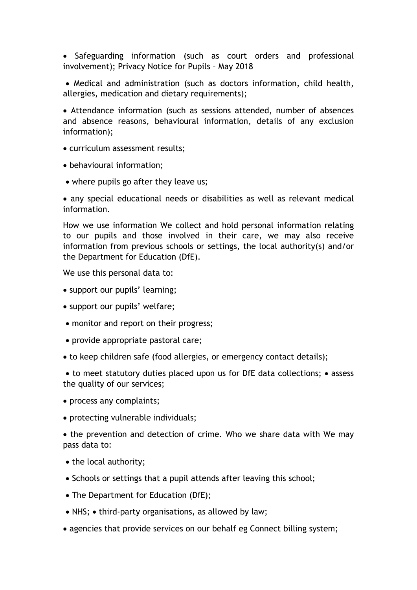• Safeguarding information (such as court orders and professional involvement); Privacy Notice for Pupils – May 2018

• Medical and administration (such as doctors information, child health, allergies, medication and dietary requirements);

• Attendance information (such as sessions attended, number of absences and absence reasons, behavioural information, details of any exclusion information);

- curriculum assessment results;
- behavioural information;
- where pupils go after they leave us;

• any special educational needs or disabilities as well as relevant medical information.

How we use information We collect and hold personal information relating to our pupils and those involved in their care, we may also receive information from previous schools or settings, the local authority(s) and/or the Department for Education (DfE).

We use this personal data to:

- support our pupils' learning;
- support our pupils' welfare;
- monitor and report on their progress;
- provide appropriate pastoral care;
- to keep children safe (food allergies, or emergency contact details);

• to meet statutory duties placed upon us for DfE data collections; • assess the quality of our services;

- process any complaints;
- protecting vulnerable individuals;

• the prevention and detection of crime. Who we share data with We may pass data to:

- the local authority;
- Schools or settings that a pupil attends after leaving this school;
- The Department for Education (DfE);
- NHS; third-party organisations, as allowed by law;
- agencies that provide services on our behalf eg Connect billing system;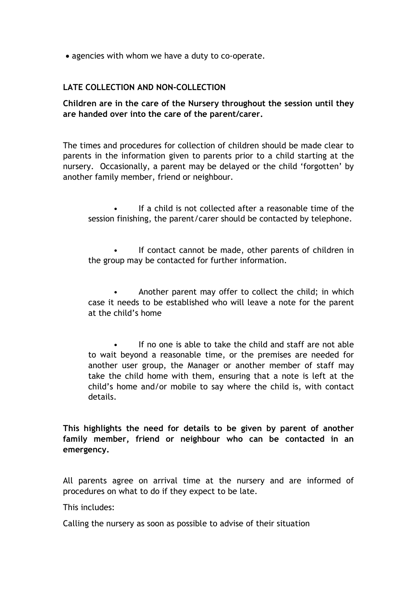• agencies with whom we have a duty to co-operate.

## **LATE COLLECTION AND NON-COLLECTION**

**Children are in the care of the Nursery throughout the session until they are handed over into the care of the parent/carer.** 

The times and procedures for collection of children should be made clear to parents in the information given to parents prior to a child starting at the nursery. Occasionally, a parent may be delayed or the child 'forgotten' by another family member, friend or neighbour.

If a child is not collected after a reasonable time of the session finishing, the parent/carer should be contacted by telephone.

If contact cannot be made, other parents of children in the group may be contacted for further information.

Another parent may offer to collect the child; in which case it needs to be established who will leave a note for the parent at the child's home

• If no one is able to take the child and staff are not able to wait beyond a reasonable time, or the premises are needed for another user group, the Manager or another member of staff may take the child home with them, ensuring that a note is left at the child's home and/or mobile to say where the child is, with contact details.

**This highlights the need for details to be given by parent of another family member, friend or neighbour who can be contacted in an emergency.**

All parents agree on arrival time at the nursery and are informed of procedures on what to do if they expect to be late.

This includes:

Calling the nursery as soon as possible to advise of their situation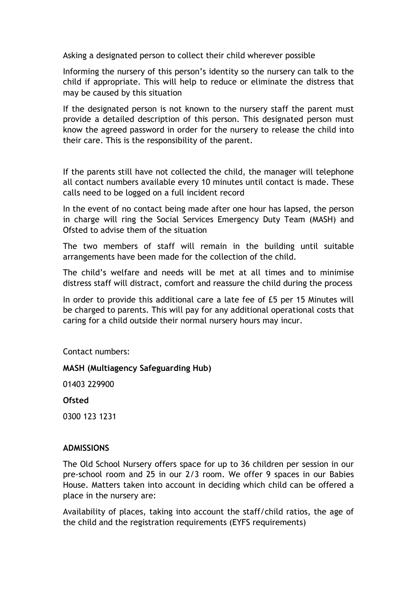Asking a designated person to collect their child wherever possible

Informing the nursery of this person's identity so the nursery can talk to the child if appropriate. This will help to reduce or eliminate the distress that may be caused by this situation

If the designated person is not known to the nursery staff the parent must provide a detailed description of this person. This designated person must know the agreed password in order for the nursery to release the child into their care. This is the responsibility of the parent.

If the parents still have not collected the child, the manager will telephone all contact numbers available every 10 minutes until contact is made. These calls need to be logged on a full incident record

In the event of no contact being made after one hour has lapsed, the person in charge will ring the Social Services Emergency Duty Team (MASH) and Ofsted to advise them of the situation

The two members of staff will remain in the building until suitable arrangements have been made for the collection of the child.

The child's welfare and needs will be met at all times and to minimise distress staff will distract, comfort and reassure the child during the process

In order to provide this additional care a late fee of £5 per 15 Minutes will be charged to parents. This will pay for any additional operational costs that caring for a child outside their normal nursery hours may incur.

Contact numbers:

## **MASH (Multiagency Safeguarding Hub)**

01403 229900

**Ofsted** 

0300 123 1231

#### **ADMISSIONS**

The Old School Nursery offers space for up to 36 children per session in our pre-school room and 25 in our 2/3 room. We offer 9 spaces in our Babies House. Matters taken into account in deciding which child can be offered a place in the nursery are:

Availability of places, taking into account the staff/child ratios, the age of the child and the registration requirements (EYFS requirements)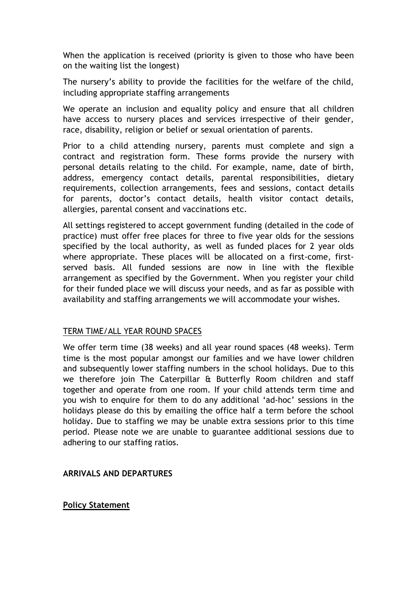When the application is received (priority is given to those who have been on the waiting list the longest)

The nursery's ability to provide the facilities for the welfare of the child, including appropriate staffing arrangements

We operate an inclusion and equality policy and ensure that all children have access to nursery places and services irrespective of their gender, race, disability, religion or belief or sexual orientation of parents.

Prior to a child attending nursery, parents must complete and sign a contract and registration form. These forms provide the nursery with personal details relating to the child. For example, name, date of birth, address, emergency contact details, parental responsibilities, dietary requirements, collection arrangements, fees and sessions, contact details for parents, doctor's contact details, health visitor contact details, allergies, parental consent and vaccinations etc.

All settings registered to accept government funding (detailed in the code of practice) must offer free places for three to five year olds for the sessions specified by the local authority, as well as funded places for 2 year olds where appropriate. These places will be allocated on a first-come, firstserved basis. All funded sessions are now in line with the flexible arrangement as specified by the Government. When you register your child for their funded place we will discuss your needs, and as far as possible with availability and staffing arrangements we will accommodate your wishes.

# TERM TIME/ALL YEAR ROUND SPACES

We offer term time (38 weeks) and all year round spaces (48 weeks). Term time is the most popular amongst our families and we have lower children and subsequently lower staffing numbers in the school holidays. Due to this we therefore join The Caterpillar & Butterfly Room children and staff together and operate from one room. If your child attends term time and you wish to enquire for them to do any additional 'ad-hoc' sessions in the holidays please do this by emailing the office half a term before the school holiday. Due to staffing we may be unable extra sessions prior to this time period. Please note we are unable to guarantee additional sessions due to adhering to our staffing ratios.

## **ARRIVALS AND DEPARTURES**

## **Policy Statement**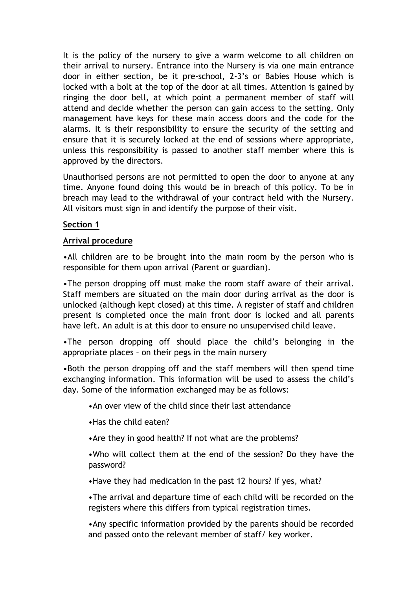It is the policy of the nursery to give a warm welcome to all children on their arrival to nursery. Entrance into the Nursery is via one main entrance door in either section, be it pre-school, 2-3's or Babies House which is locked with a bolt at the top of the door at all times. Attention is gained by ringing the door bell, at which point a permanent member of staff will attend and decide whether the person can gain access to the setting. Only management have keys for these main access doors and the code for the alarms. It is their responsibility to ensure the security of the setting and ensure that it is securely locked at the end of sessions where appropriate, unless this responsibility is passed to another staff member where this is approved by the directors.

Unauthorised persons are not permitted to open the door to anyone at any time. Anyone found doing this would be in breach of this policy. To be in breach may lead to the withdrawal of your contract held with the Nursery. All visitors must sign in and identify the purpose of their visit.

## **Section 1**

## **Arrival procedure**

•All children are to be brought into the main room by the person who is responsible for them upon arrival (Parent or guardian).

•The person dropping off must make the room staff aware of their arrival. Staff members are situated on the main door during arrival as the door is unlocked (although kept closed) at this time. A register of staff and children present is completed once the main front door is locked and all parents have left. An adult is at this door to ensure no unsupervised child leave.

•The person dropping off should place the child's belonging in the appropriate places – on their pegs in the main nursery

•Both the person dropping off and the staff members will then spend time exchanging information. This information will be used to assess the child's day. Some of the information exchanged may be as follows:

•An over view of the child since their last attendance

•Has the child eaten?

•Are they in good health? If not what are the problems?

•Who will collect them at the end of the session? Do they have the password?

•Have they had medication in the past 12 hours? If yes, what?

•The arrival and departure time of each child will be recorded on the registers where this differs from typical registration times.

•Any specific information provided by the parents should be recorded and passed onto the relevant member of staff/ key worker.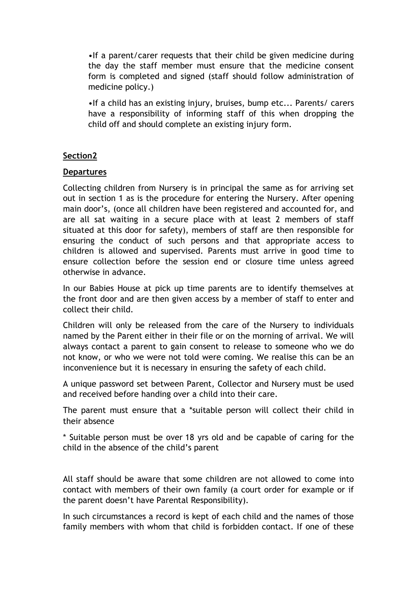•If a parent/carer requests that their child be given medicine during the day the staff member must ensure that the medicine consent form is completed and signed (staff should follow administration of medicine policy.)

•If a child has an existing injury, bruises, bump etc... Parents/ carers have a responsibility of informing staff of this when dropping the child off and should complete an existing injury form.

# **Section2**

## **Departures**

Collecting children from Nursery is in principal the same as for arriving set out in section 1 as is the procedure for entering the Nursery. After opening main door's, (once all children have been registered and accounted for, and are all sat waiting in a secure place with at least 2 members of staff situated at this door for safety), members of staff are then responsible for ensuring the conduct of such persons and that appropriate access to children is allowed and supervised. Parents must arrive in good time to ensure collection before the session end or closure time unless agreed otherwise in advance.

In our Babies House at pick up time parents are to identify themselves at the front door and are then given access by a member of staff to enter and collect their child.

Children will only be released from the care of the Nursery to individuals named by the Parent either in their file or on the morning of arrival. We will always contact a parent to gain consent to release to someone who we do not know, or who we were not told were coming. We realise this can be an inconvenience but it is necessary in ensuring the safety of each child.

A unique password set between Parent, Collector and Nursery must be used and received before handing over a child into their care.

The parent must ensure that a \*suitable person will collect their child in their absence

\* Suitable person must be over 18 yrs old and be capable of caring for the child in the absence of the child's parent

All staff should be aware that some children are not allowed to come into contact with members of their own family (a court order for example or if the parent doesn't have Parental Responsibility).

In such circumstances a record is kept of each child and the names of those family members with whom that child is forbidden contact. If one of these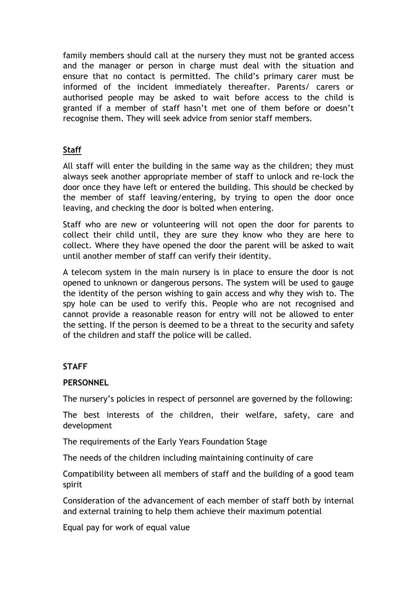family members should call at the nursery they must not be granted access and the manager or person in charge must deal with the situation and ensure that no contact is permitted. The child's primary carer must be informed of the incident immediately thereafter. Parents/ carers or authorised people may be asked to wait before access to the child is granted if a member of staff hasn't met one of them before or doesn't recognise them. They will seek advice from senior staff members.

# **Staff**

All staff will enter the building in the same way as the children; they must always seek another appropriate member of staff to unlock and re-lock the door once they have left or entered the building. This should be checked by the member of staff leaving/entering, by trying to open the door once leaving, and checking the door is bolted when entering.

Staff who are new or volunteering will not open the door for parents to collect their child until, they are sure they know who they are here to collect. Where they have opened the door the parent will be asked to wait until another member of staff can verify their identity.

A telecom system in the main nursery is in place to ensure the door is not opened to unknown or dangerous persons. The system will be used to gauge the identity of the person wishing to gain access and why they wish to. The spy hole can be used to verify this. People who are not recognised and cannot provide a reasonable reason for entry will not be allowed to enter the setting. If the person is deemed to be a threat to the security and safety of the children and staff the police will be called.

# **STAFF**

## **PERSONNEL**

The nursery's policies in respect of personnel are governed by the following:

The best interests of the children, their welfare, safety, care and development

The requirements of the Early Years Foundation Stage

The needs of the children including maintaining continuity of care

Compatibility between all members of staff and the building of a good team spirit

Consideration of the advancement of each member of staff both by internal and external training to help them achieve their maximum potential

Equal pay for work of equal value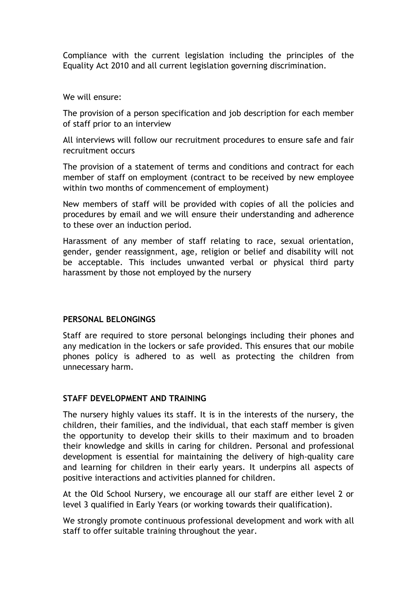Compliance with the current legislation including the principles of the Equality Act 2010 and all current legislation governing discrimination.

We will ensure:

The provision of a person specification and job description for each member of staff prior to an interview

All interviews will follow our recruitment procedures to ensure safe and fair recruitment occurs

The provision of a statement of terms and conditions and contract for each member of staff on employment (contract to be received by new employee within two months of commencement of employment)

New members of staff will be provided with copies of all the policies and procedures by email and we will ensure their understanding and adherence to these over an induction period.

Harassment of any member of staff relating to race, sexual orientation, gender, gender reassignment, age, religion or belief and disability will not be acceptable. This includes unwanted verbal or physical third party harassment by those not employed by the nursery

## **PERSONAL BELONGINGS**

Staff are required to store personal belongings including their phones and any medication in the lockers or safe provided. This ensures that our mobile phones policy is adhered to as well as protecting the children from unnecessary harm.

#### **STAFF DEVELOPMENT AND TRAINING**

The nursery highly values its staff. It is in the interests of the nursery, the children, their families, and the individual, that each staff member is given the opportunity to develop their skills to their maximum and to broaden their knowledge and skills in caring for children. Personal and professional development is essential for maintaining the delivery of high-quality care and learning for children in their early years. It underpins all aspects of positive interactions and activities planned for children.

At the Old School Nursery, we encourage all our staff are either level 2 or level 3 qualified in Early Years (or working towards their qualification).

We strongly promote continuous professional development and work with all staff to offer suitable training throughout the year.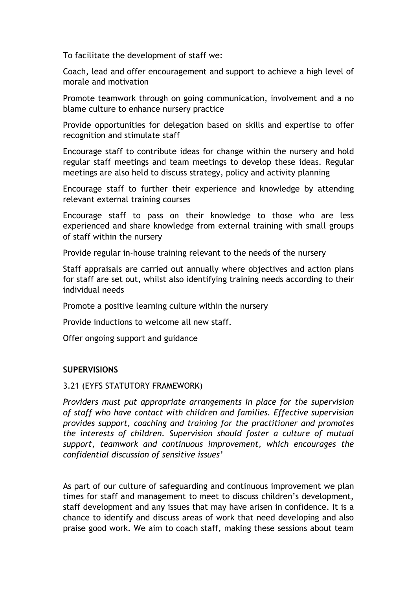To facilitate the development of staff we:

Coach, lead and offer encouragement and support to achieve a high level of morale and motivation

Promote teamwork through on going communication, involvement and a no blame culture to enhance nursery practice

Provide opportunities for delegation based on skills and expertise to offer recognition and stimulate staff

Encourage staff to contribute ideas for change within the nursery and hold regular staff meetings and team meetings to develop these ideas. Regular meetings are also held to discuss strategy, policy and activity planning

Encourage staff to further their experience and knowledge by attending relevant external training courses

Encourage staff to pass on their knowledge to those who are less experienced and share knowledge from external training with small groups of staff within the nursery

Provide regular in-house training relevant to the needs of the nursery

Staff appraisals are carried out annually where objectives and action plans for staff are set out, whilst also identifying training needs according to their individual needs

Promote a positive learning culture within the nursery

Provide inductions to welcome all new staff.

Offer ongoing support and guidance

## **SUPERVISIONS**

## 3.21 (EYFS STATUTORY FRAMEWORK)

*Providers must put appropriate arrangements in place for the supervision of staff who have contact with children and families. Effective supervision provides support, coaching and training for the practitioner and promotes the interests of children. Supervision should foster a culture of mutual support, teamwork and continuous improvement, which encourages the confidential discussion of sensitive issues'*

As part of our culture of safeguarding and continuous improvement we plan times for staff and management to meet to discuss children's development, staff development and any issues that may have arisen in confidence. It is a chance to identify and discuss areas of work that need developing and also praise good work. We aim to coach staff, making these sessions about team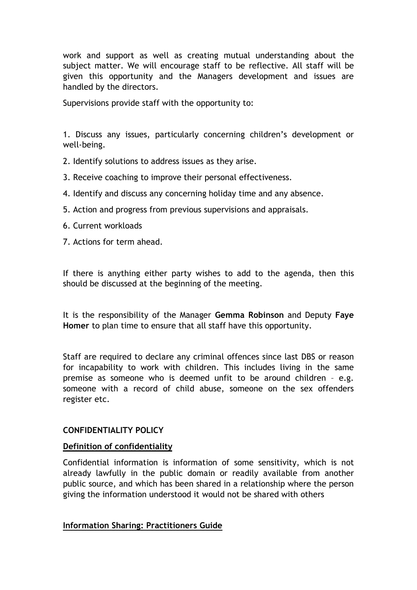work and support as well as creating mutual understanding about the subject matter. We will encourage staff to be reflective. All staff will be given this opportunity and the Managers development and issues are handled by the directors.

Supervisions provide staff with the opportunity to:

1. Discuss any issues, particularly concerning children's development or well-being.

- 2. Identify solutions to address issues as they arise.
- 3. Receive coaching to improve their personal effectiveness.
- 4. Identify and discuss any concerning holiday time and any absence.
- 5. Action and progress from previous supervisions and appraisals.
- 6. Current workloads
- 7. Actions for term ahead.

If there is anything either party wishes to add to the agenda, then this should be discussed at the beginning of the meeting.

It is the responsibility of the Manager **Gemma Robinson** and Deputy **Faye Homer** to plan time to ensure that all staff have this opportunity.

Staff are required to declare any criminal offences since last DBS or reason for incapability to work with children. This includes living in the same premise as someone who is deemed unfit to be around children – e.g. someone with a record of child abuse, someone on the sex offenders register etc.

## **CONFIDENTIALITY POLICY**

## **Definition of confidentiality**

Confidential information is information of some sensitivity, which is not already lawfully in the public domain or readily available from another public source, and which has been shared in a relationship where the person giving the information understood it would not be shared with others

## **Information Sharing: Practitioners Guide**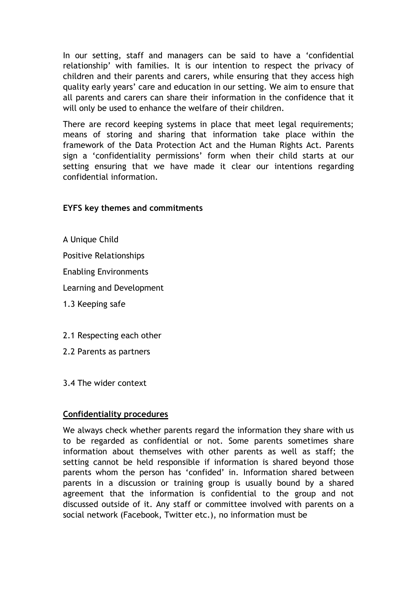In our setting, staff and managers can be said to have a 'confidential relationship' with families. It is our intention to respect the privacy of children and their parents and carers, while ensuring that they access high quality early years' care and education in our setting. We aim to ensure that all parents and carers can share their information in the confidence that it will only be used to enhance the welfare of their children.

There are record keeping systems in place that meet legal requirements; means of storing and sharing that information take place within the framework of the Data Protection Act and the Human Rights Act. Parents sign a 'confidentiality permissions' form when their child starts at our setting ensuring that we have made it clear our intentions regarding confidential information.

## **EYFS key themes and commitments**

A Unique Child Positive Relationships Enabling Environments Learning and Development 1.3 Keeping safe

- 2.1 Respecting each other
- 2.2 Parents as partners
- 3.4 The wider context

## **Confidentiality procedures**

We always check whether parents regard the information they share with us to be regarded as confidential or not. Some parents sometimes share information about themselves with other parents as well as staff; the setting cannot be held responsible if information is shared beyond those parents whom the person has 'confided' in. Information shared between parents in a discussion or training group is usually bound by a shared agreement that the information is confidential to the group and not discussed outside of it. Any staff or committee involved with parents on a social network (Facebook, Twitter etc.), no information must be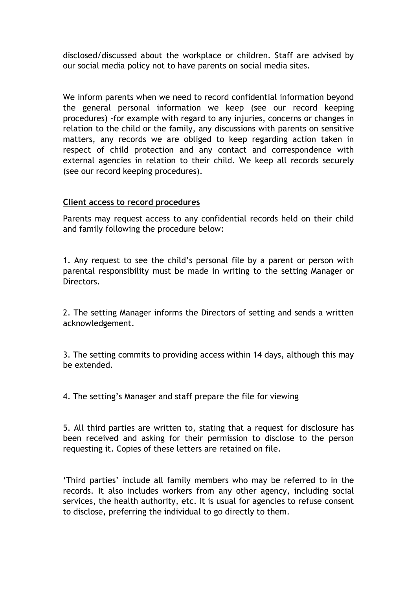disclosed/discussed about the workplace or children. Staff are advised by our social media policy not to have parents on social media sites.

We inform parents when we need to record confidential information beyond the general personal information we keep (see our record keeping procedures) -for example with regard to any injuries, concerns or changes in relation to the child or the family, any discussions with parents on sensitive matters, any records we are obliged to keep regarding action taken in respect of child protection and any contact and correspondence with external agencies in relation to their child. We keep all records securely (see our record keeping procedures).

## **Client access to record procedures**

Parents may request access to any confidential records held on their child and family following the procedure below:

1. Any request to see the child's personal file by a parent or person with parental responsibility must be made in writing to the setting Manager or Directors.

2. The setting Manager informs the Directors of setting and sends a written acknowledgement.

3. The setting commits to providing access within 14 days, although this may be extended.

4. The setting's Manager and staff prepare the file for viewing

5. All third parties are written to, stating that a request for disclosure has been received and asking for their permission to disclose to the person requesting it. Copies of these letters are retained on file.

'Third parties' include all family members who may be referred to in the records. It also includes workers from any other agency, including social services, the health authority, etc. It is usual for agencies to refuse consent to disclose, preferring the individual to go directly to them.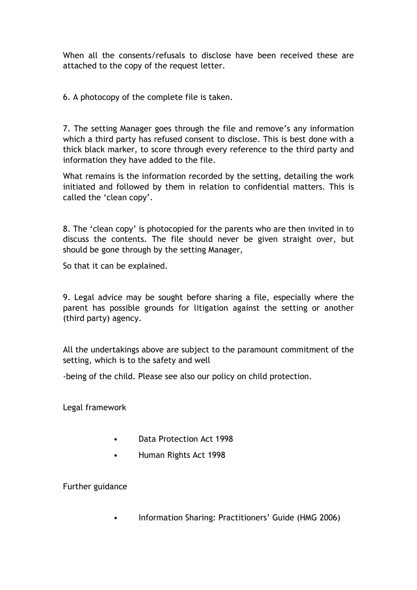When all the consents/refusals to disclose have been received these are attached to the copy of the request letter.

6. A photocopy of the complete file is taken.

7. The setting Manager goes through the file and remove's any information which a third party has refused consent to disclose. This is best done with a thick black marker, to score through every reference to the third party and information they have added to the file.

What remains is the information recorded by the setting, detailing the work initiated and followed by them in relation to confidential matters. This is called the 'clean copy'.

8. The 'clean copy' is photocopied for the parents who are then invited in to discuss the contents. The file should never be given straight over, but should be gone through by the setting Manager,

So that it can be explained.

9. Legal advice may be sought before sharing a file, especially where the parent has possible grounds for litigation against the setting or another (third party) agency.

All the undertakings above are subject to the paramount commitment of the setting, which is to the safety and well

-being of the child. Please see also our policy on child protection.

Legal framework

- Data Protection Act 1998
- Human Rights Act 1998

Further guidance

• Information Sharing: Practitioners' Guide (HMG 2006)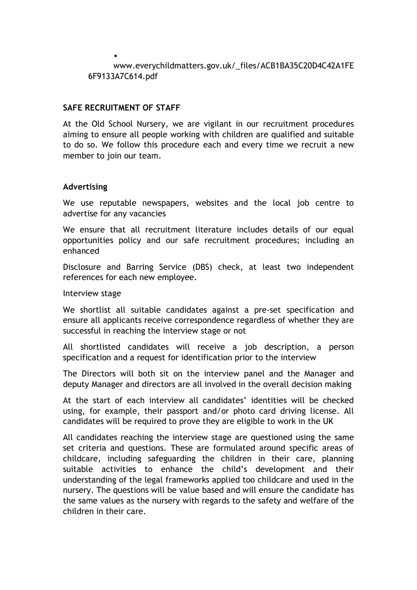• www.everychildmatters.gov.uk/\_files/ACB1BA35C20D4C42A1FE 6F9133A7C614.pdf

## **SAFE RECRUITMENT OF STAFF**

At the Old School Nursery, we are vigilant in our recruitment procedures aiming to ensure all people working with children are qualified and suitable to do so. We follow this procedure each and every time we recruit a new member to join our team.

#### **Advertising**

We use reputable newspapers, websites and the local job centre to advertise for any vacancies

We ensure that all recruitment literature includes details of our equal opportunities policy and our safe recruitment procedures; including an enhanced

Disclosure and Barring Service (DBS) check, at least two independent references for each new employee.

Interview stage

We shortlist all suitable candidates against a pre-set specification and ensure all applicants receive correspondence regardless of whether they are successful in reaching the interview stage or not

All shortlisted candidates will receive a job description, a person specification and a request for identification prior to the interview

The Directors will both sit on the interview panel and the Manager and deputy Manager and directors are all involved in the overall decision making

At the start of each interview all candidates' identities will be checked using, for example, their passport and/or photo card driving license. All candidates will be required to prove they are eligible to work in the UK

All candidates reaching the interview stage are questioned using the same set criteria and questions. These are formulated around specific areas of childcare, including safeguarding the children in their care, planning suitable activities to enhance the child's development and their understanding of the legal frameworks applied too childcare and used in the nursery. The questions will be value based and will ensure the candidate has the same values as the nursery with regards to the safety and welfare of the children in their care.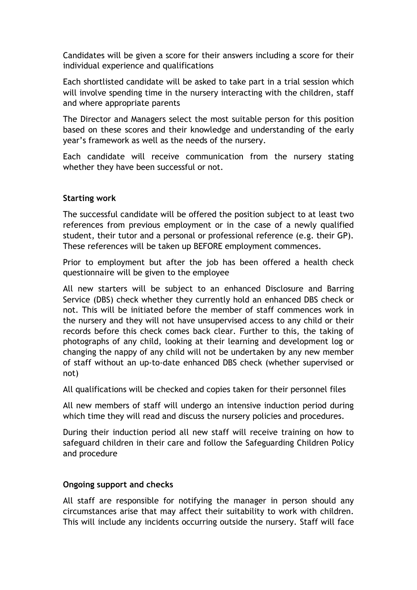Candidates will be given a score for their answers including a score for their individual experience and qualifications

Each shortlisted candidate will be asked to take part in a trial session which will involve spending time in the nursery interacting with the children, staff and where appropriate parents

The Director and Managers select the most suitable person for this position based on these scores and their knowledge and understanding of the early year's framework as well as the needs of the nursery.

Each candidate will receive communication from the nursery stating whether they have been successful or not.

## **Starting work**

The successful candidate will be offered the position subject to at least two references from previous employment or in the case of a newly qualified student, their tutor and a personal or professional reference (e.g. their GP). These references will be taken up BEFORE employment commences.

Prior to employment but after the job has been offered a health check questionnaire will be given to the employee

All new starters will be subject to an enhanced Disclosure and Barring Service (DBS) check whether they currently hold an enhanced DBS check or not. This will be initiated before the member of staff commences work in the nursery and they will not have unsupervised access to any child or their records before this check comes back clear. Further to this, the taking of photographs of any child, looking at their learning and development log or changing the nappy of any child will not be undertaken by any new member of staff without an up-to-date enhanced DBS check (whether supervised or not)

All qualifications will be checked and copies taken for their personnel files

All new members of staff will undergo an intensive induction period during which time they will read and discuss the nursery policies and procedures.

During their induction period all new staff will receive training on how to safeguard children in their care and follow the Safeguarding Children Policy and procedure

## **Ongoing support and checks**

All staff are responsible for notifying the manager in person should any circumstances arise that may affect their suitability to work with children. This will include any incidents occurring outside the nursery. Staff will face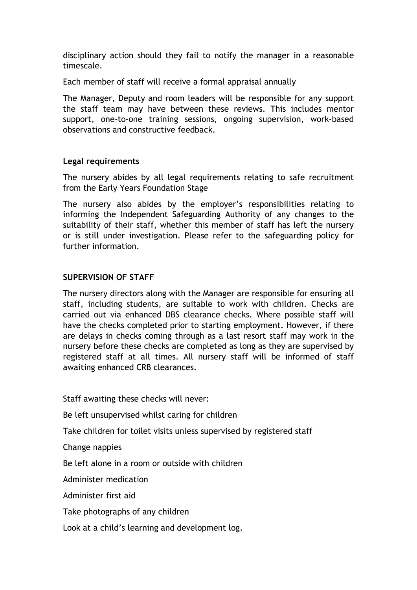disciplinary action should they fail to notify the manager in a reasonable timescale.

Each member of staff will receive a formal appraisal annually

The Manager, Deputy and room leaders will be responsible for any support the staff team may have between these reviews. This includes mentor support, one-to-one training sessions, ongoing supervision, work-based observations and constructive feedback.

## **Legal requirements**

The nursery abides by all legal requirements relating to safe recruitment from the Early Years Foundation Stage

The nursery also abides by the employer's responsibilities relating to informing the Independent Safeguarding Authority of any changes to the suitability of their staff, whether this member of staff has left the nursery or is still under investigation. Please refer to the safeguarding policy for further information.

#### **SUPERVISION OF STAFF**

The nursery directors along with the Manager are responsible for ensuring all staff, including students, are suitable to work with children. Checks are carried out via enhanced DBS clearance checks. Where possible staff will have the checks completed prior to starting employment. However, if there are delays in checks coming through as a last resort staff may work in the nursery before these checks are completed as long as they are supervised by registered staff at all times. All nursery staff will be informed of staff awaiting enhanced CRB clearances.

Staff awaiting these checks will never:

Be left unsupervised whilst caring for children

Take children for toilet visits unless supervised by registered staff

Change nappies

Be left alone in a room or outside with children

Administer medication

Administer first aid

Take photographs of any children

Look at a child's learning and development log.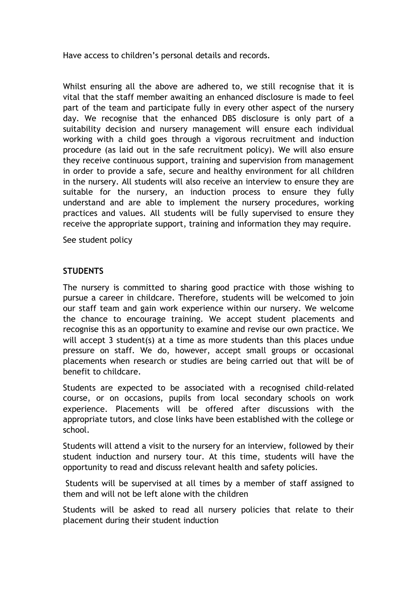Have access to children's personal details and records.

Whilst ensuring all the above are adhered to, we still recognise that it is vital that the staff member awaiting an enhanced disclosure is made to feel part of the team and participate fully in every other aspect of the nursery day. We recognise that the enhanced DBS disclosure is only part of a suitability decision and nursery management will ensure each individual working with a child goes through a vigorous recruitment and induction procedure (as laid out in the safe recruitment policy). We will also ensure they receive continuous support, training and supervision from management in order to provide a safe, secure and healthy environment for all children in the nursery. All students will also receive an interview to ensure they are suitable for the nursery, an induction process to ensure they fully understand and are able to implement the nursery procedures, working practices and values. All students will be fully supervised to ensure they receive the appropriate support, training and information they may require.

See student policy

## **STUDENTS**

The nursery is committed to sharing good practice with those wishing to pursue a career in childcare. Therefore, students will be welcomed to join our staff team and gain work experience within our nursery. We welcome the chance to encourage training. We accept student placements and recognise this as an opportunity to examine and revise our own practice. We will accept 3 student(s) at a time as more students than this places undue pressure on staff. We do, however, accept small groups or occasional placements when research or studies are being carried out that will be of benefit to childcare.

Students are expected to be associated with a recognised child-related course, or on occasions, pupils from local secondary schools on work experience. Placements will be offered after discussions with the appropriate tutors, and close links have been established with the college or school.

Students will attend a visit to the nursery for an interview, followed by their student induction and nursery tour. At this time, students will have the opportunity to read and discuss relevant health and safety policies.

Students will be supervised at all times by a member of staff assigned to them and will not be left alone with the children

Students will be asked to read all nursery policies that relate to their placement during their student induction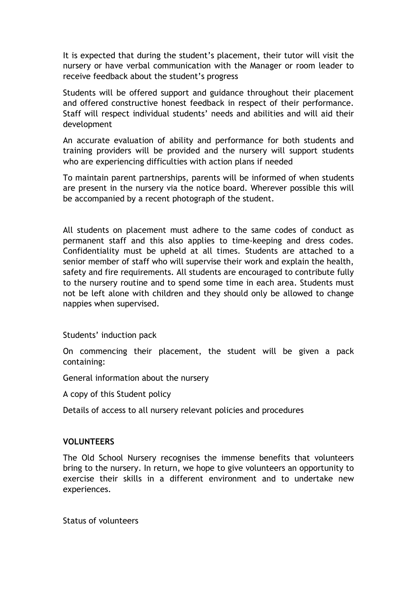It is expected that during the student's placement, their tutor will visit the nursery or have verbal communication with the Manager or room leader to receive feedback about the student's progress

Students will be offered support and guidance throughout their placement and offered constructive honest feedback in respect of their performance. Staff will respect individual students' needs and abilities and will aid their development

An accurate evaluation of ability and performance for both students and training providers will be provided and the nursery will support students who are experiencing difficulties with action plans if needed

To maintain parent partnerships, parents will be informed of when students are present in the nursery via the notice board. Wherever possible this will be accompanied by a recent photograph of the student.

All students on placement must adhere to the same codes of conduct as permanent staff and this also applies to time-keeping and dress codes. Confidentiality must be upheld at all times. Students are attached to a senior member of staff who will supervise their work and explain the health, safety and fire requirements. All students are encouraged to contribute fully to the nursery routine and to spend some time in each area. Students must not be left alone with children and they should only be allowed to change nappies when supervised.

Students' induction pack

On commencing their placement, the student will be given a pack containing:

General information about the nursery

A copy of this Student policy

Details of access to all nursery relevant policies and procedures

## **VOLUNTEERS**

The Old School Nursery recognises the immense benefits that volunteers bring to the nursery. In return, we hope to give volunteers an opportunity to exercise their skills in a different environment and to undertake new experiences.

Status of volunteers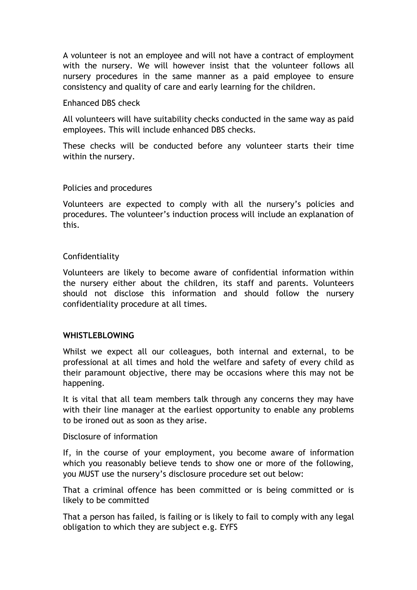A volunteer is not an employee and will not have a contract of employment with the nursery. We will however insist that the volunteer follows all nursery procedures in the same manner as a paid employee to ensure consistency and quality of care and early learning for the children.

Enhanced DBS check

All volunteers will have suitability checks conducted in the same way as paid employees. This will include enhanced DBS checks.

These checks will be conducted before any volunteer starts their time within the nursery.

#### Policies and procedures

Volunteers are expected to comply with all the nursery's policies and procedures. The volunteer's induction process will include an explanation of this.

#### Confidentiality

Volunteers are likely to become aware of confidential information within the nursery either about the children, its staff and parents. Volunteers should not disclose this information and should follow the nursery confidentiality procedure at all times.

#### **WHISTLEBLOWING**

Whilst we expect all our colleagues, both internal and external, to be professional at all times and hold the welfare and safety of every child as their paramount objective, there may be occasions where this may not be happening.

It is vital that all team members talk through any concerns they may have with their line manager at the earliest opportunity to enable any problems to be ironed out as soon as they arise.

#### Disclosure of information

If, in the course of your employment, you become aware of information which you reasonably believe tends to show one or more of the following, you MUST use the nursery's disclosure procedure set out below:

That a criminal offence has been committed or is being committed or is likely to be committed

That a person has failed, is failing or is likely to fail to comply with any legal obligation to which they are subject e.g. EYFS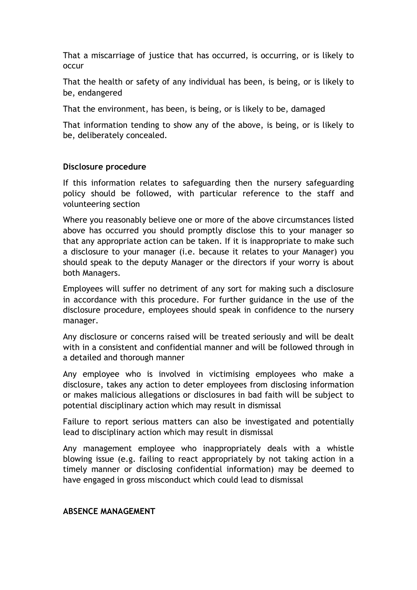That a miscarriage of justice that has occurred, is occurring, or is likely to occur

That the health or safety of any individual has been, is being, or is likely to be, endangered

That the environment, has been, is being, or is likely to be, damaged

That information tending to show any of the above, is being, or is likely to be, deliberately concealed.

### **Disclosure procedure**

If this information relates to safeguarding then the nursery safeguarding policy should be followed, with particular reference to the staff and volunteering section

Where you reasonably believe one or more of the above circumstances listed above has occurred you should promptly disclose this to your manager so that any appropriate action can be taken. If it is inappropriate to make such a disclosure to your manager (i.e. because it relates to your Manager) you should speak to the deputy Manager or the directors if your worry is about both Managers.

Employees will suffer no detriment of any sort for making such a disclosure in accordance with this procedure. For further guidance in the use of the disclosure procedure, employees should speak in confidence to the nursery manager.

Any disclosure or concerns raised will be treated seriously and will be dealt with in a consistent and confidential manner and will be followed through in a detailed and thorough manner

Any employee who is involved in victimising employees who make a disclosure, takes any action to deter employees from disclosing information or makes malicious allegations or disclosures in bad faith will be subject to potential disciplinary action which may result in dismissal

Failure to report serious matters can also be investigated and potentially lead to disciplinary action which may result in dismissal

Any management employee who inappropriately deals with a whistle blowing issue (e.g. failing to react appropriately by not taking action in a timely manner or disclosing confidential information) may be deemed to have engaged in gross misconduct which could lead to dismissal

## **ABSENCE MANAGEMENT**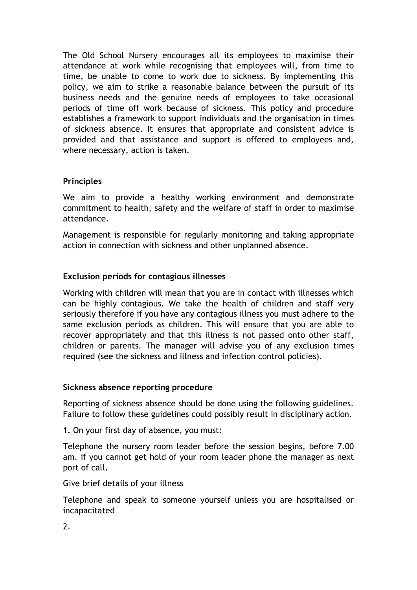The Old School Nursery encourages all its employees to maximise their attendance at work while recognising that employees will, from time to time, be unable to come to work due to sickness. By implementing this policy, we aim to strike a reasonable balance between the pursuit of its business needs and the genuine needs of employees to take occasional periods of time off work because of sickness. This policy and procedure establishes a framework to support individuals and the organisation in times of sickness absence. It ensures that appropriate and consistent advice is provided and that assistance and support is offered to employees and, where necessary, action is taken.

### **Principles**

We aim to provide a healthy working environment and demonstrate commitment to health, safety and the welfare of staff in order to maximise attendance.

Management is responsible for regularly monitoring and taking appropriate action in connection with sickness and other unplanned absence.

## **Exclusion periods for contagious illnesses**

Working with children will mean that you are in contact with illnesses which can be highly contagious. We take the health of children and staff very seriously therefore if you have any contagious illness you must adhere to the same exclusion periods as children. This will ensure that you are able to recover appropriately and that this illness is not passed onto other staff, children or parents. The manager will advise you of any exclusion times required (see the sickness and illness and infection control policies).

### **Sickness absence reporting procedure**

Reporting of sickness absence should be done using the following guidelines. Failure to follow these guidelines could possibly result in disciplinary action.

1. On your first day of absence, you must:

Telephone the nursery room leader before the session begins, before 7.00 am. if you cannot get hold of your room leader phone the manager as next port of call.

Give brief details of your illness

Telephone and speak to someone yourself unless you are hospitalised or incapacitated

2.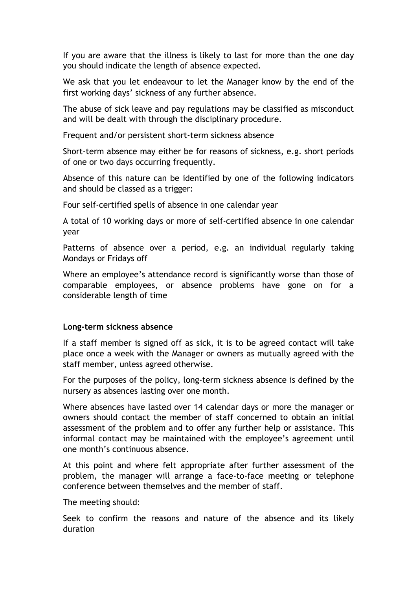If you are aware that the illness is likely to last for more than the one day you should indicate the length of absence expected.

We ask that you let endeavour to let the Manager know by the end of the first working days' sickness of any further absence.

The abuse of sick leave and pay regulations may be classified as misconduct and will be dealt with through the disciplinary procedure.

Frequent and/or persistent short-term sickness absence

Short-term absence may either be for reasons of sickness, e.g. short periods of one or two days occurring frequently.

Absence of this nature can be identified by one of the following indicators and should be classed as a trigger:

Four self-certified spells of absence in one calendar year

A total of 10 working days or more of self-certified absence in one calendar year

Patterns of absence over a period, e.g. an individual regularly taking Mondays or Fridays off

Where an employee's attendance record is significantly worse than those of comparable employees, or absence problems have gone on for a considerable length of time

#### **Long-term sickness absence**

If a staff member is signed off as sick, it is to be agreed contact will take place once a week with the Manager or owners as mutually agreed with the staff member, unless agreed otherwise.

For the purposes of the policy, long-term sickness absence is defined by the nursery as absences lasting over one month.

Where absences have lasted over 14 calendar days or more the manager or owners should contact the member of staff concerned to obtain an initial assessment of the problem and to offer any further help or assistance. This informal contact may be maintained with the employee's agreement until one month's continuous absence.

At this point and where felt appropriate after further assessment of the problem, the manager will arrange a face-to-face meeting or telephone conference between themselves and the member of staff.

The meeting should:

Seek to confirm the reasons and nature of the absence and its likely duration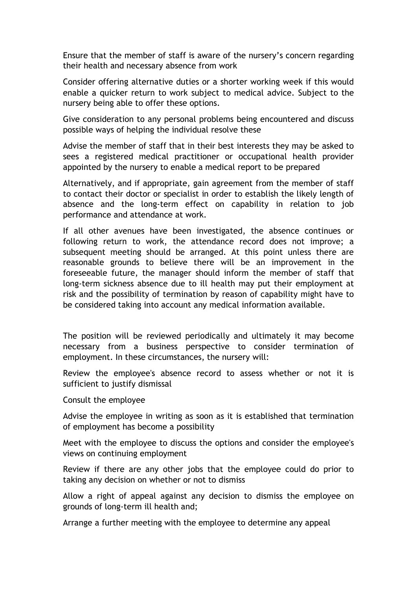Ensure that the member of staff is aware of the nursery's concern regarding their health and necessary absence from work

Consider offering alternative duties or a shorter working week if this would enable a quicker return to work subject to medical advice. Subject to the nursery being able to offer these options.

Give consideration to any personal problems being encountered and discuss possible ways of helping the individual resolve these

Advise the member of staff that in their best interests they may be asked to sees a registered medical practitioner or occupational health provider appointed by the nursery to enable a medical report to be prepared

Alternatively, and if appropriate, gain agreement from the member of staff to contact their doctor or specialist in order to establish the likely length of absence and the long-term effect on capability in relation to job performance and attendance at work.

If all other avenues have been investigated, the absence continues or following return to work, the attendance record does not improve; a subsequent meeting should be arranged. At this point unless there are reasonable grounds to believe there will be an improvement in the foreseeable future, the manager should inform the member of staff that long-term sickness absence due to ill health may put their employment at risk and the possibility of termination by reason of capability might have to be considered taking into account any medical information available.

The position will be reviewed periodically and ultimately it may become necessary from a business perspective to consider termination of employment. In these circumstances, the nursery will:

Review the employee's absence record to assess whether or not it is sufficient to justify dismissal

Consult the employee

Advise the employee in writing as soon as it is established that termination of employment has become a possibility

Meet with the employee to discuss the options and consider the employee's views on continuing employment

Review if there are any other jobs that the employee could do prior to taking any decision on whether or not to dismiss

Allow a right of appeal against any decision to dismiss the employee on grounds of long-term ill health and;

Arrange a further meeting with the employee to determine any appeal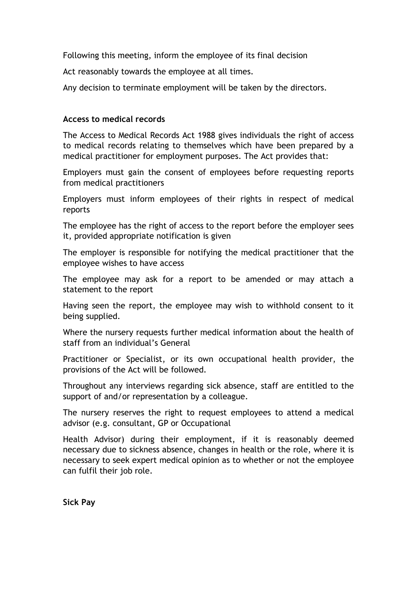Following this meeting, inform the employee of its final decision

Act reasonably towards the employee at all times.

Any decision to terminate employment will be taken by the directors.

# **Access to medical records**

The Access to Medical Records Act 1988 gives individuals the right of access to medical records relating to themselves which have been prepared by a medical practitioner for employment purposes. The Act provides that:

Employers must gain the consent of employees before requesting reports from medical practitioners

Employers must inform employees of their rights in respect of medical reports

The employee has the right of access to the report before the employer sees it, provided appropriate notification is given

The employer is responsible for notifying the medical practitioner that the employee wishes to have access

The employee may ask for a report to be amended or may attach a statement to the report

Having seen the report, the employee may wish to withhold consent to it being supplied.

Where the nursery requests further medical information about the health of staff from an individual's General

Practitioner or Specialist, or its own occupational health provider, the provisions of the Act will be followed.

Throughout any interviews regarding sick absence, staff are entitled to the support of and/or representation by a colleague.

The nursery reserves the right to request employees to attend a medical advisor (e.g. consultant, GP or Occupational

Health Advisor) during their employment, if it is reasonably deemed necessary due to sickness absence, changes in health or the role, where it is necessary to seek expert medical opinion as to whether or not the employee can fulfil their job role.

**Sick Pay**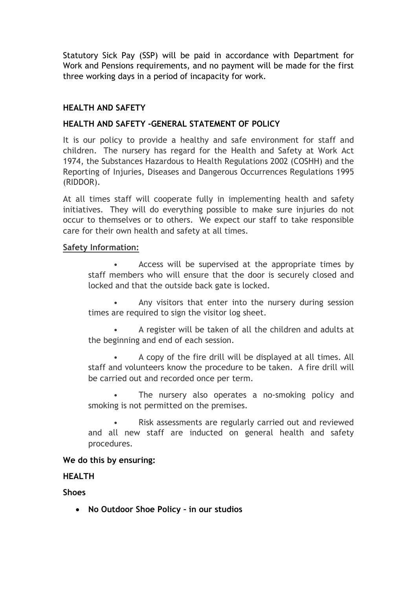Statutory Sick Pay (SSP) will be paid in accordance with Department for Work and Pensions requirements, and no payment will be made for the first three working days in a period of incapacity for work.

## **HEALTH AND SAFETY**

## **HEALTH AND SAFETY -GENERAL STATEMENT OF POLICY**

It is our policy to provide a healthy and safe environment for staff and children. The nursery has regard for the Health and Safety at Work Act 1974, the Substances Hazardous to Health Regulations 2002 (COSHH) and the Reporting of Injuries, Diseases and Dangerous Occurrences Regulations 1995 (RIDDOR).

At all times staff will cooperate fully in implementing health and safety initiatives. They will do everything possible to make sure injuries do not occur to themselves or to others. We expect our staff to take responsible care for their own health and safety at all times.

#### **Safety Information:**

 • Access will be supervised at the appropriate times by staff members who will ensure that the door is securely closed and locked and that the outside back gate is locked.

Any visitors that enter into the nursery during session times are required to sign the visitor log sheet.

 • A register will be taken of all the children and adults at the beginning and end of each session.

 • A copy of the fire drill will be displayed at all times. All staff and volunteers know the procedure to be taken. A fire drill will be carried out and recorded once per term.

The nursery also operates a no-smoking policy and smoking is not permitted on the premises.

 • Risk assessments are regularly carried out and reviewed and all new staff are inducted on general health and safety procedures.

### **We do this by ensuring:**

### **HEALTH**

### **Shoes**

• **No Outdoor Shoe Policy – in our studios**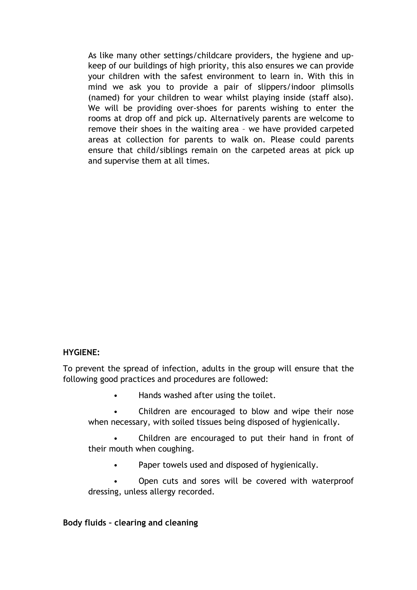As like many other settings/childcare providers, the hygiene and upkeep of our buildings of high priority, this also ensures we can provide your children with the safest environment to learn in. With this in mind we ask you to provide a pair of slippers/indoor plimsolls (named) for your children to wear whilst playing inside (staff also). We will be providing over-shoes for parents wishing to enter the rooms at drop off and pick up. Alternatively parents are welcome to remove their shoes in the waiting area – we have provided carpeted areas at collection for parents to walk on. Please could parents ensure that child/siblings remain on the carpeted areas at pick up and supervise them at all times.

### **HYGIENE:**

To prevent the spread of infection, adults in the group will ensure that the following good practices and procedures are followed:

• Hands washed after using the toilet.

Children are encouraged to blow and wipe their nose when necessary, with soiled tissues being disposed of hygienically.

Children are encouraged to put their hand in front of their mouth when coughing.

Paper towels used and disposed of hygienically.

Open cuts and sores will be covered with waterproof dressing, unless allergy recorded.

### **Body fluids – clearing and cleaning**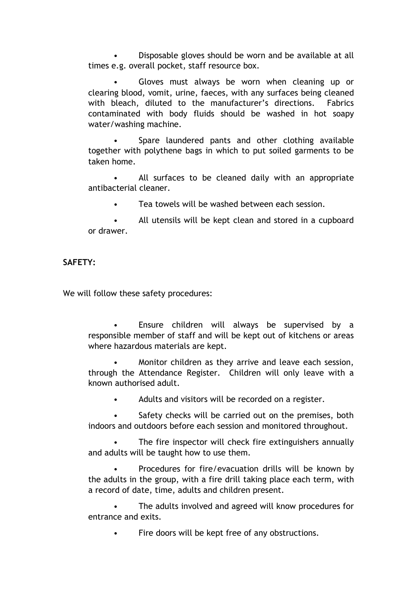• Disposable gloves should be worn and be available at all times e.g. overall pocket, staff resource box.

• Gloves must always be worn when cleaning up or clearing blood, vomit, urine, faeces, with any surfaces being cleaned with bleach, diluted to the manufacturer's directions. Fabrics contaminated with body fluids should be washed in hot soapy water/washing machine.

Spare laundered pants and other clothing available together with polythene bags in which to put soiled garments to be taken home.

• All surfaces to be cleaned daily with an appropriate antibacterial cleaner.

• Tea towels will be washed between each session.

All utensils will be kept clean and stored in a cupboard or drawer.

# **SAFETY:**

We will follow these safety procedures:

• Ensure children will always be supervised by a responsible member of staff and will be kept out of kitchens or areas where hazardous materials are kept.

• Monitor children as they arrive and leave each session, through the Attendance Register. Children will only leave with a known authorised adult.

Adults and visitors will be recorded on a register.

Safety checks will be carried out on the premises, both indoors and outdoors before each session and monitored throughout.

The fire inspector will check fire extinguishers annually and adults will be taught how to use them.

• Procedures for fire/evacuation drills will be known by the adults in the group, with a fire drill taking place each term, with a record of date, time, adults and children present.

• The adults involved and agreed will know procedures for entrance and exits.

Fire doors will be kept free of any obstructions.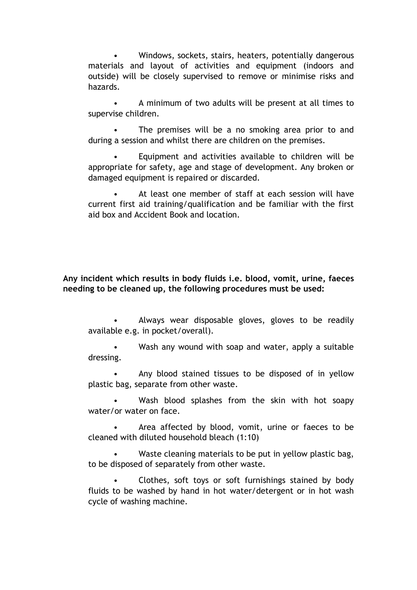• Windows, sockets, stairs, heaters, potentially dangerous materials and layout of activities and equipment (indoors and outside) will be closely supervised to remove or minimise risks and hazards.

• A minimum of two adults will be present at all times to supervise children.

• The premises will be a no smoking area prior to and during a session and whilst there are children on the premises.

Equipment and activities available to children will be appropriate for safety, age and stage of development. Any broken or damaged equipment is repaired or discarded.

At least one member of staff at each session will have current first aid training/qualification and be familiar with the first aid box and Accident Book and location.

# **Any incident which results in body fluids i.e. blood, vomit, urine, faeces needing to be cleaned up, the following procedures must be used:**

Always wear disposable gloves, gloves to be readily available e.g. in pocket/overall).

Wash any wound with soap and water, apply a suitable dressing.

Any blood stained tissues to be disposed of in yellow plastic bag, separate from other waste.

Wash blood splashes from the skin with hot soapy water/or water on face.

Area affected by blood, vomit, urine or faeces to be cleaned with diluted household bleach (1:10)

Waste cleaning materials to be put in yellow plastic bag, to be disposed of separately from other waste.

• Clothes, soft toys or soft furnishings stained by body fluids to be washed by hand in hot water/detergent or in hot wash cycle of washing machine.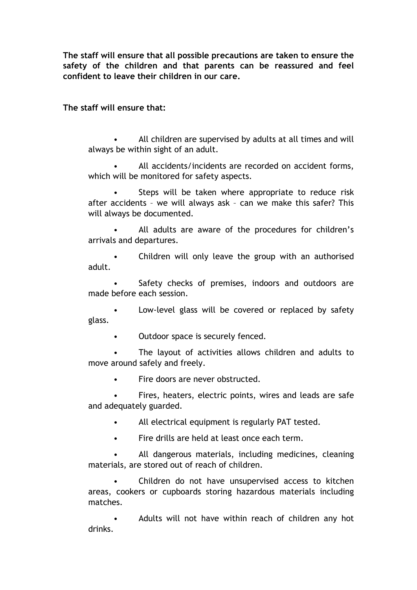**The staff will ensure that all possible precautions are taken to ensure the safety of the children and that parents can be reassured and feel confident to leave their children in our care.**

# **The staff will ensure that:**

All children are supervised by adults at all times and will always be within sight of an adult.

All accidents/incidents are recorded on accident forms, which will be monitored for safety aspects.

Steps will be taken where appropriate to reduce risk after accidents – we will always ask – can we make this safer? This will always be documented.

All adults are aware of the procedures for children's arrivals and departures.

Children will only leave the group with an authorised adult.

Safety checks of premises, indoors and outdoors are made before each session.

Low-level glass will be covered or replaced by safety glass.

• Outdoor space is securely fenced.

The layout of activities allows children and adults to move around safely and freely.

Fire doors are never obstructed.

Fires, heaters, electric points, wires and leads are safe and adequately guarded.

• All electrical equipment is regularly PAT tested.

• Fire drills are held at least once each term.

All dangerous materials, including medicines, cleaning materials, are stored out of reach of children.

Children do not have unsupervised access to kitchen areas, cookers or cupboards storing hazardous materials including matches.

Adults will not have within reach of children any hot drinks.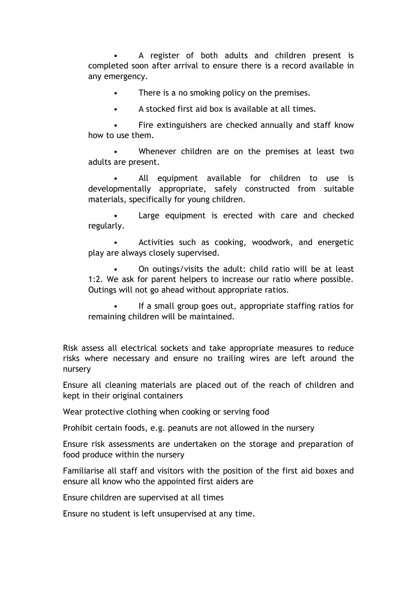A register of both adults and children present is completed soon after arrival to ensure there is a record available in any emergency.

• There is a no smoking policy on the premises.

• A stocked first aid box is available at all times.

Fire extinguishers are checked annually and staff know how to use them.

Whenever children are on the premises at least two adults are present.

All equipment available for children to use is developmentally appropriate, safely constructed from suitable materials, specifically for young children.

Large equipment is erected with care and checked regularly.

• Activities such as cooking, woodwork, and energetic play are always closely supervised.

• On outings/visits the adult: child ratio will be at least 1:2. We ask for parent helpers to increase our ratio where possible. Outings will not go ahead without appropriate ratios.

If a small group goes out, appropriate staffing ratios for remaining children will be maintained.

Risk assess all electrical sockets and take appropriate measures to reduce risks where necessary and ensure no trailing wires are left around the nursery

Ensure all cleaning materials are placed out of the reach of children and kept in their original containers

Wear protective clothing when cooking or serving food

Prohibit certain foods, e.g. peanuts are not allowed in the nursery

Ensure risk assessments are undertaken on the storage and preparation of food produce within the nursery

Familiarise all staff and visitors with the position of the first aid boxes and ensure all know who the appointed first aiders are

Ensure children are supervised at all times

Ensure no student is left unsupervised at any time.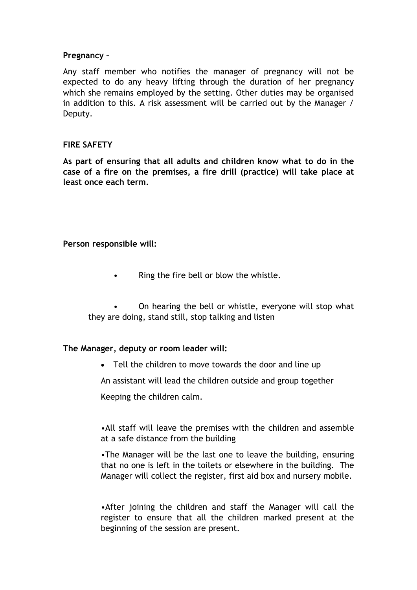### **Pregnancy –**

Any staff member who notifies the manager of pregnancy will not be expected to do any heavy lifting through the duration of her pregnancy which she remains employed by the setting. Other duties may be organised in addition to this. A risk assessment will be carried out by the Manager / Deputy.

### **FIRE SAFETY**

**As part of ensuring that all adults and children know what to do in the case of a fire on the premises, a fire drill (practice) will take place at least once each term.**

## **Person responsible will:**

- Ring the fire bell or blow the whistle.
- On hearing the bell or whistle, everyone will stop what they are doing, stand still, stop talking and listen

### **The Manager, deputy or room leader will:**

- Tell the children to move towards the door and line up
- An assistant will lead the children outside and group together

Keeping the children calm.

•All staff will leave the premises with the children and assemble at a safe distance from the building

•The Manager will be the last one to leave the building, ensuring that no one is left in the toilets or elsewhere in the building. The Manager will collect the register, first aid box and nursery mobile.

•After joining the children and staff the Manager will call the register to ensure that all the children marked present at the beginning of the session are present.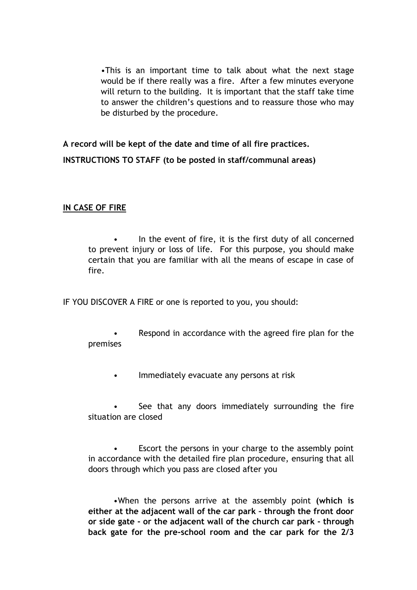•This is an important time to talk about what the next stage would be if there really was a fire. After a few minutes everyone will return to the building. It is important that the staff take time to answer the children's questions and to reassure those who may be disturbed by the procedure.

**A record will be kept of the date and time of all fire practices. INSTRUCTIONS TO STAFF (to be posted in staff/communal areas)**

### **IN CASE OF FIRE**

In the event of fire, it is the first duty of all concerned to prevent injury or loss of life. For this purpose, you should make certain that you are familiar with all the means of escape in case of fire.

IF YOU DISCOVER A FIRE or one is reported to you, you should:

Respond in accordance with the agreed fire plan for the premises

• Immediately evacuate any persons at risk

See that any doors immediately surrounding the fire situation are closed

Escort the persons in your charge to the assembly point in accordance with the detailed fire plan procedure, ensuring that all doors through which you pass are closed after you

 •When the persons arrive at the assembly point **(which is either at the adjacent wall of the car park – through the front door or side gate - or the adjacent wall of the church car park - through back gate for the pre-school room and the car park for the 2/3**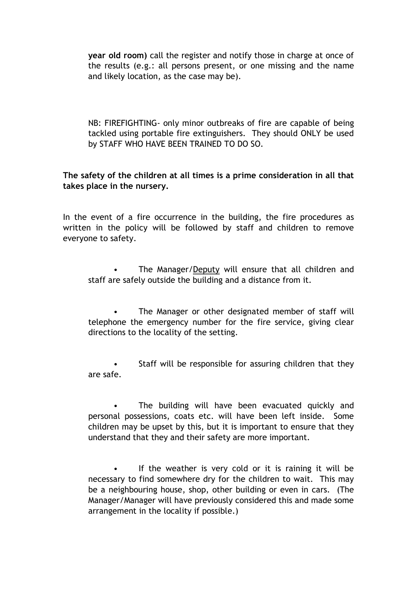**year old room)** call the register and notify those in charge at once of the results (e.g.: all persons present, or one missing and the name and likely location, as the case may be).

NB: FIREFIGHTING- only minor outbreaks of fire are capable of being tackled using portable fire extinguishers. They should ONLY be used by STAFF WHO HAVE BEEN TRAINED TO DO SO.

**The safety of the children at all times is a prime consideration in all that takes place in the nursery.**

In the event of a fire occurrence in the building, the fire procedures as written in the policy will be followed by staff and children to remove everyone to safety.

The Manager/Deputy will ensure that all children and staff are safely outside the building and a distance from it.

The Manager or other designated member of staff will telephone the emergency number for the fire service, giving clear directions to the locality of the setting.

Staff will be responsible for assuring children that they are safe.

The building will have been evacuated quickly and personal possessions, coats etc. will have been left inside. Some children may be upset by this, but it is important to ensure that they understand that they and their safety are more important.

If the weather is very cold or it is raining it will be necessary to find somewhere dry for the children to wait. This may be a neighbouring house, shop, other building or even in cars. (The Manager/Manager will have previously considered this and made some arrangement in the locality if possible.)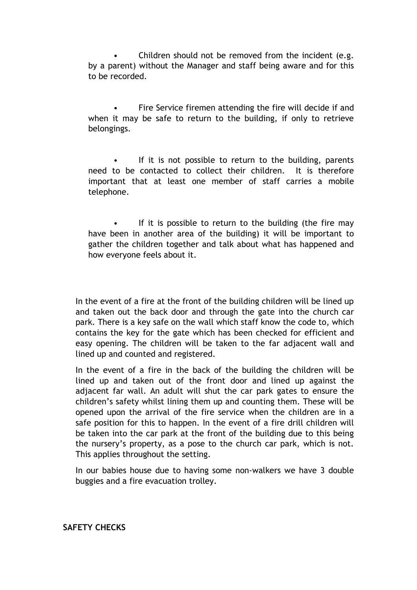Children should not be removed from the incident (e.g. by a parent) without the Manager and staff being aware and for this to be recorded.

Fire Service firemen attending the fire will decide if and when it may be safe to return to the building, if only to retrieve belongings.

If it is not possible to return to the building, parents need to be contacted to collect their children. It is therefore important that at least one member of staff carries a mobile telephone.

If it is possible to return to the building (the fire may have been in another area of the building) it will be important to gather the children together and talk about what has happened and how everyone feels about it.

In the event of a fire at the front of the building children will be lined up and taken out the back door and through the gate into the church car park. There is a key safe on the wall which staff know the code to, which contains the key for the gate which has been checked for efficient and easy opening. The children will be taken to the far adjacent wall and lined up and counted and registered.

In the event of a fire in the back of the building the children will be lined up and taken out of the front door and lined up against the adjacent far wall. An adult will shut the car park gates to ensure the children's safety whilst lining them up and counting them. These will be opened upon the arrival of the fire service when the children are in a safe position for this to happen. In the event of a fire drill children will be taken into the car park at the front of the building due to this being the nursery's property, as a pose to the church car park, which is not. This applies throughout the setting.

In our babies house due to having some non-walkers we have 3 double buggies and a fire evacuation trolley.

**SAFETY CHECKS**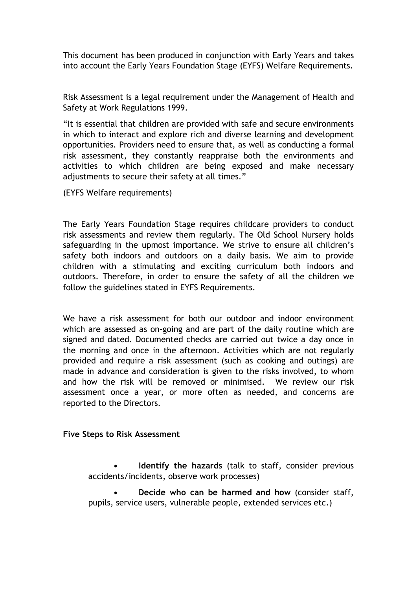This document has been produced in conjunction with Early Years and takes into account the Early Years Foundation Stage (EYFS) Welfare Requirements.

Risk Assessment is a legal requirement under the Management of Health and Safety at Work Regulations 1999.

"It is essential that children are provided with safe and secure environments in which to interact and explore rich and diverse learning and development opportunities. Providers need to ensure that, as well as conducting a formal risk assessment, they constantly reappraise both the environments and activities to which children are being exposed and make necessary adjustments to secure their safety at all times."

(EYFS Welfare requirements)

The Early Years Foundation Stage requires childcare providers to conduct risk assessments and review them regularly. The Old School Nursery holds safeguarding in the upmost importance. We strive to ensure all children's safety both indoors and outdoors on a daily basis. We aim to provide children with a stimulating and exciting curriculum both indoors and outdoors. Therefore, in order to ensure the safety of all the children we follow the guidelines stated in EYFS Requirements.

We have a risk assessment for both our outdoor and indoor environment which are assessed as on-going and are part of the daily routine which are signed and dated. Documented checks are carried out twice a day once in the morning and once in the afternoon. Activities which are not regularly provided and require a risk assessment (such as cooking and outings) are made in advance and consideration is given to the risks involved, to whom and how the risk will be removed or minimised. We review our risk assessment once a year, or more often as needed, and concerns are reported to the Directors.

#### **Five Steps to Risk Assessment**

- **• Identify the hazards** (talk to staff, consider previous accidents/incidents, observe work processes)
- **• Decide who can be harmed and how** (consider staff, pupils, service users, vulnerable people, extended services etc.)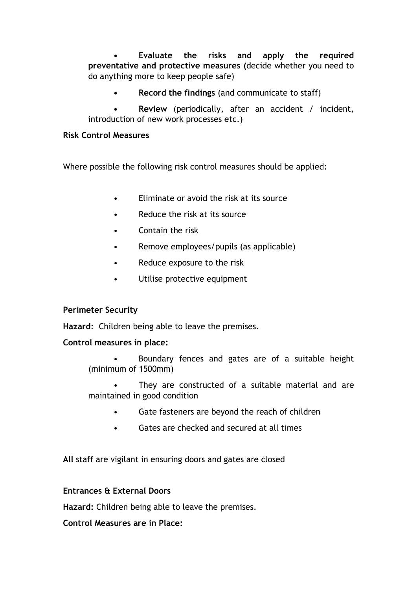**• Evaluate the risks and apply the required preventative and protective measures (**decide whether you need to do anything more to keep people safe)

**• Record the findings** (and communicate to staff)

**• Review** (periodically, after an accident / incident, introduction of new work processes etc.)

## **Risk Control Measures**

Where possible the following risk control measures should be applied:

- Eliminate or avoid the risk at its source
- Reduce the risk at its source
- Contain the risk
- Remove employees/pupils (as applicable)
- Reduce exposure to the risk
- Utilise protective equipment

# **Perimeter Security**

**Hazard**: Children being able to leave the premises.

# **Control measures in place:**

• Boundary fences and gates are of a suitable height (minimum of 1500mm)

- They are constructed of a suitable material and are maintained in good condition
	- Gate fasteners are beyond the reach of children
	- Gates are checked and secured at all times

**All** staff are vigilant in ensuring doors and gates are closed

# **Entrances & External Doors**

**Hazard:** Children being able to leave the premises.

# **Control Measures are in Place:**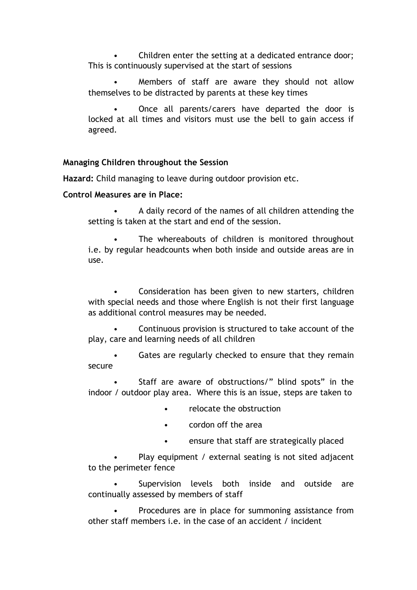Children enter the setting at a dedicated entrance door; This is continuously supervised at the start of sessions

Members of staff are aware they should not allow themselves to be distracted by parents at these key times

Once all parents/carers have departed the door is locked at all times and visitors must use the bell to gain access if agreed.

## **Managing Children throughout the Session**

**Hazard:** Child managing to leave during outdoor provision etc.

**Control Measures are in Place:**

• A daily record of the names of all children attending the setting is taken at the start and end of the session.

The whereabouts of children is monitored throughout i.e. by regular headcounts when both inside and outside areas are in use.

Consideration has been given to new starters, children with special needs and those where English is not their first language as additional control measures may be needed.

• Continuous provision is structured to take account of the play, care and learning needs of all children

Gates are regularly checked to ensure that they remain secure

Staff are aware of obstructions/" blind spots" in the indoor / outdoor play area. Where this is an issue, steps are taken to

• relocate the obstruction

• cordon off the area

• ensure that staff are strategically placed

Play equipment / external seating is not sited adjacent to the perimeter fence

Supervision levels both inside and outside are continually assessed by members of staff

Procedures are in place for summoning assistance from other staff members i.e. in the case of an accident / incident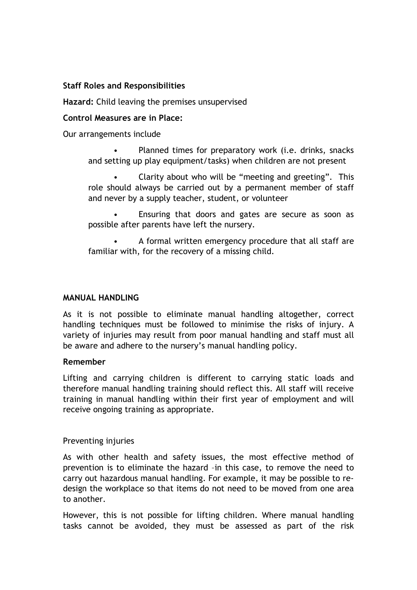## **Staff Roles and Responsibilities**

**Hazard:** Child leaving the premises unsupervised

### **Control Measures are in Place:**

Our arrangements include

Planned times for preparatory work (i.e. drinks, snacks and setting up play equipment/tasks) when children are not present

• Clarity about who will be "meeting and greeting". This role should always be carried out by a permanent member of staff and never by a supply teacher, student, or volunteer

• Ensuring that doors and gates are secure as soon as possible after parents have left the nursery.

• A formal written emergency procedure that all staff are familiar with, for the recovery of a missing child.

### **MANUAL HANDLING**

As it is not possible to eliminate manual handling altogether, correct handling techniques must be followed to minimise the risks of injury. A variety of injuries may result from poor manual handling and staff must all be aware and adhere to the nursery's manual handling policy.

### **Remember**

Lifting and carrying children is different to carrying static loads and therefore manual handling training should reflect this. All staff will receive training in manual handling within their first year of employment and will receive ongoing training as appropriate.

### Preventing injuries

As with other health and safety issues, the most effective method of prevention is to eliminate the hazard –in this case, to remove the need to carry out hazardous manual handling. For example, it may be possible to redesign the workplace so that items do not need to be moved from one area to another.

However, this is not possible for lifting children. Where manual handling tasks cannot be avoided, they must be assessed as part of the risk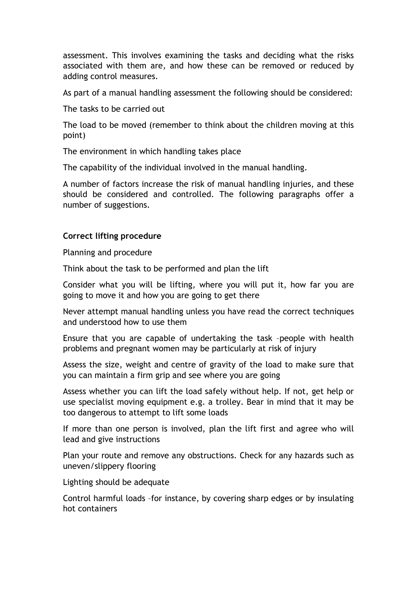assessment. This involves examining the tasks and deciding what the risks associated with them are, and how these can be removed or reduced by adding control measures.

As part of a manual handling assessment the following should be considered:

The tasks to be carried out

The load to be moved (remember to think about the children moving at this point)

The environment in which handling takes place

The capability of the individual involved in the manual handling.

A number of factors increase the risk of manual handling injuries, and these should be considered and controlled. The following paragraphs offer a number of suggestions.

### **Correct lifting procedure**

Planning and procedure

Think about the task to be performed and plan the lift

Consider what you will be lifting, where you will put it, how far you are going to move it and how you are going to get there

Never attempt manual handling unless you have read the correct techniques and understood how to use them

Ensure that you are capable of undertaking the task –people with health problems and pregnant women may be particularly at risk of injury

Assess the size, weight and centre of gravity of the load to make sure that you can maintain a firm grip and see where you are going

Assess whether you can lift the load safely without help. If not, get help or use specialist moving equipment e.g. a trolley. Bear in mind that it may be too dangerous to attempt to lift some loads

If more than one person is involved, plan the lift first and agree who will lead and give instructions

Plan your route and remove any obstructions. Check for any hazards such as uneven/slippery flooring

Lighting should be adequate

Control harmful loads –for instance, by covering sharp edges or by insulating hot containers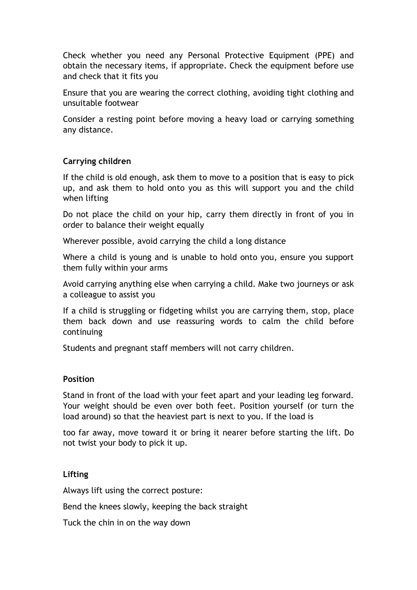Check whether you need any Personal Protective Equipment (PPE) and obtain the necessary items, if appropriate. Check the equipment before use and check that it fits you

Ensure that you are wearing the correct clothing, avoiding tight clothing and unsuitable footwear

Consider a resting point before moving a heavy load or carrying something any distance.

# **Carrying children**

If the child is old enough, ask them to move to a position that is easy to pick up, and ask them to hold onto you as this will support you and the child when lifting

Do not place the child on your hip, carry them directly in front of you in order to balance their weight equally

Wherever possible, avoid carrying the child a long distance

Where a child is young and is unable to hold onto you, ensure you support them fully within your arms

Avoid carrying anything else when carrying a child. Make two journeys or ask a colleague to assist you

If a child is struggling or fidgeting whilst you are carrying them, stop, place them back down and use reassuring words to calm the child before continuing

Students and pregnant staff members will not carry children.

### **Position**

Stand in front of the load with your feet apart and your leading leg forward. Your weight should be even over both feet. Position yourself (or turn the load around) so that the heaviest part is next to you. If the load is

too far away, move toward it or bring it nearer before starting the lift. Do not twist your body to pick it up.

# **Lifting**

Always lift using the correct posture:

Bend the knees slowly, keeping the back straight

Tuck the chin in on the way down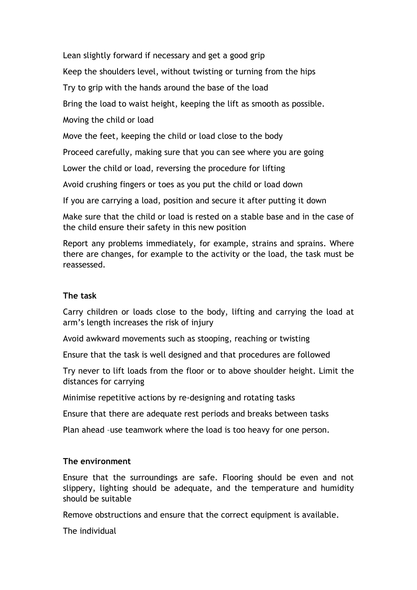Lean slightly forward if necessary and get a good grip Keep the shoulders level, without twisting or turning from the hips Try to grip with the hands around the base of the load Bring the load to waist height, keeping the lift as smooth as possible. Moving the child or load Move the feet, keeping the child or load close to the body Proceed carefully, making sure that you can see where you are going Lower the child or load, reversing the procedure for lifting Avoid crushing fingers or toes as you put the child or load down If you are carrying a load, position and secure it after putting it down

Make sure that the child or load is rested on a stable base and in the case of the child ensure their safety in this new position

Report any problems immediately, for example, strains and sprains. Where there are changes, for example to the activity or the load, the task must be reassessed.

### **The task**

Carry children or loads close to the body, lifting and carrying the load at arm's length increases the risk of injury

Avoid awkward movements such as stooping, reaching or twisting

Ensure that the task is well designed and that procedures are followed

Try never to lift loads from the floor or to above shoulder height. Limit the distances for carrying

Minimise repetitive actions by re-designing and rotating tasks

Ensure that there are adequate rest periods and breaks between tasks

Plan ahead –use teamwork where the load is too heavy for one person.

# **The environment**

Ensure that the surroundings are safe. Flooring should be even and not slippery, lighting should be adequate, and the temperature and humidity should be suitable

Remove obstructions and ensure that the correct equipment is available.

The individual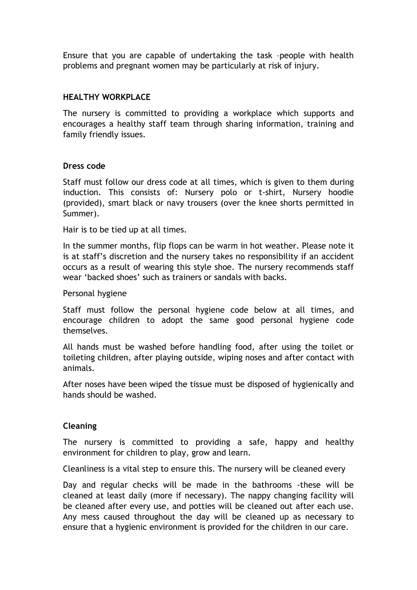Ensure that you are capable of undertaking the task –people with health problems and pregnant women may be particularly at risk of injury.

### **HEALTHY WORKPLACE**

The nursery is committed to providing a workplace which supports and encourages a healthy staff team through sharing information, training and family friendly issues.

### **Dress code**

Staff must follow our dress code at all times, which is given to them during induction. This consists of: Nursery polo or t-shirt, Nursery hoodie (provided), smart black or navy trousers (over the knee shorts permitted in Summer).

Hair is to be tied up at all times.

In the summer months, flip flops can be warm in hot weather. Please note it is at staff's discretion and the nursery takes no responsibility if an accident occurs as a result of wearing this style shoe. The nursery recommends staff wear 'backed shoes' such as trainers or sandals with backs.

Personal hygiene

Staff must follow the personal hygiene code below at all times, and encourage children to adopt the same good personal hygiene code themselves.

All hands must be washed before handling food, after using the toilet or toileting children, after playing outside, wiping noses and after contact with animals.

After noses have been wiped the tissue must be disposed of hygienically and hands should be washed.

### **Cleaning**

The nursery is committed to providing a safe, happy and healthy environment for children to play, grow and learn.

Cleanliness is a vital step to ensure this. The nursery will be cleaned every

Day and regular checks will be made in the bathrooms -these will be cleaned at least daily (more if necessary). The nappy changing facility will be cleaned after every use, and potties will be cleaned out after each use. Any mess caused throughout the day will be cleaned up as necessary to ensure that a hygienic environment is provided for the children in our care.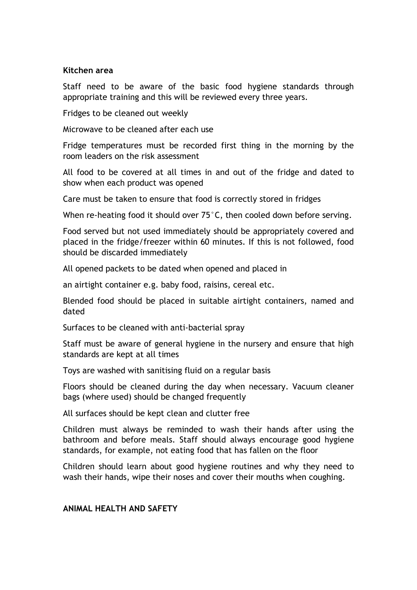#### **Kitchen area**

Staff need to be aware of the basic food hygiene standards through appropriate training and this will be reviewed every three years.

Fridges to be cleaned out weekly

Microwave to be cleaned after each use

Fridge temperatures must be recorded first thing in the morning by the room leaders on the risk assessment

All food to be covered at all times in and out of the fridge and dated to show when each product was opened

Care must be taken to ensure that food is correctly stored in fridges

When re-heating food it should over 75°C, then cooled down before serving.

Food served but not used immediately should be appropriately covered and placed in the fridge/freezer within 60 minutes. If this is not followed, food should be discarded immediately

All opened packets to be dated when opened and placed in

an airtight container e.g. baby food, raisins, cereal etc.

Blended food should be placed in suitable airtight containers, named and dated

Surfaces to be cleaned with anti-bacterial spray

Staff must be aware of general hygiene in the nursery and ensure that high standards are kept at all times

Toys are washed with sanitising fluid on a regular basis

Floors should be cleaned during the day when necessary. Vacuum cleaner bags (where used) should be changed frequently

All surfaces should be kept clean and clutter free

Children must always be reminded to wash their hands after using the bathroom and before meals. Staff should always encourage good hygiene standards, for example, not eating food that has fallen on the floor

Children should learn about good hygiene routines and why they need to wash their hands, wipe their noses and cover their mouths when coughing.

### **ANIMAL HEALTH AND SAFETY**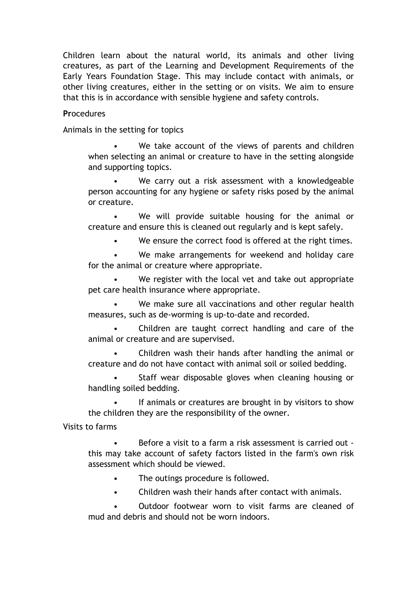Children learn about the natural world, its animals and other living creatures, as part of the Learning and Development Requirements of the Early Years Foundation Stage. This may include contact with animals, or other living creatures, either in the setting or on visits. We aim to ensure that this is in accordance with sensible hygiene and safety controls.

**Pr**ocedures

Animals in the setting for topics

• We take account of the views of parents and children when selecting an animal or creature to have in the setting alongside and supporting topics.

We carry out a risk assessment with a knowledgeable person accounting for any hygiene or safety risks posed by the animal or creature.

We will provide suitable housing for the animal or creature and ensure this is cleaned out regularly and is kept safely.

• We ensure the correct food is offered at the right times.

We make arrangements for weekend and holiday care for the animal or creature where appropriate.

We register with the local vet and take out appropriate pet care health insurance where appropriate.

We make sure all vaccinations and other regular health measures, such as de-worming is up-to-date and recorded.

• Children are taught correct handling and care of the animal or creature and are supervised.

• Children wash their hands after handling the animal or creature and do not have contact with animal soil or soiled bedding.

Staff wear disposable gloves when cleaning housing or handling soiled bedding.

If animals or creatures are brought in by visitors to show the children they are the responsibility of the owner.

Visits to farms

• Before a visit to a farm a risk assessment is carried out this may take account of safety factors listed in the farm's own risk assessment which should be viewed.

The outings procedure is followed.

• Children wash their hands after contact with animals.

• Outdoor footwear worn to visit farms are cleaned of mud and debris and should not be worn indoors.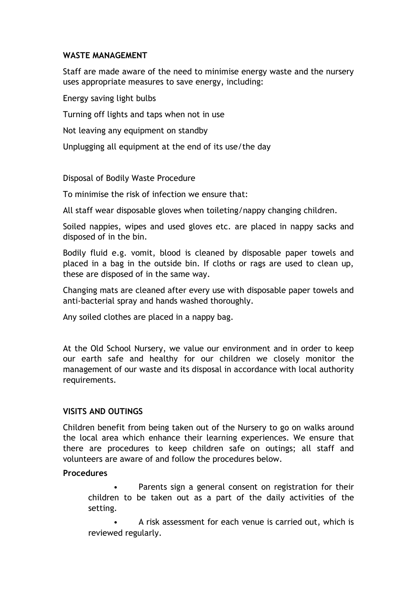## **WASTE MANAGEMENT**

Staff are made aware of the need to minimise energy waste and the nursery uses appropriate measures to save energy, including:

Energy saving light bulbs

Turning off lights and taps when not in use

Not leaving any equipment on standby

Unplugging all equipment at the end of its use/the day

Disposal of Bodily Waste Procedure

To minimise the risk of infection we ensure that:

All staff wear disposable gloves when toileting/nappy changing children.

Soiled nappies, wipes and used gloves etc. are placed in nappy sacks and disposed of in the bin.

Bodily fluid e.g. vomit, blood is cleaned by disposable paper towels and placed in a bag in the outside bin. If cloths or rags are used to clean up, these are disposed of in the same way.

Changing mats are cleaned after every use with disposable paper towels and anti-bacterial spray and hands washed thoroughly.

Any soiled clothes are placed in a nappy bag.

At the Old School Nursery, we value our environment and in order to keep our earth safe and healthy for our children we closely monitor the management of our waste and its disposal in accordance with local authority requirements.

# **VISITS AND OUTINGS**

Children benefit from being taken out of the Nursery to go on walks around the local area which enhance their learning experiences. We ensure that there are procedures to keep children safe on outings; all staff and volunteers are aware of and follow the procedures below.

### **Procedures**

Parents sign a general consent on registration for their children to be taken out as a part of the daily activities of the setting.

• A risk assessment for each venue is carried out, which is reviewed regularly.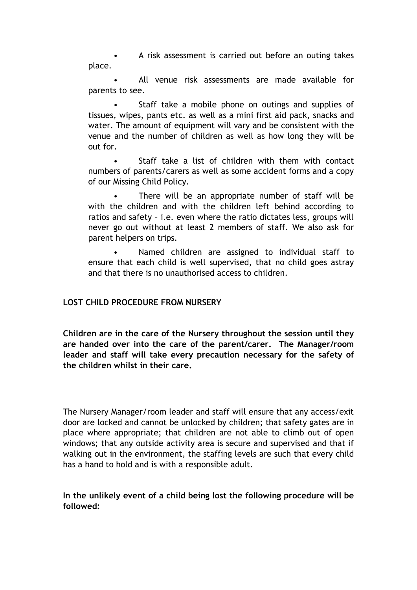• A risk assessment is carried out before an outing takes place.

All venue risk assessments are made available for parents to see.

Staff take a mobile phone on outings and supplies of tissues, wipes, pants etc. as well as a mini first aid pack, snacks and water. The amount of equipment will vary and be consistent with the venue and the number of children as well as how long they will be out for.

Staff take a list of children with them with contact numbers of parents/carers as well as some accident forms and a copy of our Missing Child Policy.

There will be an appropriate number of staff will be with the children and with the children left behind according to ratios and safety – i.e. even where the ratio dictates less, groups will never go out without at least 2 members of staff. We also ask for parent helpers on trips.

Named children are assigned to individual staff to ensure that each child is well supervised, that no child goes astray and that there is no unauthorised access to children.

### **LOST CHILD PROCEDURE FROM NURSERY**

**Children are in the care of the Nursery throughout the session until they are handed over into the care of the parent/carer. The Manager/room leader and staff will take every precaution necessary for the safety of the children whilst in their care.**

The Nursery Manager/room leader and staff will ensure that any access/exit door are locked and cannot be unlocked by children; that safety gates are in place where appropriate; that children are not able to climb out of open windows; that any outside activity area is secure and supervised and that if walking out in the environment, the staffing levels are such that every child has a hand to hold and is with a responsible adult.

**In the unlikely event of a child being lost the following procedure will be followed:**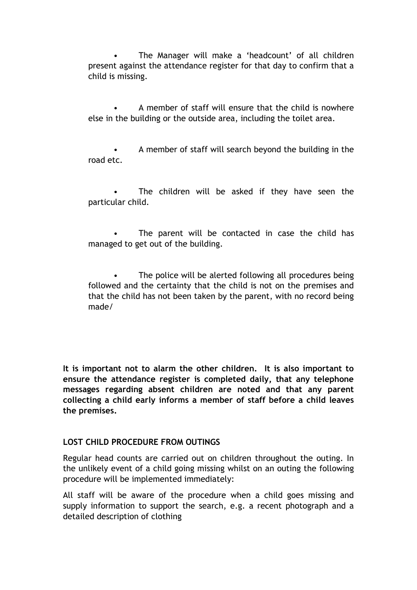The Manager will make a 'headcount' of all children present against the attendance register for that day to confirm that a child is missing.

• A member of staff will ensure that the child is nowhere else in the building or the outside area, including the toilet area.

• A member of staff will search beyond the building in the road etc.

The children will be asked if they have seen the particular child.

The parent will be contacted in case the child has managed to get out of the building.

• The police will be alerted following all procedures being followed and the certainty that the child is not on the premises and that the child has not been taken by the parent, with no record being made/

**It is important not to alarm the other children. It is also important to ensure the attendance register is completed daily, that any telephone messages regarding absent children are noted and that any parent collecting a child early informs a member of staff before a child leaves the premises.**

### **LOST CHILD PROCEDURE FROM OUTINGS**

Regular head counts are carried out on children throughout the outing. In the unlikely event of a child going missing whilst on an outing the following procedure will be implemented immediately:

All staff will be aware of the procedure when a child goes missing and supply information to support the search, e.g. a recent photograph and a detailed description of clothing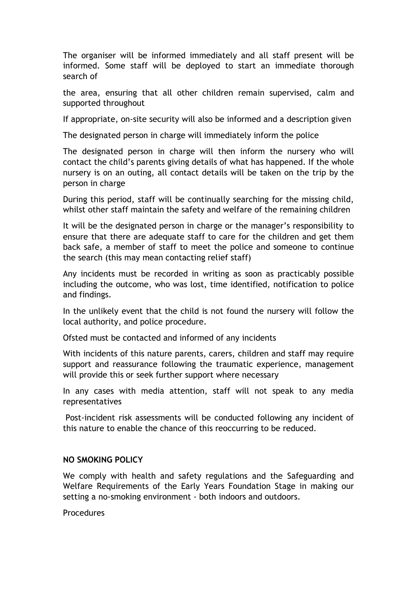The organiser will be informed immediately and all staff present will be informed. Some staff will be deployed to start an immediate thorough search of

the area, ensuring that all other children remain supervised, calm and supported throughout

If appropriate, on-site security will also be informed and a description given

The designated person in charge will immediately inform the police

The designated person in charge will then inform the nursery who will contact the child's parents giving details of what has happened. If the whole nursery is on an outing, all contact details will be taken on the trip by the person in charge

During this period, staff will be continually searching for the missing child, whilst other staff maintain the safety and welfare of the remaining children

It will be the designated person in charge or the manager's responsibility to ensure that there are adequate staff to care for the children and get them back safe, a member of staff to meet the police and someone to continue the search (this may mean contacting relief staff)

Any incidents must be recorded in writing as soon as practicably possible including the outcome, who was lost, time identified, notification to police and findings.

In the unlikely event that the child is not found the nursery will follow the local authority, and police procedure.

Ofsted must be contacted and informed of any incidents

With incidents of this nature parents, carers, children and staff may require support and reassurance following the traumatic experience, management will provide this or seek further support where necessary

In any cases with media attention, staff will not speak to any media representatives

Post-incident risk assessments will be conducted following any incident of this nature to enable the chance of this reoccurring to be reduced.

### **NO SMOKING POLICY**

We comply with health and safety regulations and the Safeguarding and Welfare Requirements of the Early Years Foundation Stage in making our setting a no-smoking environment - both indoors and outdoors.

**Procedures**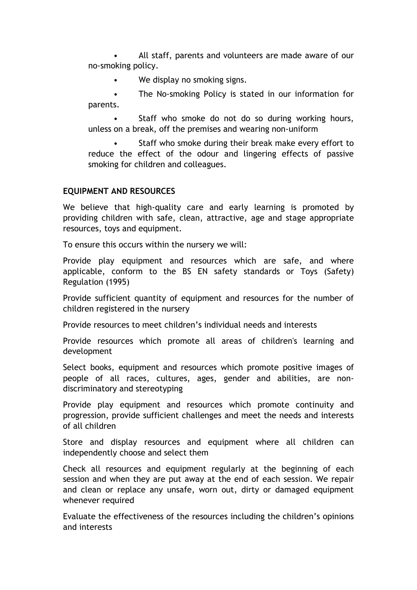All staff, parents and volunteers are made aware of our no-smoking policy.

• We display no smoking signs.

The No-smoking Policy is stated in our information for parents.

Staff who smoke do not do so during working hours, unless on a break, off the premises and wearing non-uniform

Staff who smoke during their break make every effort to reduce the effect of the odour and lingering effects of passive smoking for children and colleagues.

### **EQUIPMENT AND RESOURCES**

We believe that high-quality care and early learning is promoted by providing children with safe, clean, attractive, age and stage appropriate resources, toys and equipment.

To ensure this occurs within the nursery we will:

Provide play equipment and resources which are safe, and where applicable, conform to the BS EN safety standards or Toys (Safety) Regulation (1995)

Provide sufficient quantity of equipment and resources for the number of children registered in the nursery

Provide resources to meet children's individual needs and interests

Provide resources which promote all areas of children's learning and development

Select books, equipment and resources which promote positive images of people of all races, cultures, ages, gender and abilities, are nondiscriminatory and stereotyping

Provide play equipment and resources which promote continuity and progression, provide sufficient challenges and meet the needs and interests of all children

Store and display resources and equipment where all children can independently choose and select them

Check all resources and equipment regularly at the beginning of each session and when they are put away at the end of each session. We repair and clean or replace any unsafe, worn out, dirty or damaged equipment whenever required

Evaluate the effectiveness of the resources including the children's opinions and interests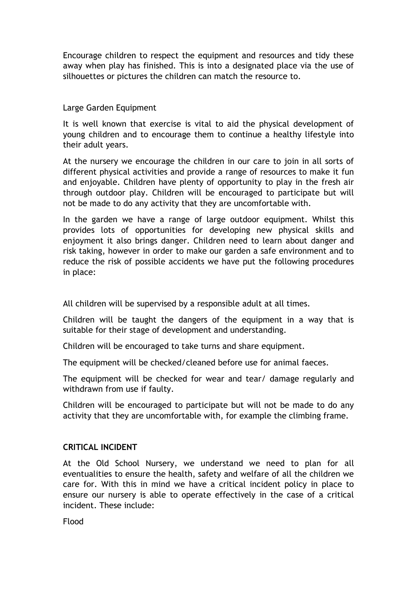Encourage children to respect the equipment and resources and tidy these away when play has finished. This is into a designated place via the use of silhouettes or pictures the children can match the resource to.

### Large Garden Equipment

It is well known that exercise is vital to aid the physical development of young children and to encourage them to continue a healthy lifestyle into their adult years.

At the nursery we encourage the children in our care to join in all sorts of different physical activities and provide a range of resources to make it fun and enjoyable. Children have plenty of opportunity to play in the fresh air through outdoor play. Children will be encouraged to participate but will not be made to do any activity that they are uncomfortable with.

In the garden we have a range of large outdoor equipment. Whilst this provides lots of opportunities for developing new physical skills and enjoyment it also brings danger. Children need to learn about danger and risk taking, however in order to make our garden a safe environment and to reduce the risk of possible accidents we have put the following procedures in place:

All children will be supervised by a responsible adult at all times.

Children will be taught the dangers of the equipment in a way that is suitable for their stage of development and understanding.

Children will be encouraged to take turns and share equipment.

The equipment will be checked/cleaned before use for animal faeces.

The equipment will be checked for wear and tear/ damage regularly and withdrawn from use if faulty.

Children will be encouraged to participate but will not be made to do any activity that they are uncomfortable with, for example the climbing frame.

### **CRITICAL INCIDENT**

At the Old School Nursery, we understand we need to plan for all eventualities to ensure the health, safety and welfare of all the children we care for. With this in mind we have a critical incident policy in place to ensure our nursery is able to operate effectively in the case of a critical incident. These include:

Flood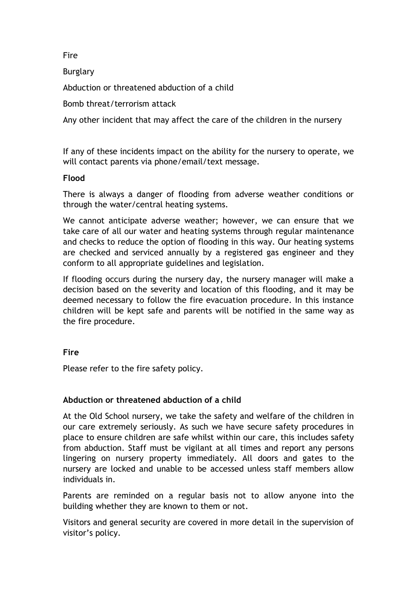```
Burglary
Abduction or threatened abduction of a child 
Bomb threat/terrorism attack
```
Any other incident that may affect the care of the children in the nursery

If any of these incidents impact on the ability for the nursery to operate, we will contact parents via phone/email/text message.

## **Flood**

There is always a danger of flooding from adverse weather conditions or through the water/central heating systems.

We cannot anticipate adverse weather; however, we can ensure that we take care of all our water and heating systems through regular maintenance and checks to reduce the option of flooding in this way. Our heating systems are checked and serviced annually by a registered gas engineer and they conform to all appropriate guidelines and legislation.

If flooding occurs during the nursery day, the nursery manager will make a decision based on the severity and location of this flooding, and it may be deemed necessary to follow the fire evacuation procedure. In this instance children will be kept safe and parents will be notified in the same way as the fire procedure.

# **Fire**

Please refer to the fire safety policy.

# **Abduction or threatened abduction of a child**

At the Old School nursery, we take the safety and welfare of the children in our care extremely seriously. As such we have secure safety procedures in place to ensure children are safe whilst within our care, this includes safety from abduction. Staff must be vigilant at all times and report any persons lingering on nursery property immediately. All doors and gates to the nursery are locked and unable to be accessed unless staff members allow individuals in.

Parents are reminded on a regular basis not to allow anyone into the building whether they are known to them or not.

Visitors and general security are covered in more detail in the supervision of visitor's policy.

Fire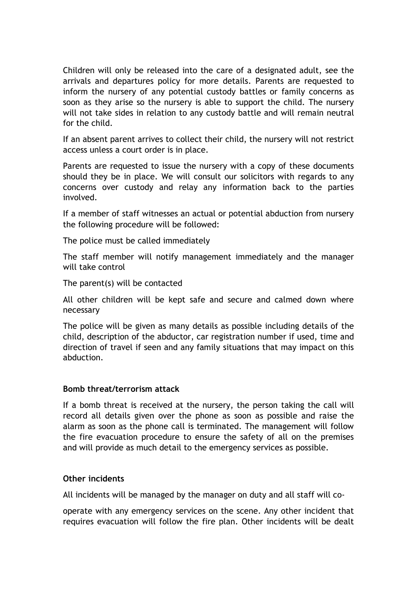Children will only be released into the care of a designated adult, see the arrivals and departures policy for more details. Parents are requested to inform the nursery of any potential custody battles or family concerns as soon as they arise so the nursery is able to support the child. The nursery will not take sides in relation to any custody battle and will remain neutral for the child.

If an absent parent arrives to collect their child, the nursery will not restrict access unless a court order is in place.

Parents are requested to issue the nursery with a copy of these documents should they be in place. We will consult our solicitors with regards to any concerns over custody and relay any information back to the parties involved.

If a member of staff witnesses an actual or potential abduction from nursery the following procedure will be followed:

The police must be called immediately

The staff member will notify management immediately and the manager will take control

The parent(s) will be contacted

All other children will be kept safe and secure and calmed down where necessary

The police will be given as many details as possible including details of the child, description of the abductor, car registration number if used, time and direction of travel if seen and any family situations that may impact on this abduction.

#### **Bomb threat/terrorism attack**

If a bomb threat is received at the nursery, the person taking the call will record all details given over the phone as soon as possible and raise the alarm as soon as the phone call is terminated. The management will follow the fire evacuation procedure to ensure the safety of all on the premises and will provide as much detail to the emergency services as possible.

### **Other incidents**

All incidents will be managed by the manager on duty and all staff will co-

operate with any emergency services on the scene. Any other incident that requires evacuation will follow the fire plan. Other incidents will be dealt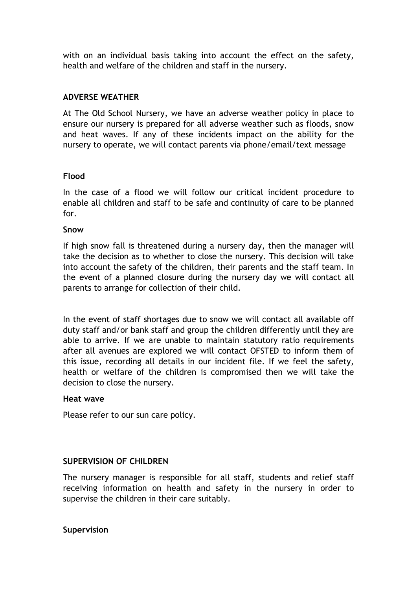with on an individual basis taking into account the effect on the safety, health and welfare of the children and staff in the nursery.

### **ADVERSE WEATHER**

At The Old School Nursery, we have an adverse weather policy in place to ensure our nursery is prepared for all adverse weather such as floods, snow and heat waves. If any of these incidents impact on the ability for the nursery to operate, we will contact parents via phone/email/text message

### **Flood**

In the case of a flood we will follow our critical incident procedure to enable all children and staff to be safe and continuity of care to be planned for.

#### **Snow**

If high snow fall is threatened during a nursery day, then the manager will take the decision as to whether to close the nursery. This decision will take into account the safety of the children, their parents and the staff team. In the event of a planned closure during the nursery day we will contact all parents to arrange for collection of their child.

In the event of staff shortages due to snow we will contact all available off duty staff and/or bank staff and group the children differently until they are able to arrive. If we are unable to maintain statutory ratio requirements after all avenues are explored we will contact OFSTED to inform them of this issue, recording all details in our incident file. If we feel the safety, health or welfare of the children is compromised then we will take the decision to close the nursery.

#### **Heat wave**

Please refer to our sun care policy.

### **SUPERVISION OF CHILDREN**

The nursery manager is responsible for all staff, students and relief staff receiving information on health and safety in the nursery in order to supervise the children in their care suitably.

#### **Supervision**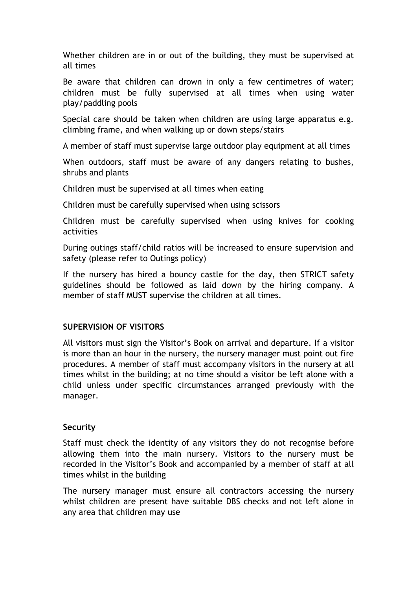Whether children are in or out of the building, they must be supervised at all times

Be aware that children can drown in only a few centimetres of water; children must be fully supervised at all times when using water play/paddling pools

Special care should be taken when children are using large apparatus e.g. climbing frame, and when walking up or down steps/stairs

A member of staff must supervise large outdoor play equipment at all times

When outdoors, staff must be aware of any dangers relating to bushes, shrubs and plants

Children must be supervised at all times when eating

Children must be carefully supervised when using scissors

Children must be carefully supervised when using knives for cooking activities

During outings staff/child ratios will be increased to ensure supervision and safety (please refer to Outings policy)

If the nursery has hired a bouncy castle for the day, then STRICT safety guidelines should be followed as laid down by the hiring company. A member of staff MUST supervise the children at all times.

### **SUPERVISION OF VISITORS**

All visitors must sign the Visitor's Book on arrival and departure. If a visitor is more than an hour in the nursery, the nursery manager must point out fire procedures. A member of staff must accompany visitors in the nursery at all times whilst in the building; at no time should a visitor be left alone with a child unless under specific circumstances arranged previously with the manager.

### **Security**

Staff must check the identity of any visitors they do not recognise before allowing them into the main nursery. Visitors to the nursery must be recorded in the Visitor's Book and accompanied by a member of staff at all times whilst in the building

The nursery manager must ensure all contractors accessing the nursery whilst children are present have suitable DBS checks and not left alone in any area that children may use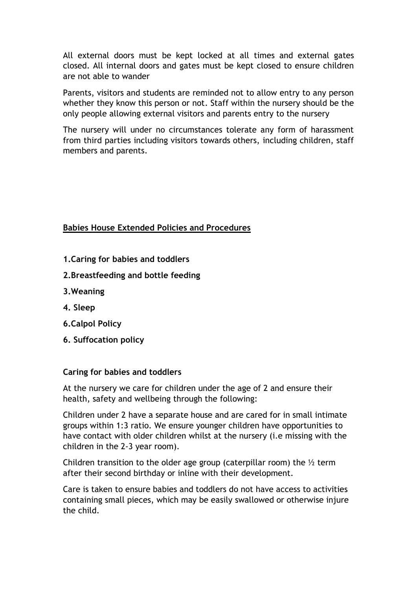All external doors must be kept locked at all times and external gates closed. All internal doors and gates must be kept closed to ensure children are not able to wander

Parents, visitors and students are reminded not to allow entry to any person whether they know this person or not. Staff within the nursery should be the only people allowing external visitors and parents entry to the nursery

The nursery will under no circumstances tolerate any form of harassment from third parties including visitors towards others, including children, staff members and parents.

## **Babies House Extended Policies and Procedures**

- **1.Caring for babies and toddlers**
- **2.Breastfeeding and bottle feeding**
- **3.Weaning**
- **4. Sleep**
- **6.Calpol Policy**
- **6. Suffocation policy**

### **Caring for babies and toddlers**

At the nursery we care for children under the age of 2 and ensure their health, safety and wellbeing through the following:

Children under 2 have a separate house and are cared for in small intimate groups within 1:3 ratio. We ensure younger children have opportunities to have contact with older children whilst at the nursery (i.e missing with the children in the 2-3 year room).

Children transition to the older age group (caterpillar room) the  $\frac{1}{2}$  term after their second birthday or inline with their development.

Care is taken to ensure babies and toddlers do not have access to activities containing small pieces, which may be easily swallowed or otherwise injure the child.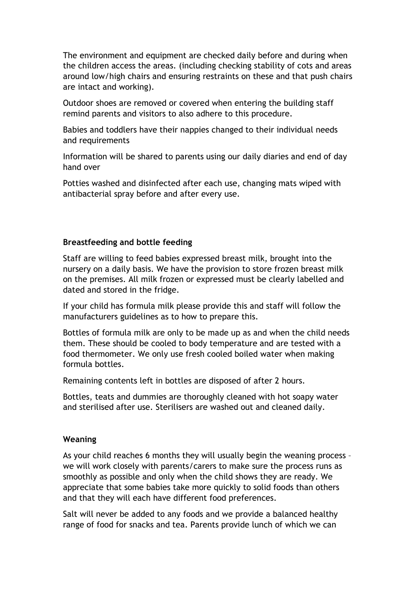The environment and equipment are checked daily before and during when the children access the areas. (including checking stability of cots and areas around low/high chairs and ensuring restraints on these and that push chairs are intact and working).

Outdoor shoes are removed or covered when entering the building staff remind parents and visitors to also adhere to this procedure.

Babies and toddlers have their nappies changed to their individual needs and requirements

Information will be shared to parents using our daily diaries and end of day hand over

Potties washed and disinfected after each use, changing mats wiped with antibacterial spray before and after every use.

## **Breastfeeding and bottle feeding**

Staff are willing to feed babies expressed breast milk, brought into the nursery on a daily basis. We have the provision to store frozen breast milk on the premises. All milk frozen or expressed must be clearly labelled and dated and stored in the fridge.

If your child has formula milk please provide this and staff will follow the manufacturers guidelines as to how to prepare this.

Bottles of formula milk are only to be made up as and when the child needs them. These should be cooled to body temperature and are tested with a food thermometer. We only use fresh cooled boiled water when making formula bottles.

Remaining contents left in bottles are disposed of after 2 hours.

Bottles, teats and dummies are thoroughly cleaned with hot soapy water and sterilised after use. Sterilisers are washed out and cleaned daily.

### **Weaning**

As your child reaches 6 months they will usually begin the weaning process – we will work closely with parents/carers to make sure the process runs as smoothly as possible and only when the child shows they are ready. We appreciate that some babies take more quickly to solid foods than others and that they will each have different food preferences.

Salt will never be added to any foods and we provide a balanced healthy range of food for snacks and tea. Parents provide lunch of which we can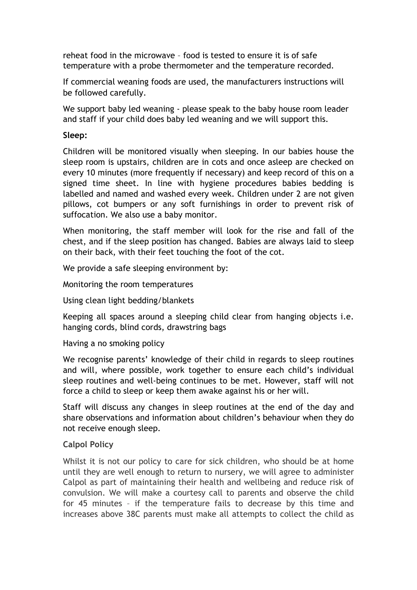reheat food in the microwave – food is tested to ensure it is of safe temperature with a probe thermometer and the temperature recorded.

If commercial weaning foods are used, the manufacturers instructions will be followed carefully.

We support baby led weaning - please speak to the baby house room leader and staff if your child does baby led weaning and we will support this.

## **Sleep:**

Children will be monitored visually when sleeping. In our babies house the sleep room is upstairs, children are in cots and once asleep are checked on every 10 minutes (more frequently if necessary) and keep record of this on a signed time sheet. In line with hygiene procedures babies bedding is labelled and named and washed every week. Children under 2 are not given pillows, cot bumpers or any soft furnishings in order to prevent risk of suffocation. We also use a baby monitor.

When monitoring, the staff member will look for the rise and fall of the chest, and if the sleep position has changed. Babies are always laid to sleep on their back, with their feet touching the foot of the cot.

We provide a safe sleeping environment by:

Monitoring the room temperatures

Using clean light bedding/blankets

Keeping all spaces around a sleeping child clear from hanging objects i.e. hanging cords, blind cords, drawstring bags

Having a no smoking policy

We recognise parents' knowledge of their child in regards to sleep routines and will, where possible, work together to ensure each child's individual sleep routines and well-being continues to be met. However, staff will not force a child to sleep or keep them awake against his or her will.

Staff will discuss any changes in sleep routines at the end of the day and share observations and information about children's behaviour when they do not receive enough sleep.

# **Calpol Policy**

Whilst it is not our policy to care for sick children, who should be at home until they are well enough to return to nursery, we will agree to administer Calpol as part of maintaining their health and wellbeing and reduce risk of convulsion. We will make a courtesy call to parents and observe the child for 45 minutes – if the temperature fails to decrease by this time and increases above 38C parents must make all attempts to collect the child as